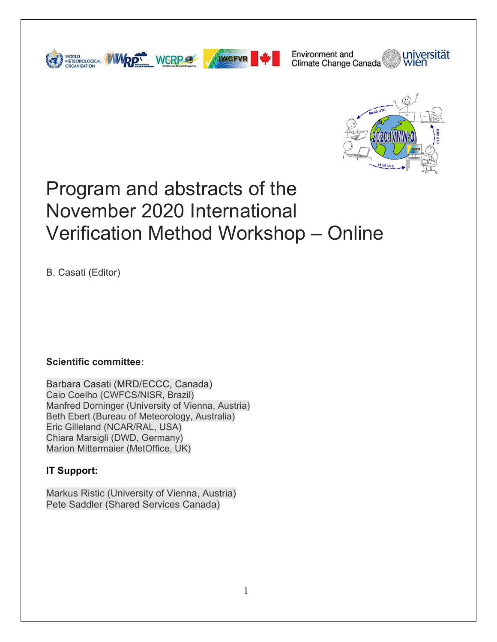



universität Environment and Climate Change Canada



# Program and abstracts of the November 2020 International Verification Method Workshop – Online

B. Casati (Editor)

### **Scientific committee:**

Barbara Casati (MRD/ECCC, Canada) Caio Coelho (CWFCS/NISR, Brazil) Manfred Dorninger (University of Vienna, Austria) Beth Ebert (Bureau of Meteorology, Australia) Eric Gilleland (NCAR/RAL, USA) Chiara Marsigli (DWD, Germany) Marion Mittermaier (MetOffice, UK)

### **IT Support:**

Markus Ristic (University of Vienna, Austria) Pete Saddler (Shared Services Canada)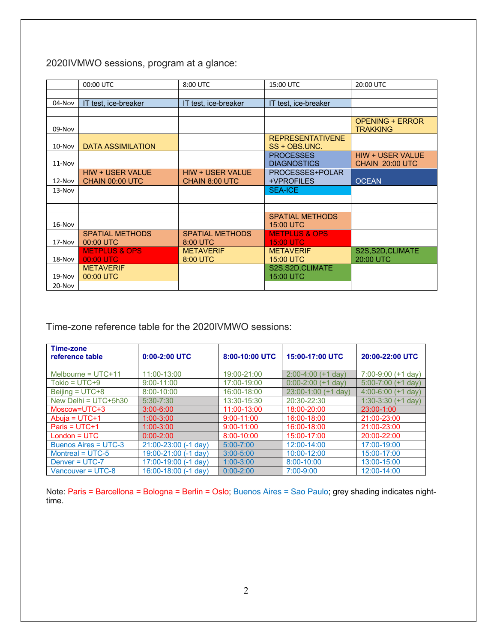2020IVMWO sessions, program at a glance:

|          | 00:00 UTC                | 8:00 UTC                | 15:00 UTC                | 20:00 UTC               |
|----------|--------------------------|-------------------------|--------------------------|-------------------------|
|          |                          |                         |                          |                         |
| 04-Nov   | IT test, ice-breaker     | IT test, ice-breaker    | IT test, ice-breaker     |                         |
|          |                          |                         |                          |                         |
|          |                          |                         |                          | <b>OPENING + ERROR</b>  |
| $09-Nov$ |                          |                         |                          | <b>TRAKKING</b>         |
|          |                          |                         | <b>REPRESENTATIVENE</b>  |                         |
| $10-Nov$ | <b>DATA ASSIMILATION</b> |                         | SS + OBS.UNC.            |                         |
|          |                          |                         | <b>PROCESSES</b>         | <b>HIW + USER VALUE</b> |
| $11-Nov$ |                          |                         | <b>DIAGNOSTICS</b>       | CHAIN 20:00 UTC         |
|          | <b>HIW + USER VALUE</b>  | <b>HIW + USER VALUE</b> | PROCESSES+POLAR          |                         |
| $12-Nov$ | CHAIN 00:00 UTC          | CHAIN 8:00 UTC          | +VPROFILES               | <b>OCEAN</b>            |
| $13-Nov$ |                          |                         | <b>SEA-ICE</b>           |                         |
|          |                          |                         |                          |                         |
|          |                          |                         |                          |                         |
|          |                          |                         | <b>SPATIAL METHODS</b>   |                         |
| $16-Nov$ |                          |                         | 15:00 UTC                |                         |
|          | <b>SPATIAL METHODS</b>   | <b>SPATIAL METHODS</b>  | <b>METPLUS &amp; OPS</b> |                         |
| 17-Nov   | 00:00 UTC                | 8:00 UTC                | <b>15:00 UTC</b>         |                         |
|          | <b>METPLUS &amp; OPS</b> | <b>METAVERIF</b>        | <b>METAVERIF</b>         | S2S, S2D, CLIMATE       |
| $18-Nov$ | 00:00 UTC                | 8:00 UTC                | 15:00 UTC                | 20:00 UTC               |
|          | <b>METAVERIF</b>         |                         | S2S, S2D, CLIMATE        |                         |
| $19-Nov$ | 00:00 UTC                |                         | 15:00 UTC                |                         |
| 20-Nov   |                          |                         |                          |                         |

Time-zone reference table for the 2020IVMWO sessions:

| Time-zone<br>reference table | $0:00-2:00$ UTC          | 8:00-10:00 UTC | 15:00-17:00 UTC             | 20:00-22:00 UTC             |
|------------------------------|--------------------------|----------------|-----------------------------|-----------------------------|
|                              |                          |                |                             |                             |
| Melbourne = $UTC+11$         | 11:00-13:00              | 19:00-21:00    | $2:00 - 4:00$<br>$(+1$ dav) | $7:00-9:00 (+1 day)$        |
| $Tokio = UTC + 9$            | $9:00 - 11:00$           | 17:00-19:00    | $0:00-2:00$ (+1 day)        | $5:00 - 7:00$<br>$(+1$ day  |
| Beijing = $UTC+8$            | $8:00 - 10:00$           | 16:00-18:00    | 23:00-1:00<br>$(+1$ day)    | $4:00 - 6:00$<br>(+1 dav)   |
| New Delhi = $UTC+5h30$       | $5:30 - 7:30$            | 13:30-15:30    | 20:30-22:30                 | $1:30 - 3:30$<br>$(+1$ day) |
| Moscow=UTC+3                 | $3:00 - 6:00$            | 11:00-13:00    | 18:00-20:00                 | 23:00-1:00                  |
| Abuja = $UTC+1$              | $1:00 - 3:00$            | $9:00 - 11:00$ | 16:00-18:00                 | 21:00-23:00                 |
| Paris = $UTC+1$              | $1:00 - 3:00$            | $9:00 - 11:00$ | 16:00-18:00                 | 21:00-23:00                 |
| $London = UTC$               | $0:00 - 2:00$            | 8:00-10:00     | 15:00-17:00                 | 20:00-22:00                 |
| Buenos Aires = UTC-3         | $21:00 - 23:00$ (-1 day) | $5:00 - 7:00$  | 12:00-14:00                 | 17:00-19:00                 |
| Montreal = $UTC-5$           | 19:00-21:00 (-1 day)     | $3:00 - 5:00$  | 10:00-12:00                 | 15:00-17:00                 |
| Denver = UTC-7               | 17:00-19:00 (-1 day)     | $1:00 - 3:00$  | 8:00-10:00                  | 13:00-15:00                 |
| Vancouver = UTC-8            | 16:00-18:00 (-1 day)     | $0:00 - 2:00$  | $7:00 - 9:00$               | 12:00-14:00                 |

Note: Paris = Barcellona = Bologna = Berlin = Oslo; Buenos Aires = Sao Paulo; grey shading indicates nighttime.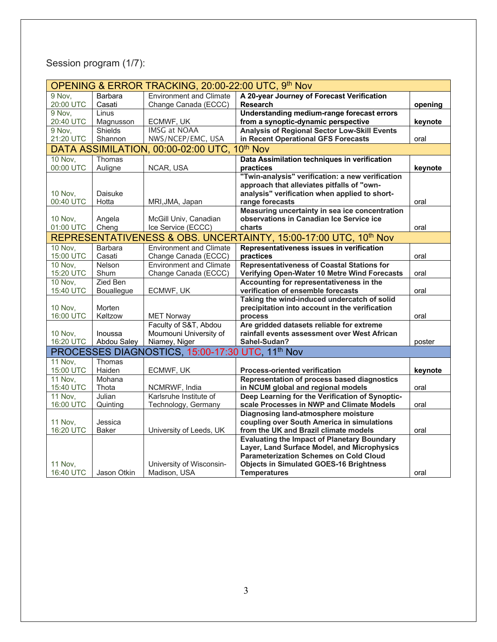# Session program (1/7):

|                |                | OPENING & ERROR TRACKING, 20:00-22:00 UTC, 9th Nov           |                                                                  |         |
|----------------|----------------|--------------------------------------------------------------|------------------------------------------------------------------|---------|
| 9 Nov,         | <b>Barbara</b> | <b>Environment and Climate</b>                               | A 20-year Journey of Forecast Verification                       |         |
| 20:00 UTC      | Casati         | Change Canada (ECCC)                                         | <b>Research</b>                                                  | opening |
| 9 Nov.         | Linus          |                                                              | Understanding medium-range forecast errors                       |         |
| 20:40 UTC      | Magnusson      | ECMWF, UK                                                    | from a synoptic-dynamic perspective                              | keynote |
| 9 Nov.         | Shields        | <b>IMSG at NOAA</b>                                          | <b>Analysis of Regional Sector Low-Skill Events</b>              |         |
| 21:20 UTC      | Shannon        | NWS/NCEP/EMC, USA                                            | in Recent Operational GFS Forecasts                              | oral    |
|                |                | DATA ASSIMILATION, 00:00-02:00 UTC, 10th Nov                 |                                                                  |         |
| <b>10 Nov,</b> | Thomas         |                                                              | Data Assimilation techniques in verification                     |         |
| 00:00 UTC      | Auligne        | NCAR, USA                                                    | practices                                                        | keynote |
|                |                |                                                              | "Twin-analysis" verification: a new verification                 |         |
|                |                |                                                              | approach that alleviates pitfalls of "own-                       |         |
| <b>10 Nov.</b> | Daisuke        |                                                              | analysis" verification when applied to short-                    |         |
| 00:40 UTC      | Hotta          | MRI, JMA, Japan                                              | range forecasts                                                  | oral    |
|                |                |                                                              | Measuring uncertainty in sea ice concentration                   |         |
| <b>10 Nov,</b> | Angela         | McGill Univ, Canadian                                        | observations in Canadian Ice Service ice                         |         |
| 01:00 UTC      | Cheng          | Ice Service (ECCC)                                           | charts                                                           | oral    |
|                |                |                                                              | REPRESENTATIVENESS & OBS. UNCERTAINTY, 15:00-17:00 UTC, 10th Nov |         |
| <b>10 Nov.</b> | <b>Barbara</b> | <b>Environment and Climate</b>                               | Representativeness issues in verification                        |         |
| 15:00 UTC      | Casati         | Change Canada (ECCC)                                         | practices                                                        | oral    |
| <b>10 Nov,</b> | Nelson         | <b>Environment and Climate</b>                               | <b>Representativeness of Coastal Stations for</b>                |         |
| 15:20 UTC      | Shum           | Change Canada (ECCC)                                         | Verifying Open-Water 10 Metre Wind Forecasts                     | oral    |
| <b>10 Nov.</b> | Zied Ben       |                                                              | Accounting for representativeness in the                         |         |
| 15:40 UTC      | Bouallegue     | ECMWF, UK                                                    | verification of ensemble forecasts                               | oral    |
|                |                |                                                              | Taking the wind-induced undercatch of solid                      |         |
| <b>10 Nov,</b> | Morten         |                                                              | precipitation into account in the verification                   |         |
| 16:00 UTC      | Køltzow        | <b>MET Norway</b>                                            | process                                                          | oral    |
|                |                | Faculty of S&T, Abdou                                        | Are gridded datasets reliable for extreme                        |         |
| <b>10 Nov.</b> | Inoussa        | Moumouni University of                                       | rainfall events assessment over West African                     |         |
| 16:20 UTC      | Abdou Saley    | Niamey, Niger                                                | Sahel-Sudan?                                                     | poster  |
|                |                | PROCESSES DIAGNOSTICS, 15:00-17:30 UTC, 11 <sup>th</sup> Nov |                                                                  |         |
| <b>11 Nov.</b> | Thomas         |                                                              |                                                                  |         |
| 15:00 UTC      | Haiden         | ECMWF, UK                                                    | <b>Process-oriented verification</b>                             | keynote |
| <b>11 Nov.</b> | Mohana         |                                                              | Representation of process based diagnostics                      |         |
| 15:40 UTC      | Thota          | NCMRWF, India                                                | in NCUM global and regional models                               | oral    |
| <b>11 Nov.</b> | Julian         | Karlsruhe Institute of                                       | Deep Learning for the Verification of Synoptic-                  |         |
| 16:00 UTC      | Quinting       | Technology, Germany                                          | scale Processes in NWP and Climate Models                        | oral    |
|                |                |                                                              | <b>Diagnosing land-atmosphere moisture</b>                       |         |
| <b>11 Nov.</b> | Jessica        |                                                              | coupling over South America in simulations                       |         |
| 16:20 UTC      | <b>Baker</b>   | University of Leeds, UK                                      | from the UK and Brazil climate models                            | oral    |
|                |                |                                                              | <b>Evaluating the Impact of Planetary Boundary</b>               |         |
|                |                |                                                              | Layer, Land Surface Model, and Microphysics                      |         |
|                |                |                                                              | <b>Parameterization Schemes on Cold Cloud</b>                    |         |
| <b>11 Nov.</b> |                | University of Wisconsin-                                     | <b>Objects in Simulated GOES-16 Brightness</b>                   |         |
| 16:40 UTC      | Jason Otkin    | Madison, USA                                                 | <b>Temperatures</b>                                              | oral    |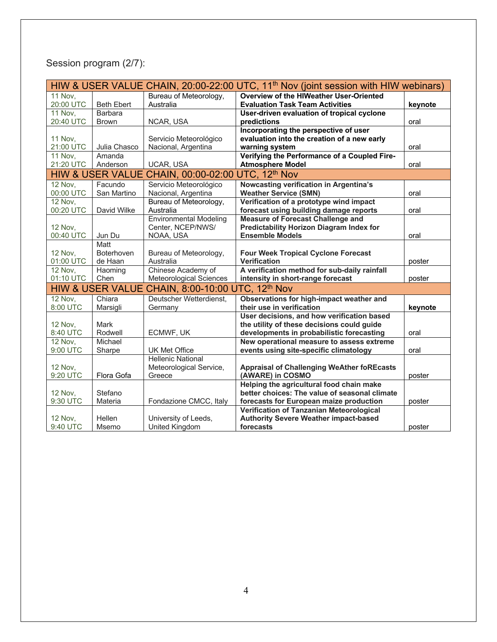# Session program (2/7):

|                |                             |                                                               | HIW & USER VALUE CHAIN, 20:00-22:00 UTC, 11 <sup>th</sup> Nov (joint session with HIW webinars) |         |
|----------------|-----------------------------|---------------------------------------------------------------|-------------------------------------------------------------------------------------------------|---------|
| <b>11 Nov.</b> |                             | Bureau of Meteorology,                                        | <b>Overview of the HIWeather User-Oriented</b>                                                  |         |
| 20:00 UTC      | <b>Beth Ebert</b>           | Australia                                                     | <b>Evaluation Task Team Activities</b>                                                          | keynote |
| <b>11 Nov.</b> | Barbara                     |                                                               | User-driven evaluation of tropical cyclone                                                      |         |
| 20:40 UTC      | <b>Brown</b>                | NCAR, USA                                                     | predictions                                                                                     | oral    |
|                |                             |                                                               | Incorporating the perspective of user                                                           |         |
| <b>11 Nov.</b> |                             | Servicio Meteorológico                                        | evaluation into the creation of a new early                                                     |         |
| 21:00 UTC      | Julia Chasco                | Nacional, Argentina                                           | warning system                                                                                  | oral    |
| <b>11 Nov.</b> | Amanda                      |                                                               | Verifying the Performance of a Coupled Fire-                                                    |         |
| 21:20 UTC      | Anderson                    | UCAR, USA                                                     | <b>Atmosphere Model</b>                                                                         | oral    |
|                |                             | HIW & USER VALUE CHAIN, 00:00-02:00 UTC, 12 <sup>th</sup> Nov |                                                                                                 |         |
| <b>12 Nov.</b> | Facundo                     | Servicio Meteorológico                                        | Nowcasting verification in Argentina's                                                          |         |
| 00:00 UTC      | San Martino                 | Nacional, Argentina                                           | <b>Weather Service (SMN)</b>                                                                    | oral    |
| <b>12 Nov,</b> |                             | Bureau of Meteorology,                                        | Verification of a prototype wind impact                                                         |         |
| 00:20 UTC      | David Wilke                 | Australia                                                     | forecast using building damage reports                                                          | oral    |
|                |                             | <b>Environmental Modeling</b>                                 | <b>Measure of Forecast Challenge and</b>                                                        |         |
| <b>12 Nov.</b> |                             | Center, NCEP/NWS/                                             | <b>Predictability Horizon Diagram Index for</b>                                                 |         |
| 00:40 UTC      | Jun Du                      | NOAA, USA                                                     | <b>Ensemble Models</b>                                                                          | oral    |
|                | Matt                        |                                                               |                                                                                                 |         |
| <b>12 Nov,</b> | <b>Boterhoven</b>           | Bureau of Meteorology,                                        | <b>Four Week Tropical Cyclone Forecast</b>                                                      |         |
| 01:00 UTC      | de Haan                     | Australia                                                     | <b>Verification</b>                                                                             | poster  |
| <b>12 Nov.</b> | Haoming                     | Chinese Academy of                                            | A verification method for sub-daily rainfall                                                    |         |
| 01:10 UTC      | Chen                        | Meteorological Sciences                                       | intensity in short-range forecast                                                               | poster  |
|                | <b>HIW &amp; USER VALUE</b> | CHAIN, 8:00-10:00 UTC, 12th Nov                               |                                                                                                 |         |
| <b>12 Nov.</b> | Chiara                      | Deutscher Wetterdienst,                                       | Observations for high-impact weather and                                                        |         |
| 8:00 UTC       | Marsigli                    | Germany                                                       | their use in verification                                                                       | keynote |
|                |                             |                                                               | User decisions, and how verification based                                                      |         |
| <b>12 Nov,</b> | <b>Mark</b>                 |                                                               | the utility of these decisions could guide                                                      |         |
| 8:40 UTC       | Rodwell                     | ECMWF, UK                                                     | developments in probabilistic forecasting                                                       | oral    |
| <b>12 Nov.</b> | Michael                     |                                                               | New operational measure to assess extreme                                                       |         |
| 9:00 UTC       | Sharpe                      | <b>UK Met Office</b>                                          | events using site-specific climatology                                                          | oral    |
|                |                             | <b>Hellenic National</b>                                      |                                                                                                 |         |
| <b>12 Nov,</b> |                             | Meteorological Service,                                       | <b>Appraisal of Challenging WeAther foREcasts</b>                                               |         |
| 9:20 UTC       | Flora Gofa                  | Greece                                                        | (AWARE) in COSMO                                                                                | poster  |
|                |                             |                                                               | Helping the agricultural food chain make                                                        |         |
| <b>12 Nov,</b> | Stefano                     |                                                               | better choices: The value of seasonal climate                                                   |         |
| 9:30 UTC       | Materia                     | Fondazione CMCC, Italy                                        | forecasts for European maize production                                                         | poster  |
|                |                             |                                                               | Verification of Tanzanian Meteorological                                                        |         |
| <b>12 Nov.</b> | Hellen                      | University of Leeds,                                          | <b>Authority Severe Weather impact-based</b>                                                    |         |
| 9:40 UTC       | Msemo                       | United Kingdom                                                | forecasts                                                                                       | poster  |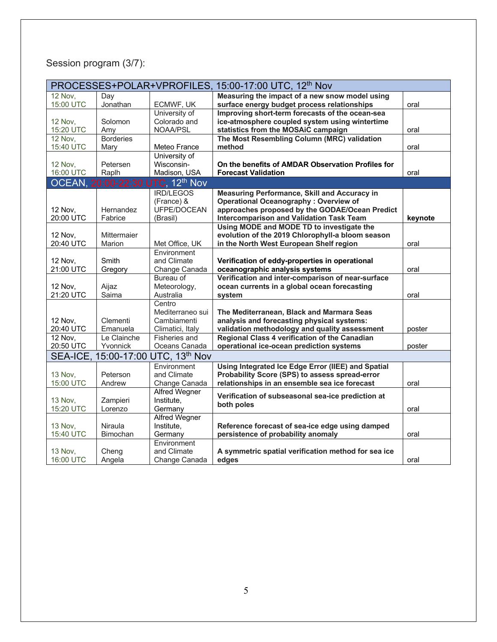# Session program (3/7):

|                |                  |                                    | PROCESSES+POLAR+VPROFILES, 15:00-17:00 UTC, 12 <sup>th</sup> Nov |         |
|----------------|------------------|------------------------------------|------------------------------------------------------------------|---------|
| <b>12 Nov.</b> | Day              |                                    | Measuring the impact of a new snow model using                   |         |
| 15:00 UTC      | Jonathan         | ECMWF, UK                          | surface energy budget process relationships                      | oral    |
|                |                  | University of                      | Improving short-term forecasts of the ocean-sea                  |         |
| <b>12 Nov.</b> | Solomon          | Colorado and                       | ice-atmosphere coupled system using wintertime                   |         |
| 15:20 UTC      | Amy              | NOAA/PSL                           | statistics from the MOSAiC campaign                              | oral    |
| <b>12 Nov.</b> | <b>Borderies</b> |                                    | The Most Resembling Column (MRC) validation                      |         |
| 15:40 UTC      | Mary             | Meteo France                       | method                                                           | oral    |
|                |                  | University of                      |                                                                  |         |
| <b>12 Nov.</b> | Petersen         | Wisconsin-                         | On the benefits of AMDAR Observation Profiles for                |         |
| 16:00 UTC      | Raplh            | Madison, USA                       | <b>Forecast Validation</b>                                       | oral    |
|                |                  | OCEAN, 20:00-22:30 UTC, 12th Nov   |                                                                  |         |
|                |                  | <b>IRD/LEGOS</b>                   | Measuring Performance, Skill and Accuracy in                     |         |
|                |                  | (France) &                         | <b>Operational Oceanography: Overview of</b>                     |         |
| 12 Nov,        | Hernandez        | UFPE/DOCEAN                        | approaches proposed by the GODAE/Ocean Predict                   |         |
| 20:00 UTC      | Fabrice          | (Brasil)                           | <b>Intercomparison and Validation Task Team</b>                  | keynote |
|                |                  |                                    | Using MODE and MODE TD to investigate the                        |         |
| 12 Nov,        | Mittermaier      |                                    | evolution of the 2019 Chlorophyll-a bloom season                 |         |
| 20:40 UTC      | Marion           | Met Office, UK                     | in the North West European Shelf region                          | oral    |
|                |                  | Environment                        |                                                                  |         |
| 12 Nov,        | Smith            | and Climate                        | Verification of eddy-properties in operational                   |         |
| 21:00 UTC      | Gregory          | Change Canada                      | oceanographic analysis systems                                   | oral    |
|                |                  | Bureau of                          | Verification and inter-comparison of near-surface                |         |
| 12 Nov,        | Aijaz            | Meteorology,                       | ocean currents in a global ocean forecasting                     |         |
| 21:20 UTC      | Saima            | Australia                          | system                                                           | oral    |
|                |                  | Centro                             |                                                                  |         |
|                |                  | Mediterraneo sui                   | The Mediterranean, Black and Marmara Seas                        |         |
| 12 Nov,        | Clementi         | Cambiamenti                        | analysis and forecasting physical systems:                       |         |
| 20:40 UTC      | Emanuela         | Climatici, Italy                   | validation methodology and quality assessment                    | poster  |
| 12 Nov,        | Le Clainche      | <b>Fisheries and</b>               | Regional Class 4 verification of the Canadian                    |         |
| 20:50 UTC      | Yvonnick         | Oceans Canada                      | operational ice-ocean prediction systems                         | poster  |
|                |                  | SEA-ICE, 15:00-17:00 UTC, 13th Nov |                                                                  |         |
|                |                  | Environment                        | Using Integrated Ice Edge Error (IIEE) and Spatial               |         |
| <b>13 Nov.</b> | Peterson         | and Climate                        | Probability Score (SPS) to assess spread-error                   |         |
| 15:00 UTC      | Andrew           | Change Canada                      | relationships in an ensemble sea ice forecast                    | oral    |
|                |                  | <b>Alfred Wegner</b>               |                                                                  |         |
| 13 Nov,        | Zampieri         | Institute,                         | Verification of subseasonal sea-ice prediction at                |         |
| 15:20 UTC      | Lorenzo          | Germany                            | both poles                                                       | oral    |
|                |                  | <b>Alfred Wegner</b>               |                                                                  |         |
| 13 Nov,        | Niraula          | Institute,                         | Reference forecast of sea-ice edge using damped                  |         |
| 15:40 UTC      | Bimochan         | Germany                            | persistence of probability anomaly                               | oral    |
|                |                  | Environment                        |                                                                  |         |
| 13 Nov,        | Cheng            | and Climate                        | A symmetric spatial verification method for sea ice              |         |
| 16:00 UTC      | Angela           | Change Canada                      | edges                                                            | oral    |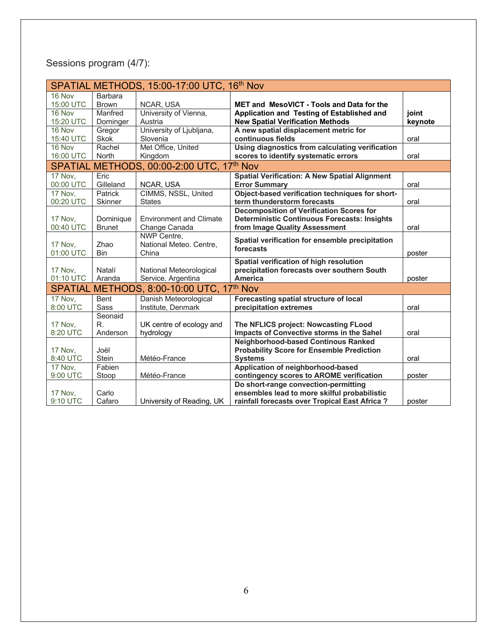# Sessions program (4/7):

|                |                | SPATIAL METHODS, 15:00-17:00 UTC, 16th Nov |                                                      |         |
|----------------|----------------|--------------------------------------------|------------------------------------------------------|---------|
| 16 Nov         | <b>Barbara</b> |                                            |                                                      |         |
| 15:00 UTC      | <b>Brown</b>   | NCAR, USA                                  | <b>MET and MesoVICT - Tools and Data for the</b>     |         |
| 16 Nov         | Manfred        | University of Vienna,                      | Application and Testing of Established and           | joint   |
| 15:20 UTC      | Dorninger      | Austria                                    | <b>New Spatial Verification Methods</b>              | keynote |
| 16 Nov         | Gregor         | University of Ljubljana,                   | A new spatial displacement metric for                |         |
| 15:40 UTC      | <b>Skok</b>    | Slovenia                                   | continuous fields                                    | oral    |
| 16 Nov         | Rachel         | Met Office, United                         | Using diagnostics from calculating verification      |         |
| 16:00 UTC      | North          | Kingdom                                    | scores to identify systematic errors                 | oral    |
|                |                | SPATIAL METHODS, 00:00-2:00 UTC, 17th Nov  |                                                      |         |
| 17 Nov,        | Eric           |                                            | <b>Spatial Verification: A New Spatial Alignment</b> |         |
| 00:00 UTC      | Gilleland      | NCAR, USA                                  | <b>Error Summarv</b>                                 | oral    |
| 17 Nov,        | Patrick        | CIMMS, NSSL, United                        | Object-based verification techniques for short-      |         |
| 00:20 UTC      | <b>Skinner</b> | <b>States</b>                              | term thunderstorm forecasts                          | oral    |
|                |                |                                            | <b>Decomposition of Verification Scores for</b>      |         |
| 17 Nov,        | Dominique      | <b>Environment and Climate</b>             | <b>Deterministic Continuous Forecasts: Insights</b>  |         |
| 00:40 UTC      | <b>Brunet</b>  | Change Canada                              | from Image Quality Assessment                        | oral    |
|                |                | NWP Centre,                                | Spatial verification for ensemble precipitation      |         |
| 17 Nov,        | Zhao           | National Meteo. Centre,                    | forecasts                                            |         |
| 01:00 UTC      | <b>Bin</b>     | China                                      |                                                      | poster  |
|                |                |                                            | Spatial verification of high resolution              |         |
| 17 Nov,        | Natalí         | National Meteorological                    | precipitation forecasts over southern South          |         |
| 01:10 UTC      | Aranda         | Service, Argentina                         | <b>America</b>                                       | poster  |
|                |                | SPATIAL METHODS, 8:00-10:00 UTC, 17th Nov  |                                                      |         |
| 17 Nov.        | Bent           | Danish Meteorological                      | Forecasting spatial structure of local               |         |
| 8:00 UTC       | <b>Sass</b>    | Institute, Denmark                         | precipitation extremes                               | oral    |
|                | Seonaid        |                                            |                                                      |         |
| 17 Nov,        | R.             | UK centre of ecology and                   | The NFLICS project: Nowcasting FLood                 |         |
| 8:20 UTC       | Anderson       | hydrology                                  | Impacts of Convective storms in the Sahel            | oral    |
|                |                |                                            | <b>Neighborhood-based Continous Ranked</b>           |         |
| 17 Nov,        | Joël           |                                            | <b>Probability Score for Ensemble Prediction</b>     |         |
| 8:40 UTC       | <b>Stein</b>   | Météo-France                               | <b>Systems</b>                                       | oral    |
| <b>17 Nov.</b> | Fabien         |                                            | Application of neighborhood-based                    |         |
| 9:00 UTC       | Stoop          | Météo-France                               | contingency scores to AROME verification             | poster  |
|                |                |                                            | Do short-range convection-permitting                 |         |
| 17 Nov,        | Carlo          |                                            | ensembles lead to more skilful probabilistic         |         |
| 9:10 UTC       | Cafaro         | University of Reading, UK                  | rainfall forecasts over Tropical East Africa?        | poster  |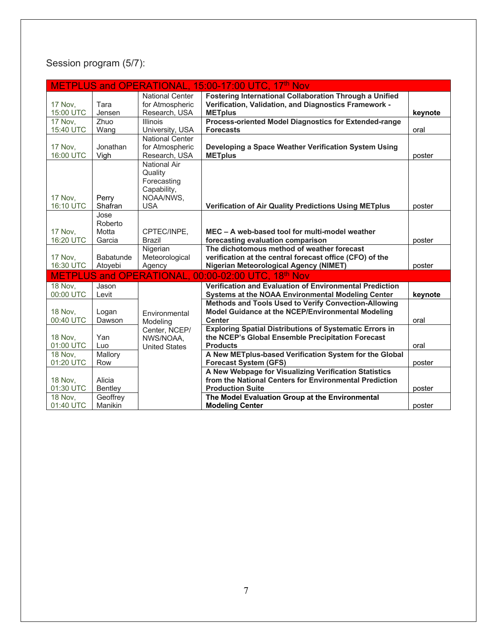# Session program (5/7):

|                |                  |                        | METPLUS and OPERATIONAL, 15:00-17:00 UTC, 17th Nov             |         |
|----------------|------------------|------------------------|----------------------------------------------------------------|---------|
|                |                  | <b>National Center</b> | <b>Fostering International Collaboration Through a Unified</b> |         |
| <b>17 Nov.</b> | Tara             | for Atmospheric        | Verification, Validation, and Diagnostics Framework -          |         |
| 15:00 UTC      | Jensen           | Research, USA          | <b>METplus</b>                                                 | keynote |
| <b>17 Nov.</b> | Zhuo             | Illinois               | Process-oriented Model Diagnostics for Extended-range          |         |
| 15:40 UTC      | Wang             | University, USA        | <b>Forecasts</b>                                               | oral    |
|                |                  | <b>National Center</b> |                                                                |         |
| 17 Nov,        | Jonathan         | for Atmospheric        | Developing a Space Weather Verification System Using           |         |
| 16:00 UTC      | Vigh             | Research, USA          | <b>METplus</b>                                                 | poster  |
|                |                  | <b>National Air</b>    |                                                                |         |
|                |                  | Quality                |                                                                |         |
|                |                  | Forecasting            |                                                                |         |
|                |                  | Capability,            |                                                                |         |
| 17 Nov,        | Perry            | NOAA/NWS,              |                                                                |         |
| 16:10 UTC      | Shafran          | <b>USA</b>             | <b>Verification of Air Quality Predictions Using METplus</b>   | poster  |
|                | Jose             |                        |                                                                |         |
|                | Roberto          |                        |                                                                |         |
| 17 Nov,        | Motta            | CPTEC/INPE,            | MEC - A web-based tool for multi-model weather                 |         |
| 16:20 UTC      | Garcia           | <b>Brazil</b>          | forecasting evaluation comparison                              | poster  |
|                |                  | Nigerian               | The dichotomous method of weather forecast                     |         |
| <b>17 Nov.</b> | <b>Babatunde</b> | Meteorological         | verification at the central forecast office (CFO) of the       |         |
| 16:30 UTC      | Atovebi          | Agency                 | <b>Nigerian Meteorological Agency (NIMET)</b>                  | poster  |
| <b>METPLUS</b> |                  | and OPERATIONAL.       | 00:00-02:00 UTC, 18 <sup>th</sup> Nov                          |         |
| <b>18 Nov.</b> | Jason            |                        | <b>Verification and Evaluation of Environmental Prediction</b> |         |
| 00:00 UTC      | Levit            |                        | Systems at the NOAA Environmental Modeling Center              | keynote |
|                |                  |                        | Methods and Tools Used to Verify Convection-Allowing           |         |
| <b>18 Nov.</b> | Logan            | Environmental          | Model Guidance at the NCEP/Environmental Modeling              |         |
| 00:40 UTC      | Dawson           | Modeling               | <b>Center</b>                                                  | oral    |
|                |                  | Center, NCEP/          | <b>Exploring Spatial Distributions of Systematic Errors in</b> |         |
| <b>18 Nov.</b> | Yan              | NWS/NOAA,              | the NCEP's Global Ensemble Precipitation Forecast              |         |
| 01:00 UTC      | Luo              | <b>United States</b>   | <b>Products</b>                                                | oral    |
| <b>18 Nov.</b> | Mallory          |                        | A New METplus-based Verification System for the Global         |         |
| 01:20 UTC      | Row              |                        | <b>Forecast System (GFS)</b>                                   | poster  |
|                |                  |                        | A New Webpage for Visualizing Verification Statistics          |         |
| <b>18 Nov,</b> | Alicia           |                        | from the National Centers for Environmental Prediction         |         |
| 01:30 UTC      | Bentley          |                        | <b>Production Suite</b>                                        | poster  |
| <b>18 Nov.</b> | Geoffrey         |                        | The Model Evaluation Group at the Environmental                |         |
| 01:40 UTC      | Manikin          |                        | <b>Modeling Center</b>                                         | poster  |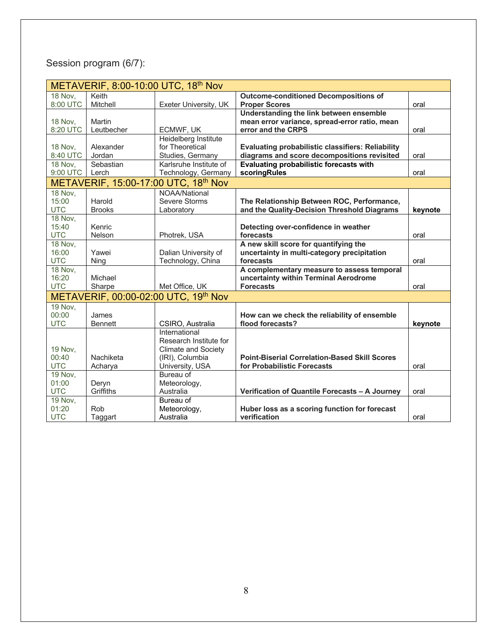# Session program (6/7):

|                | METAVERIF, 8:00-10:00 UTC, 18th Nov |                                      |                                                          |         |  |
|----------------|-------------------------------------|--------------------------------------|----------------------------------------------------------|---------|--|
| <b>18 Nov.</b> | Keith                               |                                      | <b>Outcome-conditioned Decompositions of</b>             |         |  |
| 8:00 UTC       | Mitchell                            | Exeter University, UK                | <b>Proper Scores</b>                                     | oral    |  |
|                |                                     |                                      | Understanding the link between ensemble                  |         |  |
| <b>18 Nov.</b> | Martin                              |                                      | mean error variance, spread-error ratio, mean            |         |  |
| 8:20 UTC       | Leutbecher                          | ECMWF, UK                            | error and the CRPS                                       | oral    |  |
|                |                                     | Heidelberg Institute                 |                                                          |         |  |
| <b>18 Nov.</b> | Alexander                           | for Theoretical                      | <b>Evaluating probabilistic classifiers: Reliability</b> |         |  |
| 8:40 UTC       | Jordan                              | Studies, Germany                     | diagrams and score decompositions revisited              | oral    |  |
| <b>18 Nov.</b> | Sebastian                           | Karlsruhe Institute of               | <b>Evaluating probabilistic forecasts with</b>           |         |  |
| 9:00 UTC       | Lerch                               | Technology, Germany                  | scoringRules                                             | oral    |  |
|                |                                     | METAVERIF, 15:00-17:00 UTC, 18th Nov |                                                          |         |  |
| <b>18 Nov.</b> |                                     | NOAA/National                        |                                                          |         |  |
| 15:00          | Harold                              | Severe Storms                        | The Relationship Between ROC, Performance,               |         |  |
| <b>UTC</b>     | <b>Brooks</b>                       | Laboratory                           | and the Quality-Decision Threshold Diagrams              | keynote |  |
| <b>18 Nov.</b> |                                     |                                      |                                                          |         |  |
| 15:40          | Kenric                              |                                      | Detecting over-confidence in weather                     |         |  |
| <b>UTC</b>     | Nelson                              | Photrek, USA                         | forecasts                                                | oral    |  |
| <b>18 Nov.</b> |                                     |                                      | A new skill score for quantifying the                    |         |  |
| 16:00          | Yawei                               | Dalian University of                 | uncertainty in multi-category precipitation              |         |  |
| <b>UTC</b>     | Ning                                | Technology, China                    | forecasts                                                | oral    |  |
| <b>18 Nov.</b> |                                     |                                      | A complementary measure to assess temporal               |         |  |
| 16:20          | Michael                             |                                      | uncertainty within Terminal Aerodrome                    |         |  |
| <b>UTC</b>     | Sharpe                              | Met Office, UK                       | <b>Forecasts</b>                                         | oral    |  |
|                |                                     | METAVERIF, 00:00-02:00 UTC, 19th Nov |                                                          |         |  |
| <b>19 Nov.</b> |                                     |                                      |                                                          |         |  |
| 00:00          | James                               |                                      | How can we check the reliability of ensemble             |         |  |
| <b>UTC</b>     | <b>Bennett</b>                      | CSIRO, Australia                     | flood forecasts?                                         | keynote |  |
|                |                                     | International                        |                                                          |         |  |
|                |                                     | Research Institute for               |                                                          |         |  |
| 19 Nov,        |                                     | <b>Climate and Society</b>           |                                                          |         |  |
| 00:40          | Nachiketa                           | (IRI), Columbia                      | <b>Point-Biserial Correlation-Based Skill Scores</b>     |         |  |
| <b>UTC</b>     | Acharya                             | University, USA                      | for Probabilistic Forecasts                              | oral    |  |
| <b>19 Nov,</b> |                                     | Bureau of                            |                                                          |         |  |
| 01:00          | Deryn                               | Meteorology,                         |                                                          |         |  |
| <b>UTC</b>     | Griffiths                           | Australia                            | Verification of Quantile Forecasts - A Journey           | oral    |  |
| <b>19 Nov.</b> |                                     | Bureau of                            |                                                          |         |  |
| 01:20          | Rob                                 | Meteorology,                         | Huber loss as a scoring function for forecast            |         |  |
| <b>UTC</b>     | Taggart                             | Australia                            | verification                                             | oral    |  |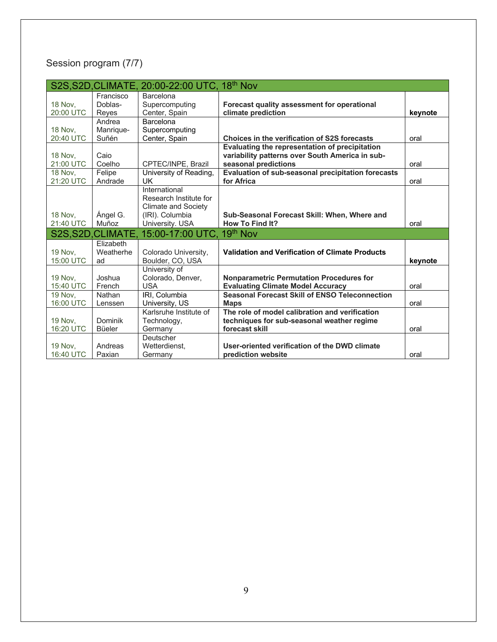# Session program (7/7)

|                | S2S, S2D, CLIMATE, | 20:00-22:00 UTC, 18 <sup>th</sup> Nov |                                                        |         |
|----------------|--------------------|---------------------------------------|--------------------------------------------------------|---------|
|                | Francisco          | Barcelona                             |                                                        |         |
| <b>18 Nov.</b> | Doblas-            | Supercomputing                        | Forecast quality assessment for operational            |         |
| 20:00 UTC      | Reyes              | Center, Spain                         | climate prediction                                     | keynote |
|                | Andrea             | Barcelona                             |                                                        |         |
| <b>18 Nov,</b> | Manrique-          | Supercomputing                        |                                                        |         |
| 20:40 UTC      | Suñén              | Center, Spain                         | Choices in the verification of S2S forecasts           | oral    |
|                |                    |                                       | Evaluating the representation of precipitation         |         |
| <b>18 Nov.</b> | Caio               |                                       | variability patterns over South America in sub-        |         |
| 21:00 UTC      | Coelho             | CPTEC/INPE, Brazil                    | seasonal predictions                                   | oral    |
| <b>18 Nov.</b> | Felipe             | University of Reading,                | Evaluation of sub-seasonal precipitation forecasts     |         |
| 21:20 UTC      | Andrade            | UK                                    | for Africa                                             | oral    |
|                |                    | International                         |                                                        |         |
|                |                    | Research Institute for                |                                                        |         |
|                |                    | <b>Climate and Society</b>            |                                                        |         |
| <b>18 Nov.</b> | Ángel G.           | (IRI). Columbia                       | Sub-Seasonal Forecast Skill: When, Where and           |         |
| 21:40 UTC      | Muñoz              | University. USA                       | <b>How To Find It?</b>                                 | oral    |
|                | S2S, S2D, CLIMATE. | 15:00-17:00 UTC.                      | 19 <sup>th</sup> Nov                                   |         |
|                | Elizabeth          |                                       |                                                        |         |
| <b>19 Nov.</b> | Weatherhe          | Colorado University,                  | <b>Validation and Verification of Climate Products</b> |         |
| 15:00 UTC      | ad                 | Boulder, CO, USA                      |                                                        | keynote |
|                |                    | University of                         |                                                        |         |
| <b>19 Nov.</b> | Joshua             | Colorado, Denver,                     | <b>Nonparametric Permutation Procedures for</b>        |         |
|                |                    |                                       |                                                        |         |
| 15:40 UTC      | French             | <b>USA</b>                            | <b>Evaluating Climate Model Accuracy</b>               | oral    |
| <b>19 Nov.</b> | Nathan             | IRI, Columbia                         | <b>Seasonal Forecast Skill of ENSO Teleconnection</b>  |         |
| 16:00 UTC      | Lenssen            | University, US                        | <b>Maps</b>                                            | oral    |
|                |                    | Karlsruhe Institute of                | The role of model calibration and verification         |         |
| <b>19 Nov,</b> | Dominik            | Technology,                           | techniques for sub-seasonal weather regime             |         |
| 16:20 UTC      | Büeler             | Germany                               | forecast skill                                         | oral    |
|                |                    | Deutscher                             |                                                        |         |
| <b>19 Nov.</b> | Andreas            | Wetterdienst,                         | User-oriented verification of the DWD climate          |         |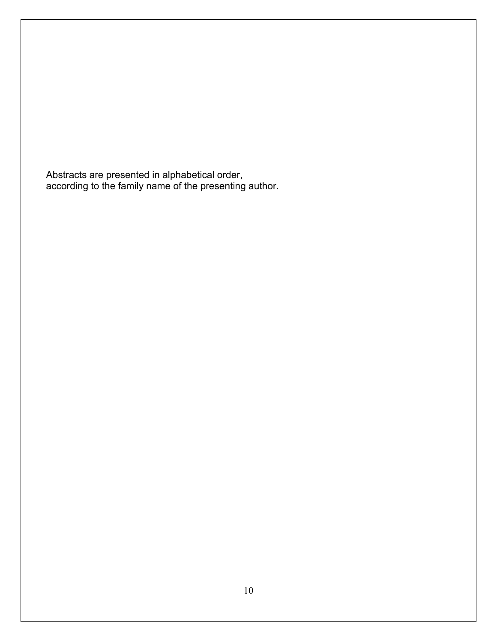Abstracts are presented in alphabetical order, according to the family name of the presenting author.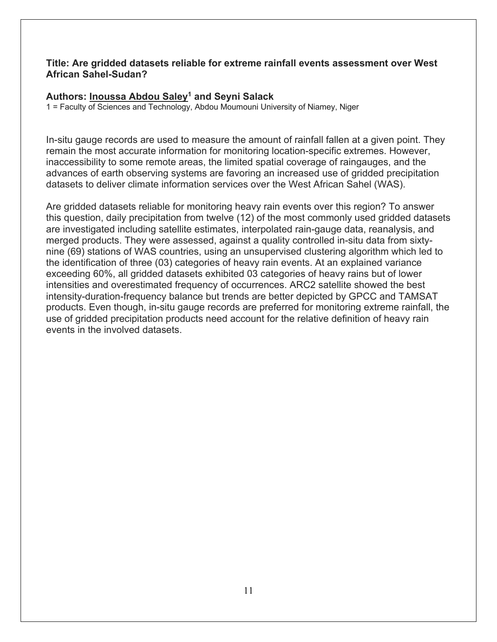#### **Title: Are gridded datasets reliable for extreme rainfall events assessment over West African Sahel-Sudan?**

#### **Authors: Inoussa Abdou Saley1 and Seyni Salack**

1 = Faculty of Sciences and Technology, Abdou Moumouni University of Niamey, Niger

In-situ gauge records are used to measure the amount of rainfall fallen at a given point. They remain the most accurate information for monitoring location-specific extremes. However, inaccessibility to some remote areas, the limited spatial coverage of raingauges, and the advances of earth observing systems are favoring an increased use of gridded precipitation datasets to deliver climate information services over the West African Sahel (WAS).

Are gridded datasets reliable for monitoring heavy rain events over this region? To answer this question, daily precipitation from twelve (12) of the most commonly used gridded datasets are investigated including satellite estimates, interpolated rain-gauge data, reanalysis, and merged products. They were assessed, against a quality controlled in-situ data from sixtynine (69) stations of WAS countries, using an unsupervised clustering algorithm which led to the identification of three (03) categories of heavy rain events. At an explained variance exceeding 60%, all gridded datasets exhibited 03 categories of heavy rains but of lower intensities and overestimated frequency of occurrences. ARC2 satellite showed the best intensity-duration-frequency balance but trends are better depicted by GPCC and TAMSAT products. Even though, in-situ gauge records are preferred for monitoring extreme rainfall, the use of gridded precipitation products need account for the relative definition of heavy rain events in the involved datasets.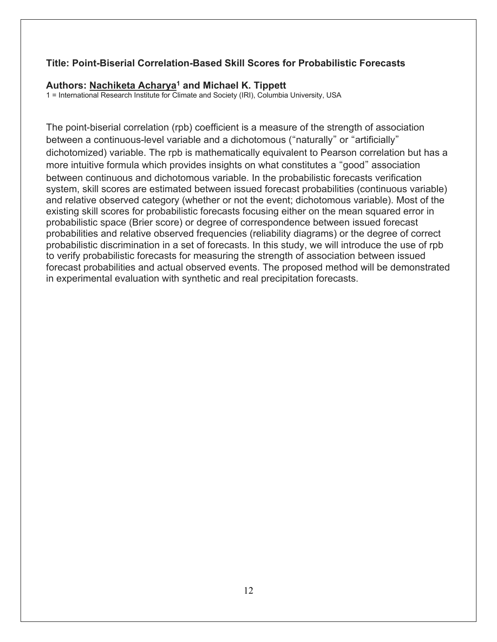#### **Title: Point-Biserial Correlation-Based Skill Scores for Probabilistic Forecasts**

#### **Authors: Nachiketa Acharya1 and Michael K. Tippett**

1 = International Research Institute for Climate and Society (IRI), Columbia University, USA

The point-biserial correlation (rpb) coefficient is a measure of the strength of association between a continuous-level variable and a dichotomous ("naturally" or "artificially" dichotomized) variable. The rpb is mathematically equivalent to Pearson correlation but has a more intuitive formula which provides insights on what constitutes a "good" association between continuous and dichotomous variable. In the probabilistic forecasts verification system, skill scores are estimated between issued forecast probabilities (continuous variable) and relative observed category (whether or not the event; dichotomous variable). Most of the existing skill scores for probabilistic forecasts focusing either on the mean squared error in probabilistic space (Brier score) or degree of correspondence between issued forecast probabilities and relative observed frequencies (reliability diagrams) or the degree of correct probabilistic discrimination in a set of forecasts. In this study, we will introduce the use of rpb to verify probabilistic forecasts for measuring the strength of association between issued forecast probabilities and actual observed events. The proposed method will be demonstrated in experimental evaluation with synthetic and real precipitation forecasts.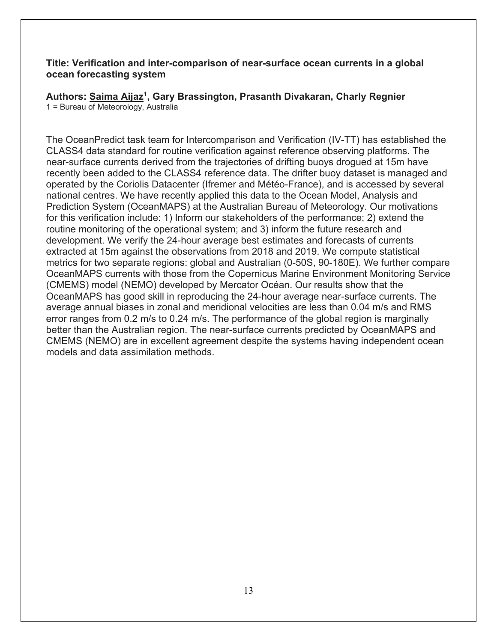#### **Title: Verification and inter-comparison of near-surface ocean currents in a global ocean forecasting system**

**Authors: Saima Aijaz1, Gary Brassington, Prasanth Divakaran, Charly Regnier** 1 = Bureau of Meteorology, Australia

The OceanPredict task team for Intercomparison and Verification (IV-TT) has established the CLASS4 data standard for routine verification against reference observing platforms. The near-surface currents derived from the trajectories of drifting buoys drogued at 15m have recently been added to the CLASS4 reference data. The drifter buoy dataset is managed and operated by the Coriolis Datacenter (Ifremer and Météo-France), and is accessed by several national centres. We have recently applied this data to the Ocean Model, Analysis and Prediction System (OceanMAPS) at the Australian Bureau of Meteorology. Our motivations for this verification include: 1) Inform our stakeholders of the performance; 2) extend the routine monitoring of the operational system; and 3) inform the future research and development. We verify the 24-hour average best estimates and forecasts of currents extracted at 15m against the observations from 2018 and 2019. We compute statistical metrics for two separate regions: global and Australian (0-50S, 90-180E). We further compare OceanMAPS currents with those from the Copernicus Marine Environment Monitoring Service (CMEMS) model (NEMO) developed by Mercator Océan. Our results show that the OceanMAPS has good skill in reproducing the 24-hour average near-surface currents. The average annual biases in zonal and meridional velocities are less than 0.04 m/s and RMS error ranges from 0.2 m/s to 0.24 m/s. The performance of the global region is marginally better than the Australian region. The near-surface currents predicted by OceanMAPS and CMEMS (NEMO) are in excellent agreement despite the systems having independent ocean models and data assimilation methods.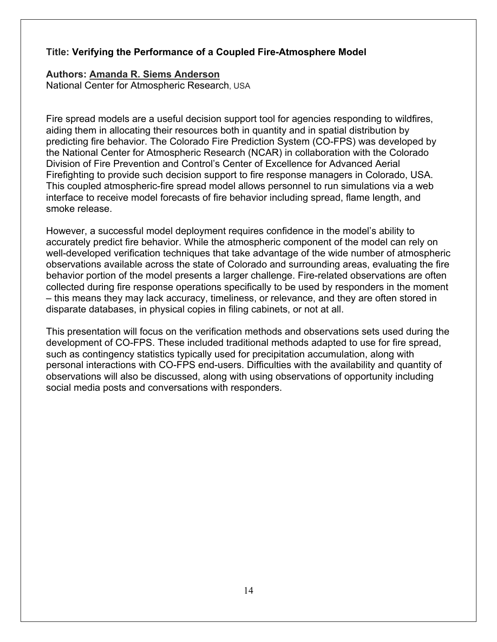#### **Title: Verifying the Performance of a Coupled Fire-Atmosphere Model**

#### **Authors: Amanda R. Siems Anderson**

National Center for Atmospheric Research, USA

Fire spread models are a useful decision support tool for agencies responding to wildfires, aiding them in allocating their resources both in quantity and in spatial distribution by predicting fire behavior. The Colorado Fire Prediction System (CO-FPS) was developed by the National Center for Atmospheric Research (NCAR) in collaboration with the Colorado Division of Fire Prevention and Control's Center of Excellence for Advanced Aerial Firefighting to provide such decision support to fire response managers in Colorado, USA. This coupled atmospheric-fire spread model allows personnel to run simulations via a web interface to receive model forecasts of fire behavior including spread, flame length, and smoke release.

However, a successful model deployment requires confidence in the model's ability to accurately predict fire behavior. While the atmospheric component of the model can rely on well-developed verification techniques that take advantage of the wide number of atmospheric observations available across the state of Colorado and surrounding areas, evaluating the fire behavior portion of the model presents a larger challenge. Fire-related observations are often collected during fire response operations specifically to be used by responders in the moment – this means they may lack accuracy, timeliness, or relevance, and they are often stored in disparate databases, in physical copies in filing cabinets, or not at all.

This presentation will focus on the verification methods and observations sets used during the development of CO-FPS. These included traditional methods adapted to use for fire spread, such as contingency statistics typically used for precipitation accumulation, along with personal interactions with CO-FPS end-users. Difficulties with the availability and quantity of observations will also be discussed, along with using observations of opportunity including social media posts and conversations with responders.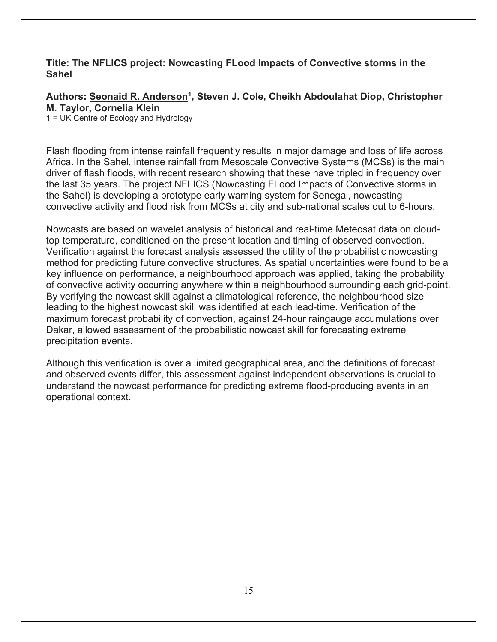#### **Title: The NFLICS project: Nowcasting FLood Impacts of Convective storms in the Sahel**

Authors: Seonaid R. Anderson<sup>1</sup>, Steven J. Cole, Cheikh Abdoulahat Diop, Christopher **M. Taylor, Cornelia Klein**

1 = UK Centre of Ecology and Hydrology

Flash flooding from intense rainfall frequently results in major damage and loss of life across Africa. In the Sahel, intense rainfall from Mesoscale Convective Systems (MCSs) is the main driver of flash floods, with recent research showing that these have tripled in frequency over the last 35 years. The project NFLICS (Nowcasting FLood Impacts of Convective storms in the Sahel) is developing a prototype early warning system for Senegal, nowcasting convective activity and flood risk from MCSs at city and sub-national scales out to 6-hours.

Nowcasts are based on wavelet analysis of historical and real-time Meteosat data on cloudtop temperature, conditioned on the present location and timing of observed convection. Verification against the forecast analysis assessed the utility of the probabilistic nowcasting method for predicting future convective structures. As spatial uncertainties were found to be a key influence on performance, a neighbourhood approach was applied, taking the probability of convective activity occurring anywhere within a neighbourhood surrounding each grid-point. By verifying the nowcast skill against a climatological reference, the neighbourhood size leading to the highest nowcast skill was identified at each lead-time. Verification of the maximum forecast probability of convection, against 24-hour raingauge accumulations over Dakar, allowed assessment of the probabilistic nowcast skill for forecasting extreme precipitation events.

Although this verification is over a limited geographical area, and the definitions of forecast and observed events differ, this assessment against independent observations is crucial to understand the nowcast performance for predicting extreme flood-producing events in an operational context.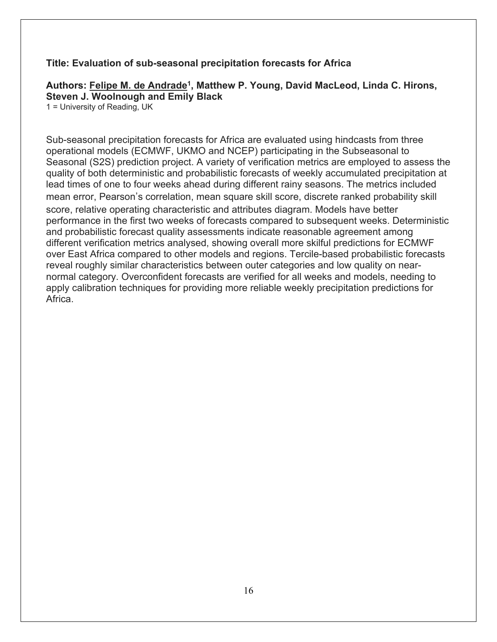#### **Title: Evaluation of sub-seasonal precipitation forecasts for Africa**

#### **Authors: Felipe M. de Andrade1, Matthew P. Young, David MacLeod, Linda C. Hirons, Steven J. Woolnough and Emily Black**

1 = University of Reading, UK

Sub-seasonal precipitation forecasts for Africa are evaluated using hindcasts from three operational models (ECMWF, UKMO and NCEP) participating in the Subseasonal to Seasonal (S2S) prediction project. A variety of verification metrics are employed to assess the quality of both deterministic and probabilistic forecasts of weekly accumulated precipitation at lead times of one to four weeks ahead during different rainy seasons. The metrics included mean error, Pearson's correlation, mean square skill score, discrete ranked probability skill score, relative operating characteristic and attributes diagram. Models have better performance in the first two weeks of forecasts compared to subsequent weeks. Deterministic and probabilistic forecast quality assessments indicate reasonable agreement among different verification metrics analysed, showing overall more skilful predictions for ECMWF over East Africa compared to other models and regions. Tercile-based probabilistic forecasts reveal roughly similar characteristics between outer categories and low quality on nearnormal category. Overconfident forecasts are verified for all weeks and models, needing to apply calibration techniques for providing more reliable weekly precipitation predictions for Africa.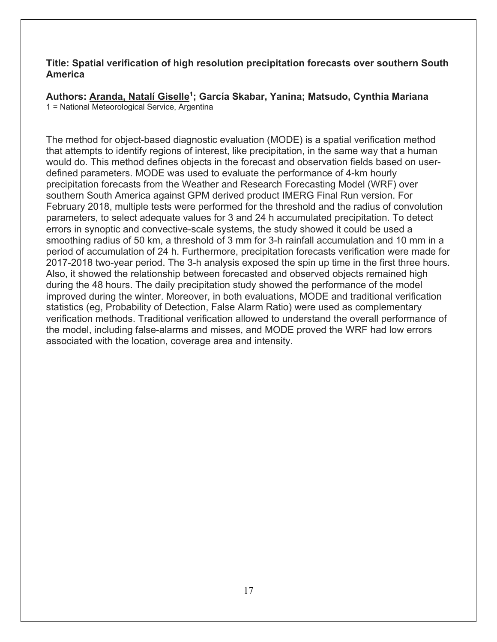#### **Title: Spatial verification of high resolution precipitation forecasts over southern South America**

**Authors: Aranda, Natalí Giselle1; García Skabar, Yanina; Matsudo, Cynthia Mariana** 1 = National Meteorological Service, Argentina

The method for object-based diagnostic evaluation (MODE) is a spatial verification method that attempts to identify regions of interest, like precipitation, in the same way that a human would do. This method defines objects in the forecast and observation fields based on userdefined parameters. MODE was used to evaluate the performance of 4-km hourly precipitation forecasts from the Weather and Research Forecasting Model (WRF) over southern South America against GPM derived product IMERG Final Run version. For February 2018, multiple tests were performed for the threshold and the radius of convolution parameters, to select adequate values for 3 and 24 h accumulated precipitation. To detect errors in synoptic and convective-scale systems, the study showed it could be used a smoothing radius of 50 km, a threshold of 3 mm for 3-h rainfall accumulation and 10 mm in a period of accumulation of 24 h. Furthermore, precipitation forecasts verification were made for 2017-2018 two-year period. The 3-h analysis exposed the spin up time in the first three hours. Also, it showed the relationship between forecasted and observed objects remained high during the 48 hours. The daily precipitation study showed the performance of the model improved during the winter. Moreover, in both evaluations, MODE and traditional verification statistics (eg, Probability of Detection, False Alarm Ratio) were used as complementary verification methods. Traditional verification allowed to understand the overall performance of the model, including false-alarms and misses, and MODE proved the WRF had low errors associated with the location, coverage area and intensity.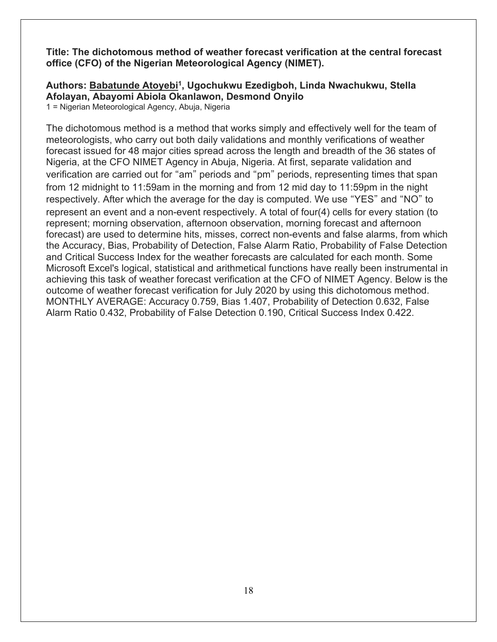**Title: The dichotomous method of weather forecast verification at the central forecast office (CFO) of the Nigerian Meteorological Agency (NIMET).**

### **Authors: Babatunde Atoyebi1, Ugochukwu Ezedigboh, Linda Nwachukwu, Stella Afolayan, Abayomi Abiola Okanlawon, Desmond Onyilo**

1 = Nigerian Meteorological Agency, Abuja, Nigeria

The dichotomous method is a method that works simply and effectively well for the team of meteorologists, who carry out both daily validations and monthly verifications of weather forecast issued for 48 major cities spread across the length and breadth of the 36 states of Nigeria, at the CFO NIMET Agency in Abuja, Nigeria. At first, separate validation and verification are carried out for "am" periods and "pm" periods, representing times that span from 12 midnight to 11:59am in the morning and from 12 mid day to 11:59pm in the night respectively. After which the average for the day is computed. We use "YES" and "NO" to represent an event and a non-event respectively. A total of four(4) cells for every station (to represent; morning observation, afternoon observation, morning forecast and afternoon forecast) are used to determine hits, misses, correct non-events and false alarms, from which the Accuracy, Bias, Probability of Detection, False Alarm Ratio, Probability of False Detection and Critical Success Index for the weather forecasts are calculated for each month. Some Microsoft Excel's logical, statistical and arithmetical functions have really been instrumental in achieving this task of weather forecast verification at the CFO of NIMET Agency. Below is the outcome of weather forecast verification for July 2020 by using this dichotomous method. MONTHLY AVERAGE: Accuracy 0.759, Bias 1.407, Probability of Detection 0.632, False Alarm Ratio 0.432, Probability of False Detection 0.190, Critical Success Index 0.422.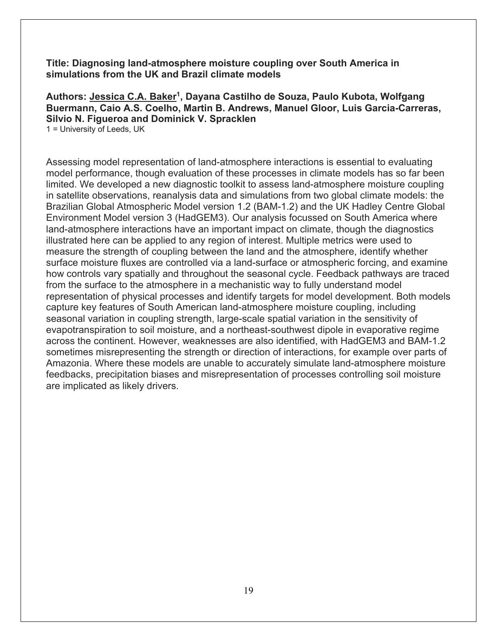**Title: Diagnosing land-atmosphere moisture coupling over South America in simulations from the UK and Brazil climate models**

**Authors: Jessica C.A. Baker1, Dayana Castilho de Souza, Paulo Kubota, Wolfgang Buermann, Caio A.S. Coelho, Martin B. Andrews, Manuel Gloor, Luis Garcia-Carreras, Silvio N. Figueroa and Dominick V. Spracklen** 1 = University of Leeds, UK

Assessing model representation of land-atmosphere interactions is essential to evaluating model performance, though evaluation of these processes in climate models has so far been limited. We developed a new diagnostic toolkit to assess land-atmosphere moisture coupling in satellite observations, reanalysis data and simulations from two global climate models: the Brazilian Global Atmospheric Model version 1.2 (BAM-1.2) and the UK Hadley Centre Global Environment Model version 3 (HadGEM3). Our analysis focussed on South America where land-atmosphere interactions have an important impact on climate, though the diagnostics illustrated here can be applied to any region of interest. Multiple metrics were used to measure the strength of coupling between the land and the atmosphere, identify whether surface moisture fluxes are controlled via a land-surface or atmospheric forcing, and examine how controls vary spatially and throughout the seasonal cycle. Feedback pathways are traced from the surface to the atmosphere in a mechanistic way to fully understand model representation of physical processes and identify targets for model development. Both models capture key features of South American land-atmosphere moisture coupling, including seasonal variation in coupling strength, large-scale spatial variation in the sensitivity of evapotranspiration to soil moisture, and a northeast-southwest dipole in evaporative regime across the continent. However, weaknesses are also identified, with HadGEM3 and BAM-1.2 sometimes misrepresenting the strength or direction of interactions, for example over parts of Amazonia. Where these models are unable to accurately simulate land-atmosphere moisture feedbacks, precipitation biases and misrepresentation of processes controlling soil moisture are implicated as likely drivers.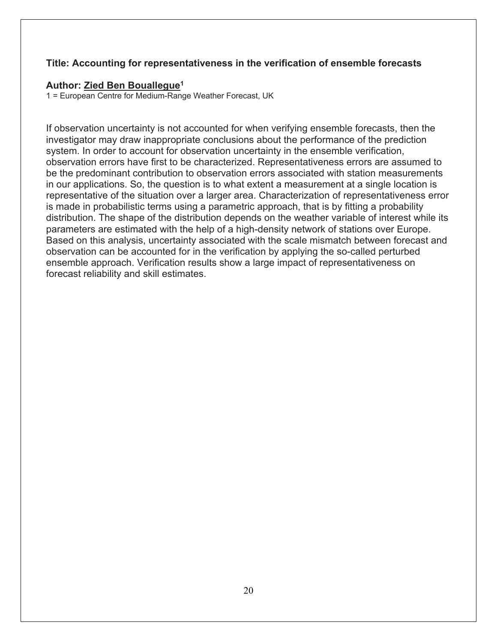#### **Title: Accounting for representativeness in the verification of ensemble forecasts**

#### **Author: Zied Ben Bouallegue1**

1 = European Centre for Medium-Range Weather Forecast, UK

If observation uncertainty is not accounted for when verifying ensemble forecasts, then the investigator may draw inappropriate conclusions about the performance of the prediction system. In order to account for observation uncertainty in the ensemble verification, observation errors have first to be characterized. Representativeness errors are assumed to be the predominant contribution to observation errors associated with station measurements in our applications. So, the question is to what extent a measurement at a single location is representative of the situation over a larger area. Characterization of representativeness error is made in probabilistic terms using a parametric approach, that is by fitting a probability distribution. The shape of the distribution depends on the weather variable of interest while its parameters are estimated with the help of a high-density network of stations over Europe. Based on this analysis, uncertainty associated with the scale mismatch between forecast and observation can be accounted for in the verification by applying the so-called perturbed ensemble approach. Verification results show a large impact of representativeness on forecast reliability and skill estimates.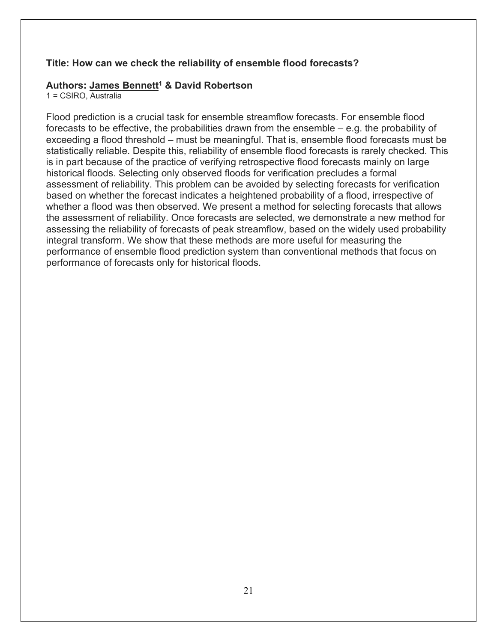#### **Title: How can we check the reliability of ensemble flood forecasts?**

#### **Authors: James Bennett1 & David Robertson**

1 = CSIRO, Australia

Flood prediction is a crucial task for ensemble streamflow forecasts. For ensemble flood forecasts to be effective, the probabilities drawn from the ensemble – e.g. the probability of exceeding a flood threshold – must be meaningful. That is, ensemble flood forecasts must be statistically reliable. Despite this, reliability of ensemble flood forecasts is rarely checked. This is in part because of the practice of verifying retrospective flood forecasts mainly on large historical floods. Selecting only observed floods for verification precludes a formal assessment of reliability. This problem can be avoided by selecting forecasts for verification based on whether the forecast indicates a heightened probability of a flood, irrespective of whether a flood was then observed. We present a method for selecting forecasts that allows the assessment of reliability. Once forecasts are selected, we demonstrate a new method for assessing the reliability of forecasts of peak streamflow, based on the widely used probability integral transform. We show that these methods are more useful for measuring the performance of ensemble flood prediction system than conventional methods that focus on performance of forecasts only for historical floods.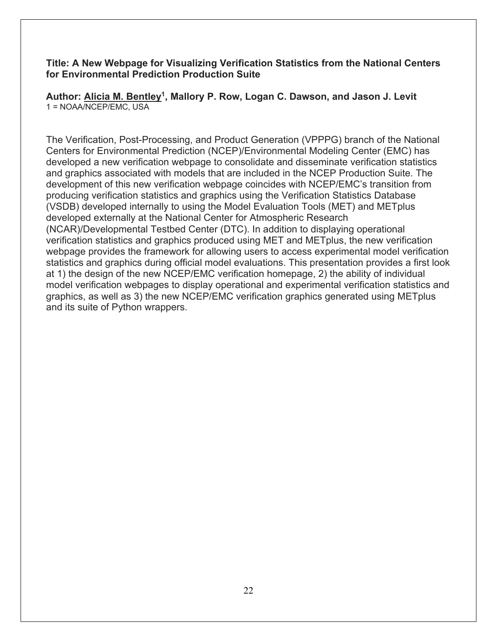#### **Title: A New Webpage for Visualizing Verification Statistics from the National Centers for Environmental Prediction Production Suite**

**Author: Alicia M. Bentley1, Mallory P. Row, Logan C. Dawson, and Jason J. Levit** 1 = NOAA/NCEP/EMC, USA

The Verification, Post-Processing, and Product Generation (VPPPG) branch of the National Centers for Environmental Prediction (NCEP)/Environmental Modeling Center (EMC) has developed a new verification webpage to consolidate and disseminate verification statistics and graphics associated with models that are included in the NCEP Production Suite. The development of this new verification webpage coincides with NCEP/EMC's transition from producing verification statistics and graphics using the Verification Statistics Database (VSDB) developed internally to using the Model Evaluation Tools (MET) and METplus developed externally at the National Center for Atmospheric Research (NCAR)/Developmental Testbed Center (DTC). In addition to displaying operational verification statistics and graphics produced using MET and METplus, the new verification webpage provides the framework for allowing users to access experimental model verification statistics and graphics during official model evaluations. This presentation provides a first look at 1) the design of the new NCEP/EMC verification homepage, 2) the ability of individual model verification webpages to display operational and experimental verification statistics and graphics, as well as 3) the new NCEP/EMC verification graphics generated using METplus and its suite of Python wrappers.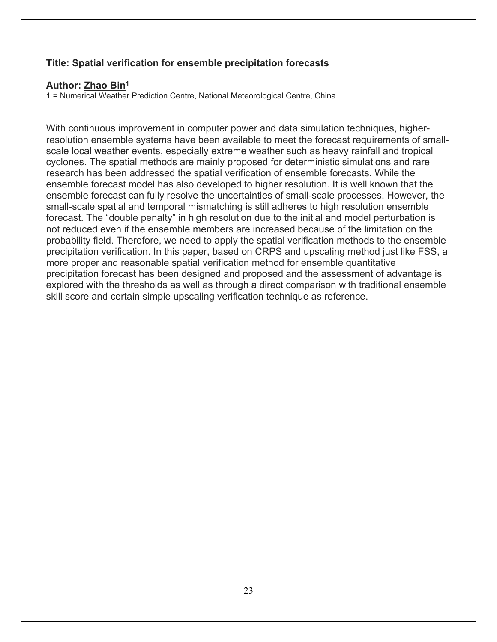#### **Title: Spatial verification for ensemble precipitation forecasts**

#### **Author: Zhao Bin1**

1 = Numerical Weather Prediction Centre, National Meteorological Centre, China

With continuous improvement in computer power and data simulation techniques, higherresolution ensemble systems have been available to meet the forecast requirements of smallscale local weather events, especially extreme weather such as heavy rainfall and tropical cyclones. The spatial methods are mainly proposed for deterministic simulations and rare research has been addressed the spatial verification of ensemble forecasts. While the ensemble forecast model has also developed to higher resolution. It is well known that the ensemble forecast can fully resolve the uncertainties of small-scale processes. However, the small-scale spatial and temporal mismatching is still adheres to high resolution ensemble forecast. The "double penalty" in high resolution due to the initial and model perturbation is not reduced even if the ensemble members are increased because of the limitation on the probability field. Therefore, we need to apply the spatial verification methods to the ensemble precipitation verification. In this paper, based on CRPS and upscaling method just like FSS, a more proper and reasonable spatial verification method for ensemble quantitative precipitation forecast has been designed and proposed and the assessment of advantage is explored with the thresholds as well as through a direct comparison with traditional ensemble skill score and certain simple upscaling verification technique as reference.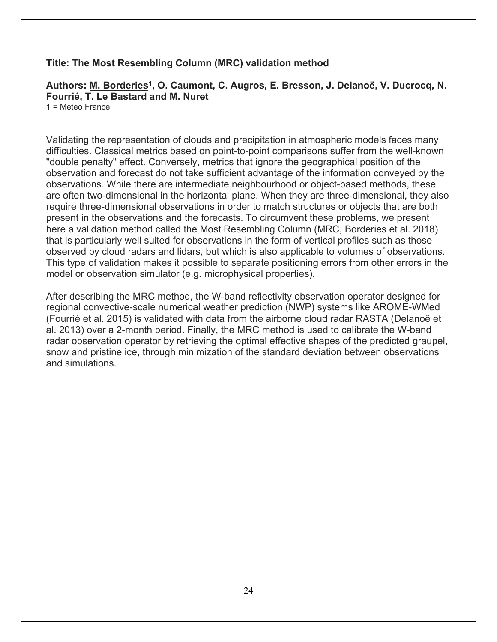#### **Title: The Most Resembling Column (MRC) validation method**

Authors: M. Borderies<sup>1</sup>, O. Caumont, C. Augros, E. Bresson, J. Delanoë, V. Ducrocq, N. **Fourrié, T. Le Bastard and M. Nuret**

1 = Meteo France

Validating the representation of clouds and precipitation in atmospheric models faces many difficulties. Classical metrics based on point-to-point comparisons suffer from the well-known "double penalty" effect. Conversely, metrics that ignore the geographical position of the observation and forecast do not take sufficient advantage of the information conveyed by the observations. While there are intermediate neighbourhood or object-based methods, these are often two-dimensional in the horizontal plane. When they are three-dimensional, they also require three-dimensional observations in order to match structures or objects that are both present in the observations and the forecasts. To circumvent these problems, we present here a validation method called the Most Resembling Column (MRC, Borderies et al. 2018) that is particularly well suited for observations in the form of vertical profiles such as those observed by cloud radars and lidars, but which is also applicable to volumes of observations. This type of validation makes it possible to separate positioning errors from other errors in the model or observation simulator (e.g. microphysical properties).

After describing the MRC method, the W-band reflectivity observation operator designed for regional convective-scale numerical weather prediction (NWP) systems like AROME-WMed (Fourrié et al. 2015) is validated with data from the airborne cloud radar RASTA (Delanoë et al. 2013) over a 2-month period. Finally, the MRC method is used to calibrate the W-band radar observation operator by retrieving the optimal effective shapes of the predicted graupel, snow and pristine ice, through minimization of the standard deviation between observations and simulations.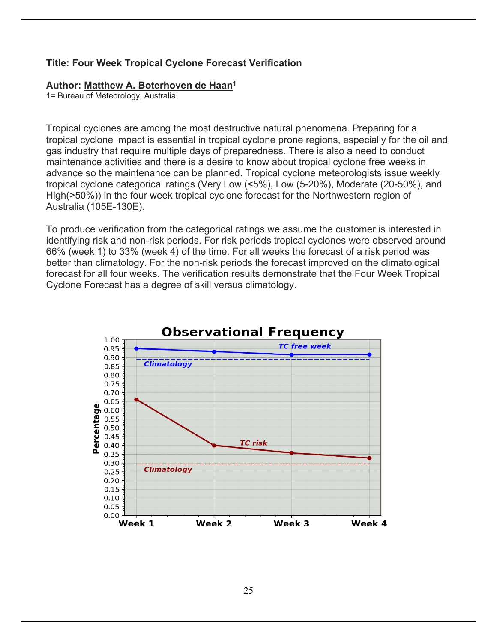#### **Title: Four Week Tropical Cyclone Forecast Verification**

#### **Author: Matthew A. Boterhoven de Haan1**

1= Bureau of Meteorology, Australia

Tropical cyclones are among the most destructive natural phenomena. Preparing for a tropical cyclone impact is essential in tropical cyclone prone regions, especially for the oil and gas industry that require multiple days of preparedness. There is also a need to conduct maintenance activities and there is a desire to know about tropical cyclone free weeks in advance so the maintenance can be planned. Tropical cyclone meteorologists issue weekly tropical cyclone categorical ratings (Very Low (<5%), Low (5-20%), Moderate (20-50%), and High(>50%)) in the four week tropical cyclone forecast for the Northwestern region of Australia (105E-130E).

To produce verification from the categorical ratings we assume the customer is interested in identifying risk and non-risk periods. For risk periods tropical cyclones were observed around 66% (week 1) to 33% (week 4) of the time. For all weeks the forecast of a risk period was better than climatology. For the non-risk periods the forecast improved on the climatological forecast for all four weeks. The verification results demonstrate that the Four Week Tropical Cyclone Forecast has a degree of skill versus climatology.

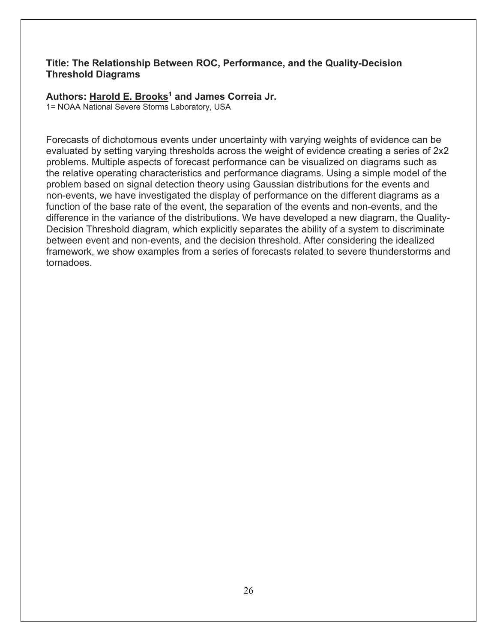#### **Title: The Relationship Between ROC, Performance, and the Quality-Decision Threshold Diagrams**

#### **Authors: Harold E. Brooks1 and James Correia Jr.**

1= NOAA National Severe Storms Laboratory, USA

Forecasts of dichotomous events under uncertainty with varying weights of evidence can be evaluated by setting varying thresholds across the weight of evidence creating a series of 2x2 problems. Multiple aspects of forecast performance can be visualized on diagrams such as the relative operating characteristics and performance diagrams. Using a simple model of the problem based on signal detection theory using Gaussian distributions for the events and non-events, we have investigated the display of performance on the different diagrams as a function of the base rate of the event, the separation of the events and non-events, and the difference in the variance of the distributions. We have developed a new diagram, the Quality-Decision Threshold diagram, which explicitly separates the ability of a system to discriminate between event and non-events, and the decision threshold. After considering the idealized framework, we show examples from a series of forecasts related to severe thunderstorms and tornadoes.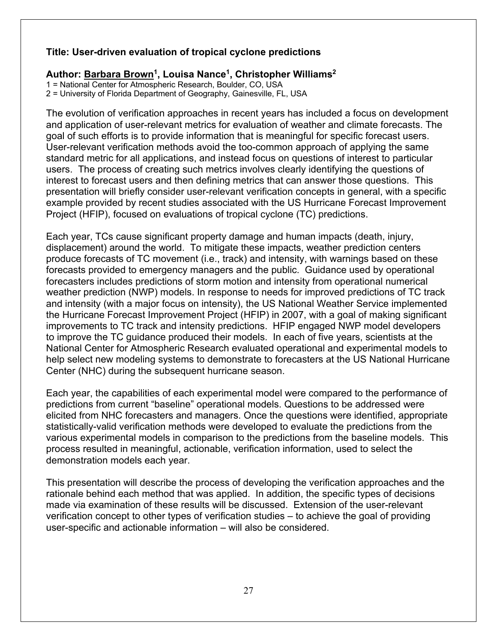#### **Title: User-driven evaluation of tropical cyclone predictions**

#### Author: **Barbara Brown<sup>1</sup>, Louisa Nance<sup>1</sup>, Christopher Williams<sup>2</sup>**

1 = National Center for Atmospheric Research, Boulder, CO, USA

2 = University of Florida Department of Geography, Gainesville, FL, USA

The evolution of verification approaches in recent years has included a focus on development and application of user-relevant metrics for evaluation of weather and climate forecasts. The goal of such efforts is to provide information that is meaningful for specific forecast users. User-relevant verification methods avoid the too-common approach of applying the same standard metric for all applications, and instead focus on questions of interest to particular users. The process of creating such metrics involves clearly identifying the questions of interest to forecast users and then defining metrics that can answer those questions. This presentation will briefly consider user-relevant verification concepts in general, with a specific example provided by recent studies associated with the US Hurricane Forecast Improvement Project (HFIP), focused on evaluations of tropical cyclone (TC) predictions.

Each year, TCs cause significant property damage and human impacts (death, injury, displacement) around the world. To mitigate these impacts, weather prediction centers produce forecasts of TC movement (i.e., track) and intensity, with warnings based on these forecasts provided to emergency managers and the public. Guidance used by operational forecasters includes predictions of storm motion and intensity from operational numerical weather prediction (NWP) models. In response to needs for improved predictions of TC track and intensity (with a major focus on intensity), the US National Weather Service implemented the Hurricane Forecast Improvement Project (HFIP) in 2007, with a goal of making significant improvements to TC track and intensity predictions. HFIP engaged NWP model developers to improve the TC guidance produced their models. In each of five years, scientists at the National Center for Atmospheric Research evaluated operational and experimental models to help select new modeling systems to demonstrate to forecasters at the US National Hurricane Center (NHC) during the subsequent hurricane season.

Each year, the capabilities of each experimental model were compared to the performance of predictions from current "baseline" operational models. Questions to be addressed were elicited from NHC forecasters and managers. Once the questions were identified, appropriate statistically-valid verification methods were developed to evaluate the predictions from the various experimental models in comparison to the predictions from the baseline models. This process resulted in meaningful, actionable, verification information, used to select the demonstration models each year.

This presentation will describe the process of developing the verification approaches and the rationale behind each method that was applied. In addition, the specific types of decisions made via examination of these results will be discussed. Extension of the user-relevant verification concept to other types of verification studies – to achieve the goal of providing user-specific and actionable information – will also be considered.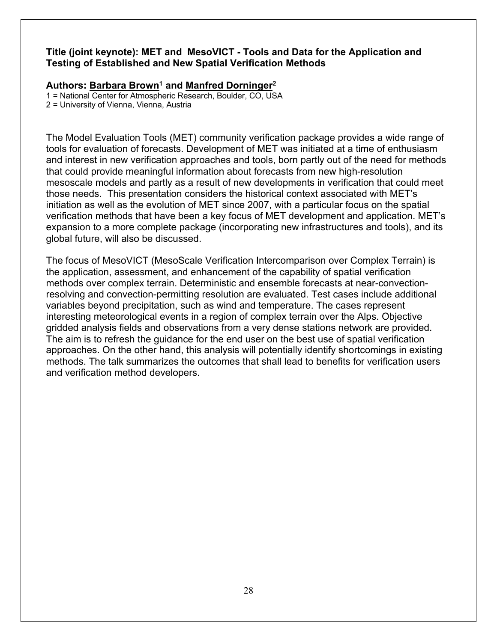#### **Title (joint keynote): MET and MesoVICT - Tools and Data for the Application and Testing of Established and New Spatial Verification Methods**

#### Authors: Barbara Brown<sup>1</sup> and Manfred Dorninger<sup>2</sup>

1 = National Center for Atmospheric Research, Boulder, CO, USA

2 = University of Vienna, Vienna, Austria

The Model Evaluation Tools (MET) community verification package provides a wide range of tools for evaluation of forecasts. Development of MET was initiated at a time of enthusiasm and interest in new verification approaches and tools, born partly out of the need for methods that could provide meaningful information about forecasts from new high-resolution mesoscale models and partly as a result of new developments in verification that could meet those needs. This presentation considers the historical context associated with MET's initiation as well as the evolution of MET since 2007, with a particular focus on the spatial verification methods that have been a key focus of MET development and application. MET's expansion to a more complete package (incorporating new infrastructures and tools), and its global future, will also be discussed.

The focus of MesoVICT (MesoScale Verification Intercomparison over Complex Terrain) is the application, assessment, and enhancement of the capability of spatial verification methods over complex terrain. Deterministic and ensemble forecasts at near-convectionresolving and convection-permitting resolution are evaluated. Test cases include additional variables beyond precipitation, such as wind and temperature. The cases represent interesting meteorological events in a region of complex terrain over the Alps. Objective gridded analysis fields and observations from a very dense stations network are provided. The aim is to refresh the guidance for the end user on the best use of spatial verification approaches. On the other hand, this analysis will potentially identify shortcomings in existing methods. The talk summarizes the outcomes that shall lead to benefits for verification users and verification method developers.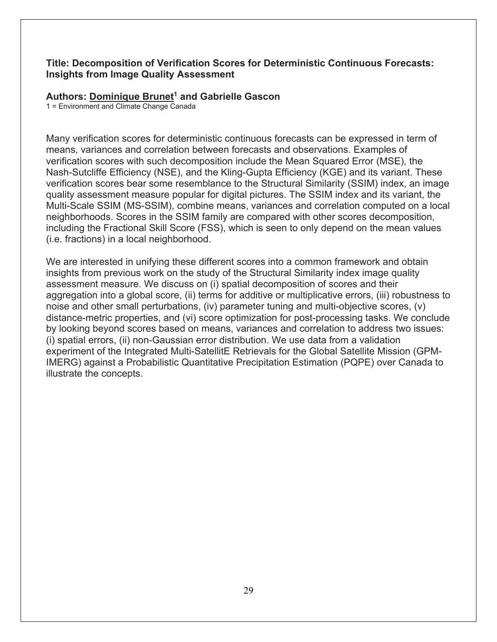#### **Title: Decomposition of Verification Scores for Deterministic Continuous Forecasts: Insights from Image Quality Assessment**

#### **Authors: Dominique Brunet1 and Gabrielle Gascon**

1 = Environment and Climate Change Canada

Many verification scores for deterministic continuous forecasts can be expressed in term of means, variances and correlation between forecasts and observations. Examples of verification scores with such decomposition include the Mean Squared Error (MSE), the Nash-Sutcliffe Efficiency (NSE), and the Kling-Gupta Efficiency (KGE) and its variant. These verification scores bear some resemblance to the Structural Similarity (SSIM) index, an image quality assessment measure popular for digital pictures. The SSIM index and its variant, the Multi-Scale SSIM (MS-SSIM), combine means, variances and correlation computed on a local neighborhoods. Scores in the SSIM family are compared with other scores decomposition, including the Fractional Skill Score (FSS), which is seen to only depend on the mean values (i.e. fractions) in a local neighborhood.

We are interested in unifying these different scores into a common framework and obtain insights from previous work on the study of the Structural Similarity index image quality assessment measure. We discuss on (i) spatial decomposition of scores and their aggregation into a global score, (ii) terms for additive or multiplicative errors, (iii) robustness to noise and other small perturbations, (iv) parameter tuning and multi-objective scores, (v) distance-metric properties, and (vi) score optimization for post-processing tasks. We conclude by looking beyond scores based on means, variances and correlation to address two issues: (i) spatial errors, (ii) non-Gaussian error distribution. We use data from a validation experiment of the Integrated Multi-SatellitE Retrievals for the Global Satellite Mission (GPM-IMERG) against a Probabilistic Quantitative Precipitation Estimation (PQPE) over Canada to illustrate the concepts.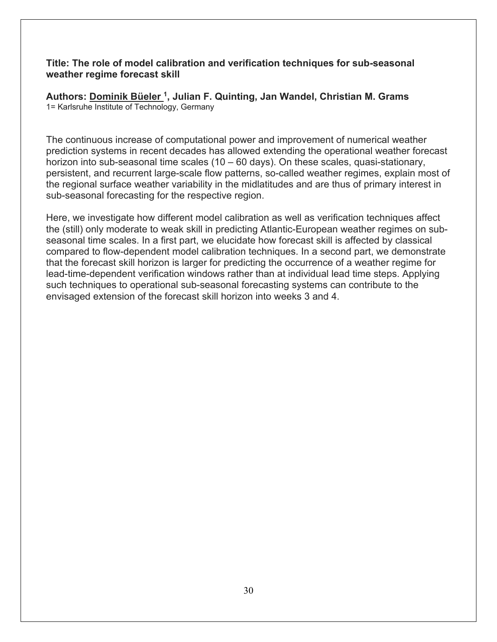#### **Title: The role of model calibration and verification techniques for sub-seasonal weather regime forecast skill**

**Authors: Dominik Büeler 1, Julian F. Quinting, Jan Wandel, Christian M. Grams** 1= Karlsruhe Institute of Technology, Germany

The continuous increase of computational power and improvement of numerical weather prediction systems in recent decades has allowed extending the operational weather forecast horizon into sub-seasonal time scales (10 – 60 days). On these scales, quasi-stationary, persistent, and recurrent large-scale flow patterns, so-called weather regimes, explain most of the regional surface weather variability in the midlatitudes and are thus of primary interest in sub-seasonal forecasting for the respective region.

Here, we investigate how different model calibration as well as verification techniques affect the (still) only moderate to weak skill in predicting Atlantic-European weather regimes on subseasonal time scales. In a first part, we elucidate how forecast skill is affected by classical compared to flow-dependent model calibration techniques. In a second part, we demonstrate that the forecast skill horizon is larger for predicting the occurrence of a weather regime for lead-time-dependent verification windows rather than at individual lead time steps. Applying such techniques to operational sub-seasonal forecasting systems can contribute to the envisaged extension of the forecast skill horizon into weeks 3 and 4.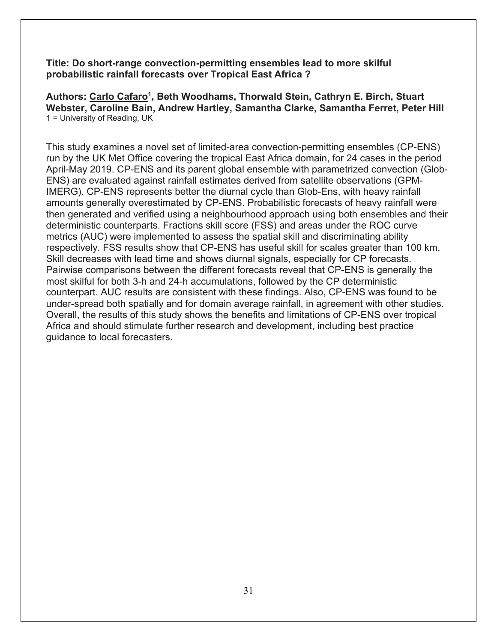**Title: Do short-range convection-permitting ensembles lead to more skilful probabilistic rainfall forecasts over Tropical East Africa ?**

**Authors: Carlo Cafaro1, Beth Woodhams, Thorwald Stein, Cathryn E. Birch, Stuart Webster, Caroline Bain, Andrew Hartley, Samantha Clarke, Samantha Ferret, Peter Hill** 1 = University of Reading, UK

This study examines a novel set of limited-area convection-permitting ensembles (CP-ENS) run by the UK Met Office covering the tropical East Africa domain, for 24 cases in the period April-May 2019. CP-ENS and its parent global ensemble with parametrized convection (Glob-ENS) are evaluated against rainfall estimates derived from satellite observations (GPM-IMERG). CP-ENS represents better the diurnal cycle than Glob-Ens, with heavy rainfall amounts generally overestimated by CP-ENS. Probabilistic forecasts of heavy rainfall were then generated and verified using a neighbourhood approach using both ensembles and their deterministic counterparts. Fractions skill score (FSS) and areas under the ROC curve metrics (AUC) were implemented to assess the spatial skill and discriminating ability respectively. FSS results show that CP-ENS has useful skill for scales greater than 100 km. Skill decreases with lead time and shows diurnal signals, especially for CP forecasts. Pairwise comparisons between the different forecasts reveal that CP-ENS is generally the most skilful for both 3-h and 24-h accumulations, followed by the CP deterministic counterpart. AUC results are consistent with these findings. Also, CP-ENS was found to be under-spread both spatially and for domain average rainfall, in agreement with other studies. Overall, the results of this study shows the benefits and limitations of CP-ENS over tropical Africa and should stimulate further research and development, including best practice guidance to local forecasters.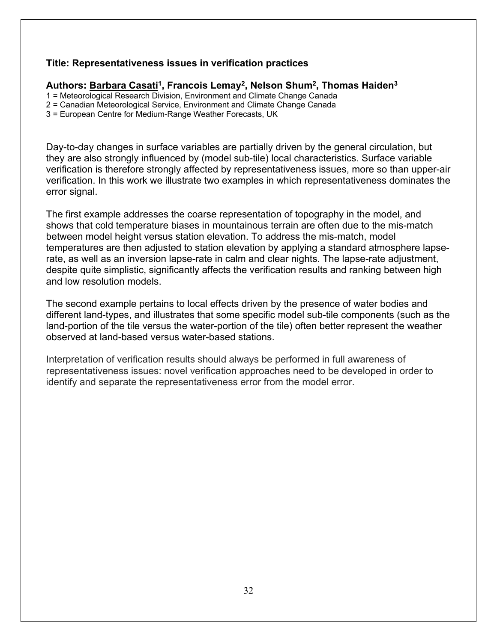#### **Title: Representativeness issues in verification practices**

#### Authors: Barbara Casati<sup>1</sup>, Francois Lemay<sup>2</sup>, Nelson Shum<sup>2</sup>, Thomas Haiden<sup>3</sup>

1 = Meteorological Research Division, Environment and Climate Change Canada

2 = Canadian Meteorological Service, Environment and Climate Change Canada

3 = European Centre for Medium-Range Weather Forecasts, UK

Day-to-day changes in surface variables are partially driven by the general circulation, but they are also strongly influenced by (model sub-tile) local characteristics. Surface variable verification is therefore strongly affected by representativeness issues, more so than upper-air verification. In this work we illustrate two examples in which representativeness dominates the error signal.

The first example addresses the coarse representation of topography in the model, and shows that cold temperature biases in mountainous terrain are often due to the mis-match between model height versus station elevation. To address the mis-match, model temperatures are then adjusted to station elevation by applying a standard atmosphere lapserate, as well as an inversion lapse-rate in calm and clear nights. The lapse-rate adjustment, despite quite simplistic, significantly affects the verification results and ranking between high and low resolution models.

The second example pertains to local effects driven by the presence of water bodies and different land-types, and illustrates that some specific model sub-tile components (such as the land-portion of the tile versus the water-portion of the tile) often better represent the weather observed at land-based versus water-based stations.

Interpretation of verification results should always be performed in full awareness of representativeness issues: novel verification approaches need to be developed in order to identify and separate the representativeness error from the model error.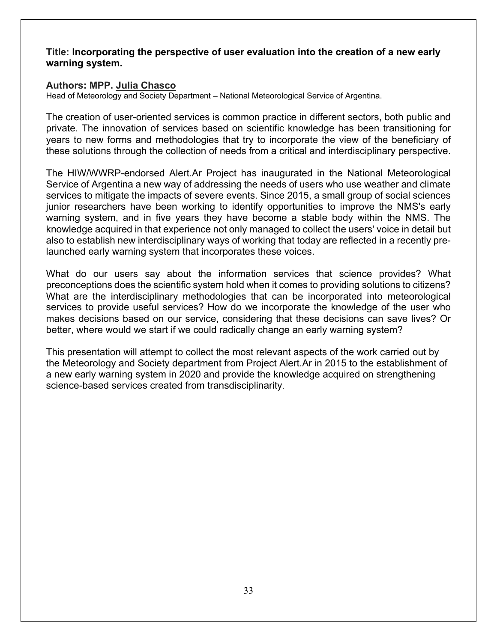#### **Title: Incorporating the perspective of user evaluation into the creation of a new early warning system.**

#### **Authors: MPP. Julia Chasco**

Head of Meteorology and Society Department – National Meteorological Service of Argentina.

The creation of user-oriented services is common practice in different sectors, both public and private. The innovation of services based on scientific knowledge has been transitioning for years to new forms and methodologies that try to incorporate the view of the beneficiary of these solutions through the collection of needs from a critical and interdisciplinary perspective.

The HIW/WWRP-endorsed Alert.Ar Project has inaugurated in the National Meteorological Service of Argentina a new way of addressing the needs of users who use weather and climate services to mitigate the impacts of severe events. Since 2015, a small group of social sciences junior researchers have been working to identify opportunities to improve the NMS's early warning system, and in five years they have become a stable body within the NMS. The knowledge acquired in that experience not only managed to collect the users' voice in detail but also to establish new interdisciplinary ways of working that today are reflected in a recently prelaunched early warning system that incorporates these voices.

What do our users say about the information services that science provides? What preconceptions does the scientific system hold when it comes to providing solutions to citizens? What are the interdisciplinary methodologies that can be incorporated into meteorological services to provide useful services? How do we incorporate the knowledge of the user who makes decisions based on our service, considering that these decisions can save lives? Or better, where would we start if we could radically change an early warning system?

This presentation will attempt to collect the most relevant aspects of the work carried out by the Meteorology and Society department from Project Alert.Ar in 2015 to the establishment of a new early warning system in 2020 and provide the knowledge acquired on strengthening science-based services created from transdisciplinarity.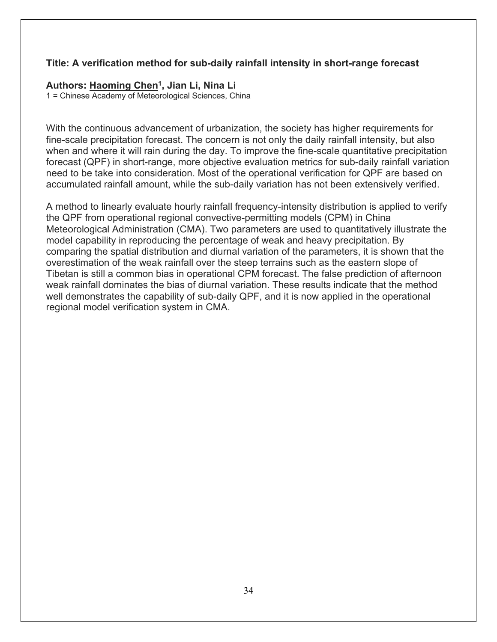#### **Title: A verification method for sub-daily rainfall intensity in short-range forecast**

#### **Authors: Haoming Chen1, Jian Li, Nina Li**

1 = Chinese Academy of Meteorological Sciences, China

With the continuous advancement of urbanization, the society has higher requirements for fine-scale precipitation forecast. The concern is not only the daily rainfall intensity, but also when and where it will rain during the day. To improve the fine-scale quantitative precipitation forecast (QPF) in short-range, more objective evaluation metrics for sub-daily rainfall variation need to be take into consideration. Most of the operational verification for QPF are based on accumulated rainfall amount, while the sub-daily variation has not been extensively verified.

A method to linearly evaluate hourly rainfall frequency-intensity distribution is applied to verify the QPF from operational regional convective-permitting models (CPM) in China Meteorological Administration (CMA). Two parameters are used to quantitatively illustrate the model capability in reproducing the percentage of weak and heavy precipitation. By comparing the spatial distribution and diurnal variation of the parameters, it is shown that the overestimation of the weak rainfall over the steep terrains such as the eastern slope of Tibetan is still a common bias in operational CPM forecast. The false prediction of afternoon weak rainfall dominates the bias of diurnal variation. These results indicate that the method well demonstrates the capability of sub-daily QPF, and it is now applied in the operational regional model verification system in CMA.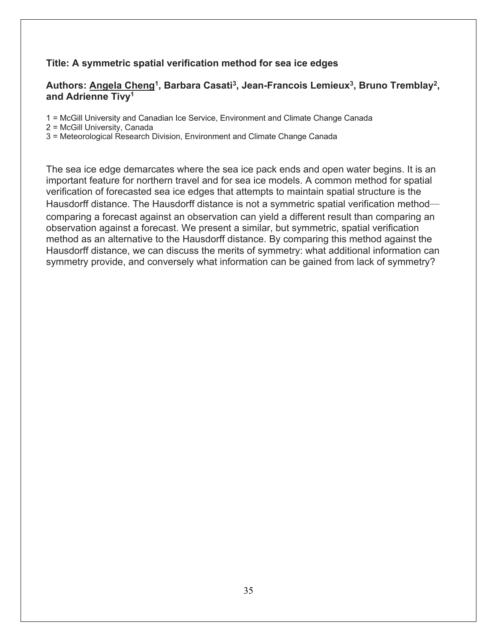#### **Title: A symmetric spatial verification method for sea ice edges**

#### **Authors: Angela Cheng1, Barbara Casati3, Jean-Francois Lemieux3, Bruno Tremblay2, and Adrienne Tivy1**

1 = McGill University and Canadian Ice Service, Environment and Climate Change Canada

2 = McGill University, Canada

3 = Meteorological Research Division, Environment and Climate Change Canada

The sea ice edge demarcates where the sea ice pack ends and open water begins. It is an important feature for northern travel and for sea ice models. A common method for spatial verification of forecasted sea ice edges that attempts to maintain spatial structure is the Hausdorff distance. The Hausdorff distance is not a symmetric spatial verification method comparing a forecast against an observation can yield a different result than comparing an observation against a forecast. We present a similar, but symmetric, spatial verification method as an alternative to the Hausdorff distance. By comparing this method against the Hausdorff distance, we can discuss the merits of symmetry: what additional information can symmetry provide, and conversely what information can be gained from lack of symmetry?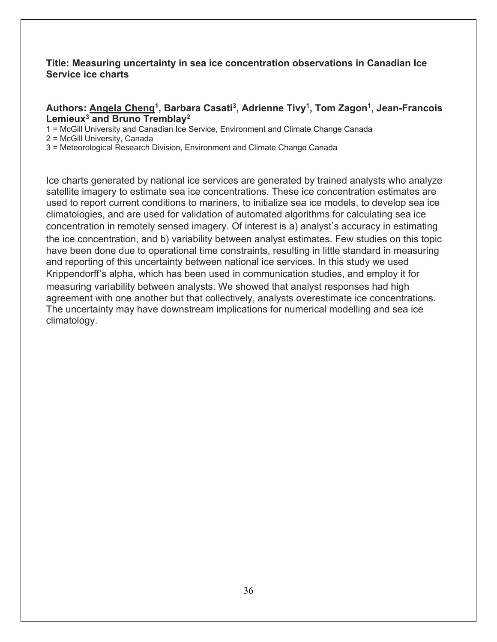#### **Title: Measuring uncertainty in sea ice concentration observations in Canadian Ice Service ice charts**

#### **Authors: Angela Cheng1, Barbara Casati3, Adrienne Tivy1, Tom Zagon1, Jean-Francois Lemieux3 and Bruno Tremblay2**

1 = McGill University and Canadian Ice Service, Environment and Climate Change Canada

2 = McGill University, Canada

3 = Meteorological Research Division, Environment and Climate Change Canada

Ice charts generated by national ice services are generated by trained analysts who analyze satellite imagery to estimate sea ice concentrations. These ice concentration estimates are used to report current conditions to mariners, to initialize sea ice models, to develop sea ice climatologies, and are used for validation of automated algorithms for calculating sea ice concentration in remotely sensed imagery. Of interest is a) analyst's accuracy in estimating the ice concentration, and b) variability between analyst estimates. Few studies on this topic have been done due to operational time constraints, resulting in little standard in measuring and reporting of this uncertainty between national ice services. In this study we used Krippendorff's alpha, which has been used in communication studies, and employ it for measuring variability between analysts. We showed that analyst responses had high agreement with one another but that collectively, analysts overestimate ice concentrations. The uncertainty may have downstream implications for numerical modelling and sea ice climatology.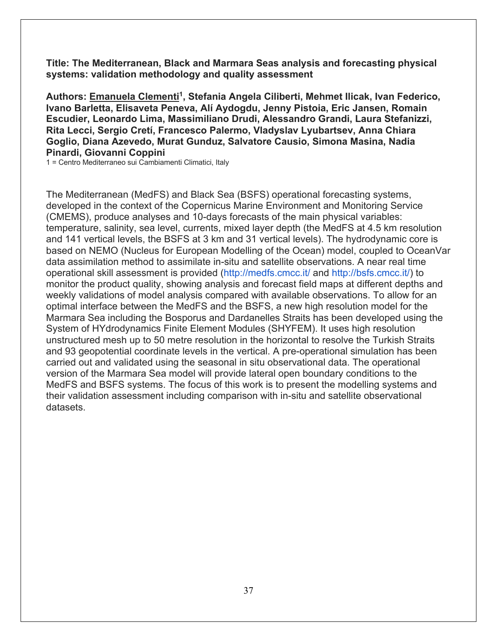**Title: The Mediterranean, Black and Marmara Seas analysis and forecasting physical systems: validation methodology and quality assessment**

**Authors: Emanuela Clementi1, Stefania Angela Ciliberti, Mehmet Ilicak, Ivan Federico, Ivano Barletta, Elisaveta Peneva, Alí Aydogdu, Jenny Pistoia, Eric Jansen, Romain Escudier, Leonardo Lima, Massimiliano Drudi, Alessandro Grandi, Laura Stefanizzi, Rita Lecci, Sergio Cretí, Francesco Palermo, Vladyslav Lyubartsev, Anna Chiara Goglio, Diana Azevedo, Murat Gunduz, Salvatore Causio, Simona Masina, Nadia Pinardi, Giovanni Coppini**

1 = Centro Mediterraneo sui Cambiamenti Climatici, Italy

The Mediterranean (MedFS) and Black Sea (BSFS) operational forecasting systems, developed in the context of the Copernicus Marine Environment and Monitoring Service (CMEMS), produce analyses and 10-days forecasts of the main physical variables: temperature, salinity, sea level, currents, mixed layer depth (the MedFS at 4.5 km resolution and 141 vertical levels, the BSFS at 3 km and 31 vertical levels). The hydrodynamic core is based on NEMO (Nucleus for European Modelling of the Ocean) model, coupled to OceanVar data assimilation method to assimilate in-situ and satellite observations. A near real time operational skill assessment is provided (http://medfs.cmcc.it/ and http://bsfs.cmcc.it/) to monitor the product quality, showing analysis and forecast field maps at different depths and weekly validations of model analysis compared with available observations. To allow for an optimal interface between the MedFS and the BSFS, a new high resolution model for the Marmara Sea including the Bosporus and Dardanelles Straits has been developed using the System of HYdrodynamics Finite Element Modules (SHYFEM). It uses high resolution unstructured mesh up to 50 metre resolution in the horizontal to resolve the Turkish Straits and 93 geopotential coordinate levels in the vertical. A pre-operational simulation has been carried out and validated using the seasonal in situ observational data. The operational version of the Marmara Sea model will provide lateral open boundary conditions to the MedFS and BSFS systems. The focus of this work is to present the modelling systems and their validation assessment including comparison with in-situ and satellite observational datasets.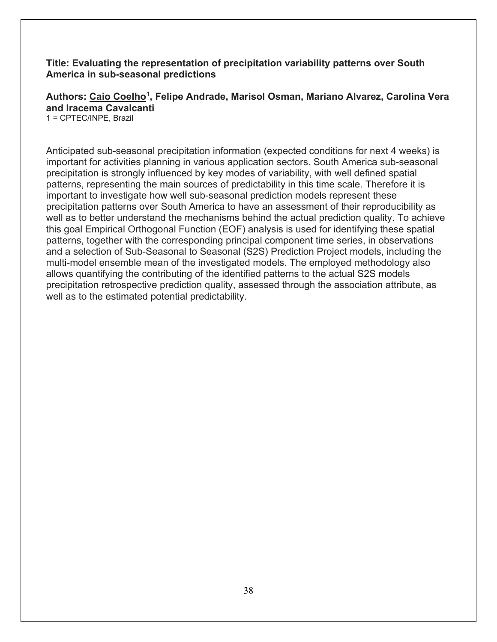**Title: Evaluating the representation of precipitation variability patterns over South America in sub-seasonal predictions**

**Authors: Caio Coelho1, Felipe Andrade, Marisol Osman, Mariano Alvarez, Carolina Vera and Iracema Cavalcanti**

1 = CPTEC/INPE, Brazil

Anticipated sub-seasonal precipitation information (expected conditions for next 4 weeks) is important for activities planning in various application sectors. South America sub-seasonal precipitation is strongly influenced by key modes of variability, with well defined spatial patterns, representing the main sources of predictability in this time scale. Therefore it is important to investigate how well sub-seasonal prediction models represent these precipitation patterns over South America to have an assessment of their reproducibility as well as to better understand the mechanisms behind the actual prediction quality. To achieve this goal Empirical Orthogonal Function (EOF) analysis is used for identifying these spatial patterns, together with the corresponding principal component time series, in observations and a selection of Sub-Seasonal to Seasonal (S2S) Prediction Project models, including the multi-model ensemble mean of the investigated models. The employed methodology also allows quantifying the contributing of the identified patterns to the actual S2S models precipitation retrospective prediction quality, assessed through the association attribute, as well as to the estimated potential predictability.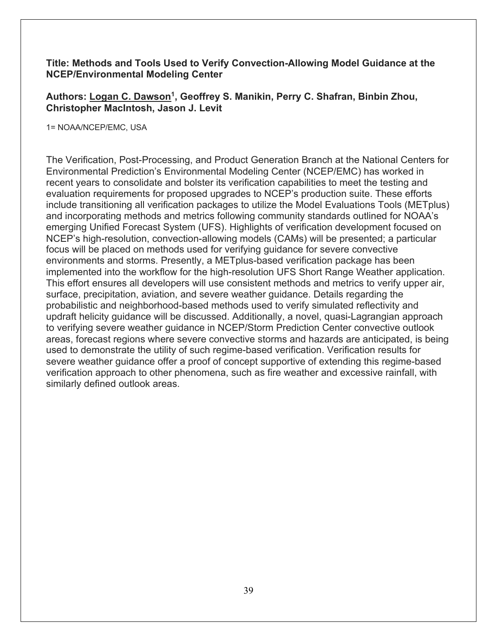### **Title: Methods and Tools Used to Verify Convection-Allowing Model Guidance at the NCEP/Environmental Modeling Center**

Authors: Logan C. Dawson<sup>1</sup>, Geoffrey S. Manikin, Perry C. Shafran, Binbin Zhou, **Christopher MacIntosh, Jason J. Levit**

1= NOAA/NCEP/EMC, USA

The Verification, Post-Processing, and Product Generation Branch at the National Centers for Environmental Prediction's Environmental Modeling Center (NCEP/EMC) has worked in recent years to consolidate and bolster its verification capabilities to meet the testing and evaluation requirements for proposed upgrades to NCEP's production suite. These efforts include transitioning all verification packages to utilize the Model Evaluations Tools (METplus) and incorporating methods and metrics following community standards outlined for NOAA's emerging Unified Forecast System (UFS). Highlights of verification development focused on NCEP's high-resolution, convection-allowing models (CAMs) will be presented; a particular focus will be placed on methods used for verifying guidance for severe convective environments and storms. Presently, a METplus-based verification package has been implemented into the workflow for the high-resolution UFS Short Range Weather application. This effort ensures all developers will use consistent methods and metrics to verify upper air, surface, precipitation, aviation, and severe weather guidance. Details regarding the probabilistic and neighborhood-based methods used to verify simulated reflectivity and updraft helicity guidance will be discussed. Additionally, a novel, quasi-Lagrangian approach to verifying severe weather guidance in NCEP/Storm Prediction Center convective outlook areas, forecast regions where severe convective storms and hazards are anticipated, is being used to demonstrate the utility of such regime-based verification. Verification results for severe weather guidance offer a proof of concept supportive of extending this regime-based verification approach to other phenomena, such as fire weather and excessive rainfall, with similarly defined outlook areas.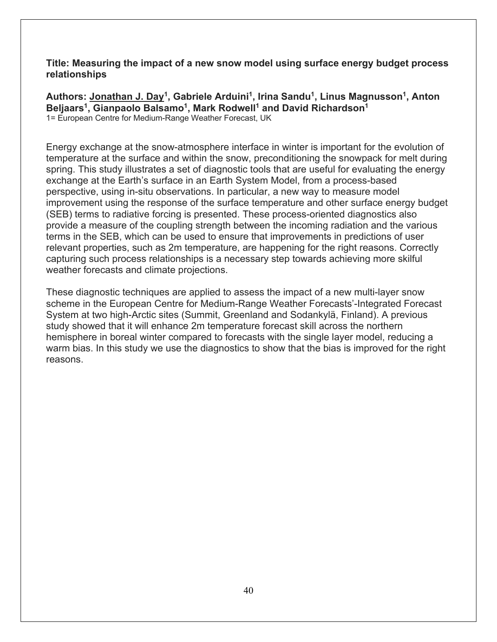**Title: Measuring the impact of a new snow model using surface energy budget process relationships**

Authors: Jonathan J. Day<sup>1</sup>, Gabriele Arduini<sup>1</sup>, Irina Sandu<sup>1</sup>, Linus Magnusson<sup>1</sup>, Anton **Beljaars1, Gianpaolo Balsamo1, Mark Rodwell1 and David Richardson1** 1= European Centre for Medium-Range Weather Forecast, UK

Energy exchange at the snow-atmosphere interface in winter is important for the evolution of temperature at the surface and within the snow, preconditioning the snowpack for melt during spring. This study illustrates a set of diagnostic tools that are useful for evaluating the energy exchange at the Earth's surface in an Earth System Model, from a process-based perspective, using in-situ observations. In particular, a new way to measure model improvement using the response of the surface temperature and other surface energy budget (SEB) terms to radiative forcing is presented. These process-oriented diagnostics also provide a measure of the coupling strength between the incoming radiation and the various terms in the SEB, which can be used to ensure that improvements in predictions of user relevant properties, such as 2m temperature, are happening for the right reasons. Correctly capturing such process relationships is a necessary step towards achieving more skilful weather forecasts and climate projections.

These diagnostic techniques are applied to assess the impact of a new multi-layer snow scheme in the European Centre for Medium-Range Weather Forecasts'-Integrated Forecast System at two high-Arctic sites (Summit, Greenland and Sodankylä, Finland). A previous study showed that it will enhance 2m temperature forecast skill across the northern hemisphere in boreal winter compared to forecasts with the single layer model, reducing a warm bias. In this study we use the diagnostics to show that the bias is improved for the right reasons.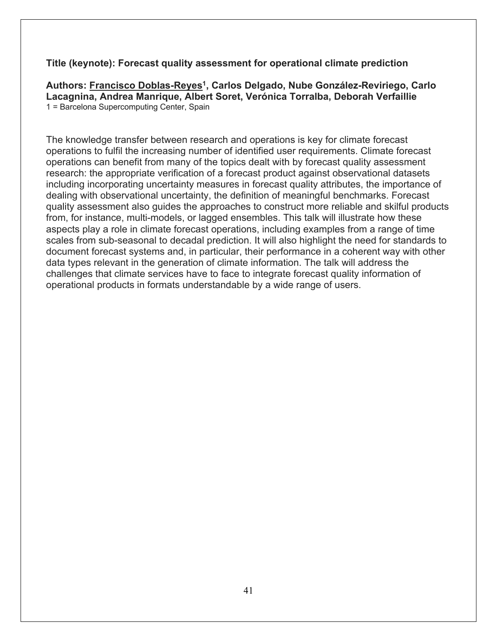### **Title (keynote): Forecast quality assessment for operational climate prediction**

**Authors: Francisco Doblas-Reyes1, Carlos Delgado, Nube González-Reviriego, Carlo Lacagnina, Andrea Manrique, Albert Soret, Verónica Torralba, Deborah Verfaillie** 1 = Barcelona Supercomputing Center, Spain

The knowledge transfer between research and operations is key for climate forecast operations to fulfil the increasing number of identified user requirements. Climate forecast operations can benefit from many of the topics dealt with by forecast quality assessment research: the appropriate verification of a forecast product against observational datasets including incorporating uncertainty measures in forecast quality attributes, the importance of dealing with observational uncertainty, the definition of meaningful benchmarks. Forecast quality assessment also guides the approaches to construct more reliable and skilful products from, for instance, multi-models, or lagged ensembles. This talk will illustrate how these aspects play a role in climate forecast operations, including examples from a range of time scales from sub-seasonal to decadal prediction. It will also highlight the need for standards to document forecast systems and, in particular, their performance in a coherent way with other data types relevant in the generation of climate information. The talk will address the challenges that climate services have to face to integrate forecast quality information of operational products in formats understandable by a wide range of users.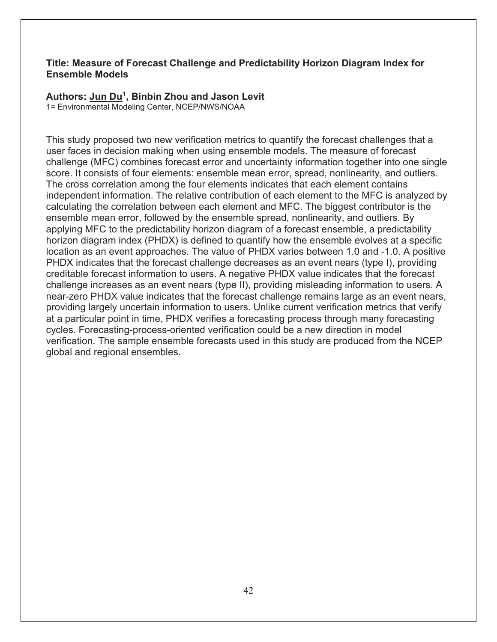### **Title: Measure of Forecast Challenge and Predictability Horizon Diagram Index for Ensemble Models**

### **Authors: Jun Du1, Binbin Zhou and Jason Levit**

1= Environmental Modeling Center, NCEP/NWS/NOAA

This study proposed two new verification metrics to quantify the forecast challenges that a user faces in decision making when using ensemble models. The measure of forecast challenge (MFC) combines forecast error and uncertainty information together into one single score. It consists of four elements: ensemble mean error, spread, nonlinearity, and outliers. The cross correlation among the four elements indicates that each element contains independent information. The relative contribution of each element to the MFC is analyzed by calculating the correlation between each element and MFC. The biggest contributor is the ensemble mean error, followed by the ensemble spread, nonlinearity, and outliers. By applying MFC to the predictability horizon diagram of a forecast ensemble, a predictability horizon diagram index (PHDX) is defined to quantify how the ensemble evolves at a specific location as an event approaches. The value of PHDX varies between 1.0 and -1.0. A positive PHDX indicates that the forecast challenge decreases as an event nears (type I), providing creditable forecast information to users. A negative PHDX value indicates that the forecast challenge increases as an event nears (type II), providing misleading information to users. A near-zero PHDX value indicates that the forecast challenge remains large as an event nears, providing largely uncertain information to users. Unlike current verification metrics that verify at a particular point in time, PHDX verifies a forecasting process through many forecasting cycles. Forecasting-process-oriented verification could be a new direction in model verification. The sample ensemble forecasts used in this study are produced from the NCEP global and regional ensembles.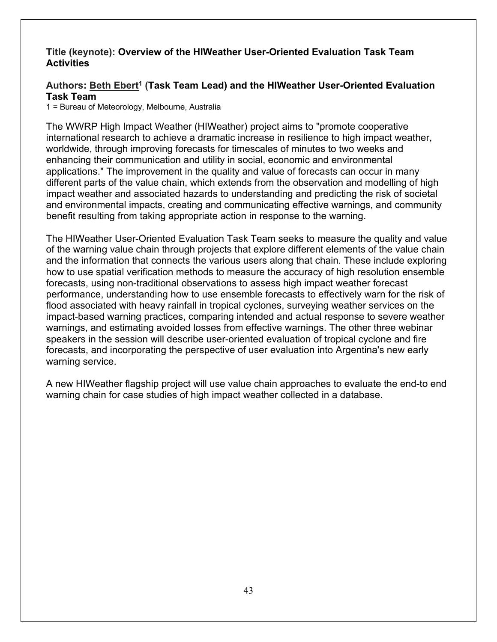#### **Title (keynote): Overview of the HIWeather User-Oriented Evaluation Task Team Activities**

# Authors: Beth Ebert<sup>1</sup> (Task Team Lead) and the HIWeather User-Oriented Evaluation **Task Team**

1 = Bureau of Meteorology, Melbourne, Australia

The WWRP High Impact Weather (HIWeather) project aims to "promote cooperative international research to achieve a dramatic increase in resilience to high impact weather, worldwide, through improving forecasts for timescales of minutes to two weeks and enhancing their communication and utility in social, economic and environmental applications." The improvement in the quality and value of forecasts can occur in many different parts of the value chain, which extends from the observation and modelling of high impact weather and associated hazards to understanding and predicting the risk of societal and environmental impacts, creating and communicating effective warnings, and community benefit resulting from taking appropriate action in response to the warning.

The HIWeather User-Oriented Evaluation Task Team seeks to measure the quality and value of the warning value chain through projects that explore different elements of the value chain and the information that connects the various users along that chain. These include exploring how to use spatial verification methods to measure the accuracy of high resolution ensemble forecasts, using non-traditional observations to assess high impact weather forecast performance, understanding how to use ensemble forecasts to effectively warn for the risk of flood associated with heavy rainfall in tropical cyclones, surveying weather services on the impact-based warning practices, comparing intended and actual response to severe weather warnings, and estimating avoided losses from effective warnings. The other three webinar speakers in the session will describe user-oriented evaluation of tropical cyclone and fire forecasts, and incorporating the perspective of user evaluation into Argentina's new early warning service.

A new HIWeather flagship project will use value chain approaches to evaluate the end-to end warning chain for case studies of high impact weather collected in a database.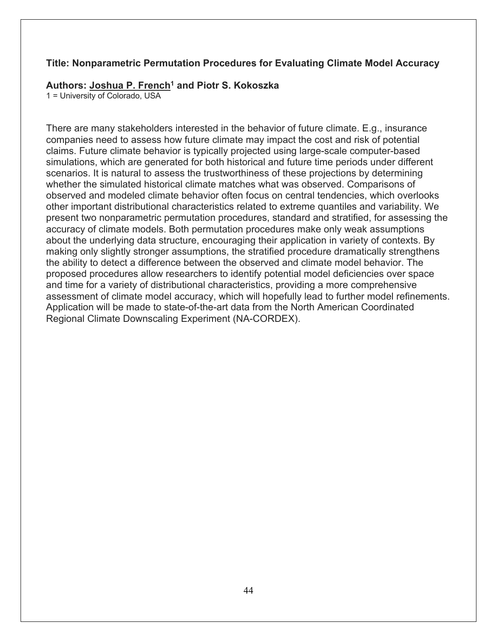#### **Title: Nonparametric Permutation Procedures for Evaluating Climate Model Accuracy**

#### **Authors: Joshua P. French1 and Piotr S. Kokoszka**

1 = University of Colorado, USA

There are many stakeholders interested in the behavior of future climate. E.g., insurance companies need to assess how future climate may impact the cost and risk of potential claims. Future climate behavior is typically projected using large-scale computer-based simulations, which are generated for both historical and future time periods under different scenarios. It is natural to assess the trustworthiness of these projections by determining whether the simulated historical climate matches what was observed. Comparisons of observed and modeled climate behavior often focus on central tendencies, which overlooks other important distributional characteristics related to extreme quantiles and variability. We present two nonparametric permutation procedures, standard and stratified, for assessing the accuracy of climate models. Both permutation procedures make only weak assumptions about the underlying data structure, encouraging their application in variety of contexts. By making only slightly stronger assumptions, the stratified procedure dramatically strengthens the ability to detect a difference between the observed and climate model behavior. The proposed procedures allow researchers to identify potential model deficiencies over space and time for a variety of distributional characteristics, providing a more comprehensive assessment of climate model accuracy, which will hopefully lead to further model refinements. Application will be made to state-of-the-art data from the North American Coordinated Regional Climate Downscaling Experiment (NA-CORDEX).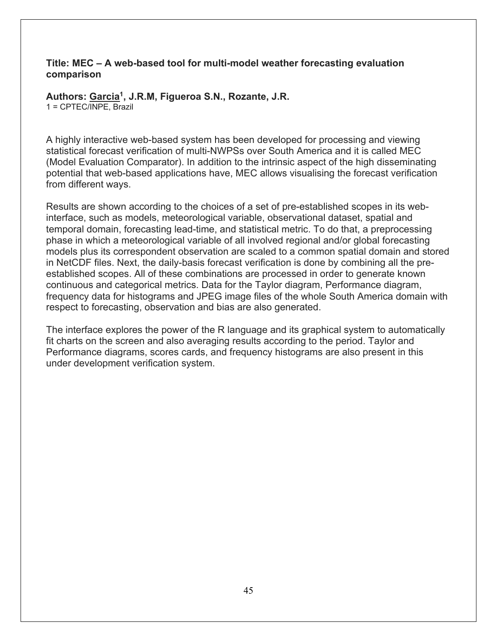# **Title: MEC – A web-based tool for multi-model weather forecasting evaluation comparison**

**Authors: Garcia1, J.R.M, Figueroa S.N., Rozante, J.R.** 1 = CPTEC/INPE, Brazil

A highly interactive web-based system has been developed for processing and viewing statistical forecast verification of multi-NWPSs over South America and it is called MEC (Model Evaluation Comparator). In addition to the intrinsic aspect of the high disseminating potential that web-based applications have, MEC allows visualising the forecast verification from different ways.

Results are shown according to the choices of a set of pre-established scopes in its webinterface, such as models, meteorological variable, observational dataset, spatial and temporal domain, forecasting lead-time, and statistical metric. To do that, a preprocessing phase in which a meteorological variable of all involved regional and/or global forecasting models plus its correspondent observation are scaled to a common spatial domain and stored in NetCDF files. Next, the daily-basis forecast verification is done by combining all the preestablished scopes. All of these combinations are processed in order to generate known continuous and categorical metrics. Data for the Taylor diagram, Performance diagram, frequency data for histograms and JPEG image files of the whole South America domain with respect to forecasting, observation and bias are also generated.

The interface explores the power of the R language and its graphical system to automatically fit charts on the screen and also averaging results according to the period. Taylor and Performance diagrams, scores cards, and frequency histograms are also present in this under development verification system.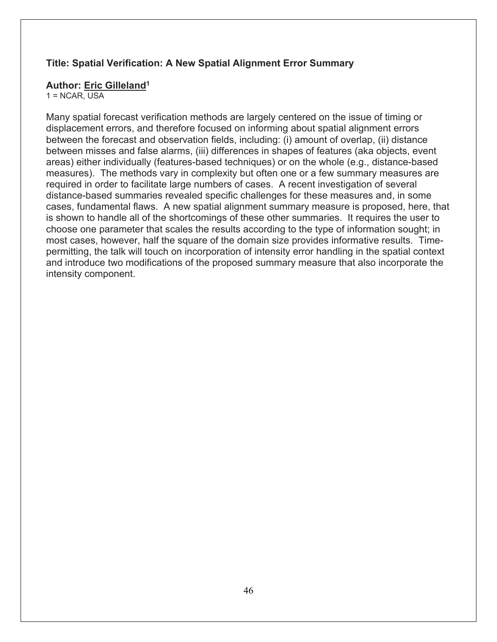# **Title: Spatial Verification: A New Spatial Alignment Error Summary**

#### **Author: Eric Gilleland1**

 $1 = NCAR$ , USA

Many spatial forecast verification methods are largely centered on the issue of timing or displacement errors, and therefore focused on informing about spatial alignment errors between the forecast and observation fields, including: (i) amount of overlap, (ii) distance between misses and false alarms, (iii) differences in shapes of features (aka objects, event areas) either individually (features-based techniques) or on the whole (e.g., distance-based measures). The methods vary in complexity but often one or a few summary measures are required in order to facilitate large numbers of cases. A recent investigation of several distance-based summaries revealed specific challenges for these measures and, in some cases, fundamental flaws. A new spatial alignment summary measure is proposed, here, that is shown to handle all of the shortcomings of these other summaries. It requires the user to choose one parameter that scales the results according to the type of information sought; in most cases, however, half the square of the domain size provides informative results. Timepermitting, the talk will touch on incorporation of intensity error handling in the spatial context and introduce two modifications of the proposed summary measure that also incorporate the intensity component.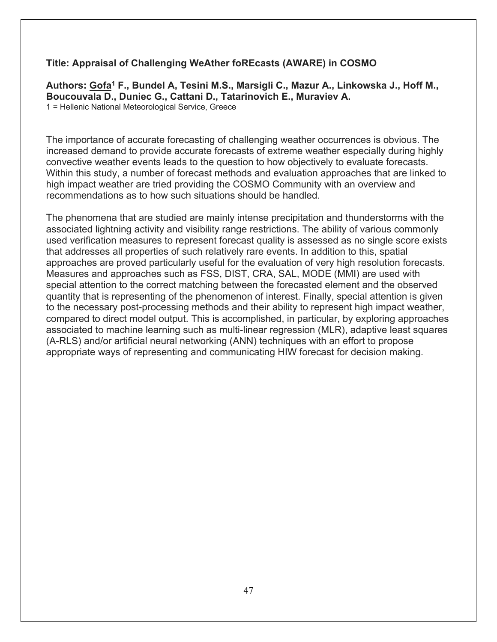# **Title: Appraisal of Challenging WeAther foREcasts (AWARE) in COSMO**

**Authors: Gofa1 F., Bundel A, Tesini M.S., Marsigli C., Mazur A., Linkowska J., Hoff M., Boucouvala D., Duniec G., Cattani D., Tatarinovich E., Muraviev A.** 1 = Hellenic National Meteorological Service, Greece

The importance of accurate forecasting of challenging weather occurrences is obvious. The increased demand to provide accurate forecasts of extreme weather especially during highly convective weather events leads to the question to how objectively to evaluate forecasts. Within this study, a number of forecast methods and evaluation approaches that are linked to high impact weather are tried providing the COSMO Community with an overview and recommendations as to how such situations should be handled.

The phenomena that are studied are mainly intense precipitation and thunderstorms with the associated lightning activity and visibility range restrictions. The ability of various commonly used verification measures to represent forecast quality is assessed as no single score exists that addresses all properties of such relatively rare events. In addition to this, spatial approaches are proved particularly useful for the evaluation of very high resolution forecasts. Measures and approaches such as FSS, DIST, CRA, SAL, MODE (MMI) are used with special attention to the correct matching between the forecasted element and the observed quantity that is representing of the phenomenon of interest. Finally, special attention is given to the necessary post-processing methods and their ability to represent high impact weather, compared to direct model output. This is accomplished, in particular, by exploring approaches associated to machine learning such as multi-linear regression (MLR), adaptive least squares (A-RLS) and/or artificial neural networking (ANN) techniques with an effort to propose appropriate ways of representing and communicating HIW forecast for decision making.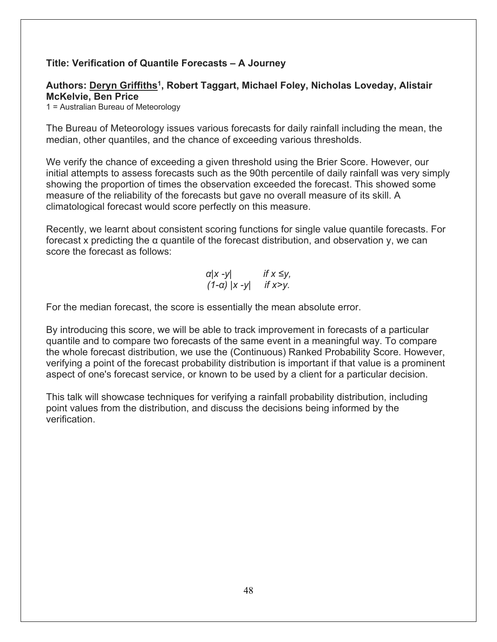# **Title: Verification of Quantile Forecasts – A Journey**

# **Authors: Deryn Griffiths1, Robert Taggart, Michael Foley, Nicholas Loveday, Alistair McKelvie, Ben Price**

1 = Australian Bureau of Meteorology

The Bureau of Meteorology issues various forecasts for daily rainfall including the mean, the median, other quantiles, and the chance of exceeding various thresholds.

We verify the chance of exceeding a given threshold using the Brier Score. However, our initial attempts to assess forecasts such as the 90th percentile of daily rainfall was very simply showing the proportion of times the observation exceeded the forecast. This showed some measure of the reliability of the forecasts but gave no overall measure of its skill. A climatological forecast would score perfectly on this measure.

Recently, we learnt about consistent scoring functions for single value quantile forecasts. For forecast x predicting the α quantile of the forecast distribution, and observation y, we can score the forecast as follows:

$$
\alpha |x - y| \qquad \text{if } x \leq y, (1 - \alpha) |x - y| \qquad \text{if } x > y.
$$

For the median forecast, the score is essentially the mean absolute error.

By introducing this score, we will be able to track improvement in forecasts of a particular quantile and to compare two forecasts of the same event in a meaningful way. To compare the whole forecast distribution, we use the (Continuous) Ranked Probability Score. However, verifying a point of the forecast probability distribution is important if that value is a prominent aspect of one's forecast service, or known to be used by a client for a particular decision.

This talk will showcase techniques for verifying a rainfall probability distribution, including point values from the distribution, and discuss the decisions being informed by the verification.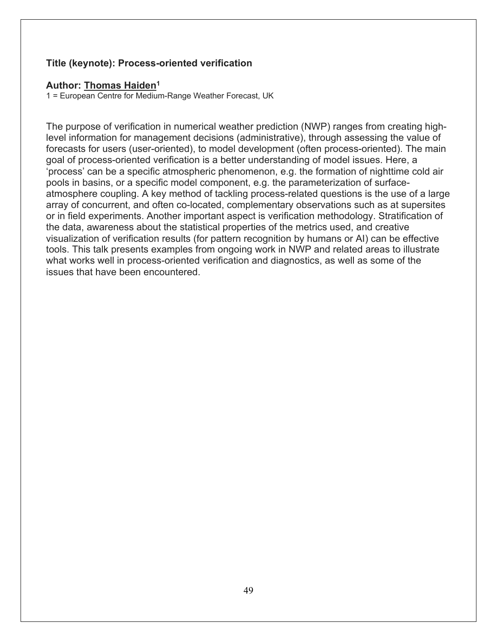# **Title (keynote): Process-oriented verification**

#### **Author: Thomas Haiden1**

1 = European Centre for Medium-Range Weather Forecast, UK

The purpose of verification in numerical weather prediction (NWP) ranges from creating highlevel information for management decisions (administrative), through assessing the value of forecasts for users (user-oriented), to model development (often process-oriented). The main goal of process-oriented verification is a better understanding of model issues. Here, a 'process' can be a specific atmospheric phenomenon, e.g. the formation of nighttime cold air pools in basins, or a specific model component, e.g. the parameterization of surfaceatmosphere coupling. A key method of tackling process-related questions is the use of a large array of concurrent, and often co-located, complementary observations such as at supersites or in field experiments. Another important aspect is verification methodology. Stratification of the data, awareness about the statistical properties of the metrics used, and creative visualization of verification results (for pattern recognition by humans or AI) can be effective tools. This talk presents examples from ongoing work in NWP and related areas to illustrate what works well in process-oriented verification and diagnostics, as well as some of the issues that have been encountered.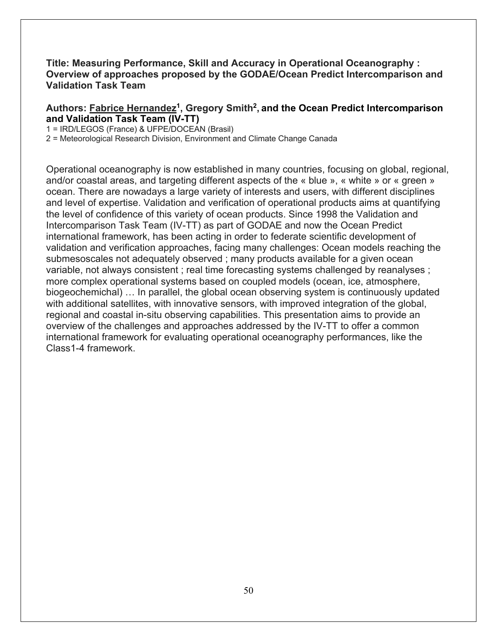### **Title: Measuring Performance, Skill and Accuracy in Operational Oceanography : Overview of approaches proposed by the GODAE/Ocean Predict Intercomparison and Validation Task Team**

### **Authors: Fabrice Hernandez1, Gregory Smith2, and the Ocean Predict Intercomparison and Validation Task Team (IV-TT)**

1 = IRD/LEGOS (France) & UFPE/DOCEAN (Brasil)

2 = Meteorological Research Division, Environment and Climate Change Canada

Operational oceanography is now established in many countries, focusing on global, regional, and/or coastal areas, and targeting different aspects of the « blue », « white » or « green » ocean. There are nowadays a large variety of interests and users, with different disciplines and level of expertise. Validation and verification of operational products aims at quantifying the level of confidence of this variety of ocean products. Since 1998 the Validation and Intercomparison Task Team (IV-TT) as part of GODAE and now the Ocean Predict international framework, has been acting in order to federate scientific development of validation and verification approaches, facing many challenges: Ocean models reaching the submesoscales not adequately observed ; many products available for a given ocean variable, not always consistent ; real time forecasting systems challenged by reanalyses ; more complex operational systems based on coupled models (ocean, ice, atmosphere, biogeochemichal) … In parallel, the global ocean observing system is continuously updated with additional satellites, with innovative sensors, with improved integration of the global, regional and coastal in-situ observing capabilities. This presentation aims to provide an overview of the challenges and approaches addressed by the IV-TT to offer a common international framework for evaluating operational oceanography performances, like the Class1-4 framework.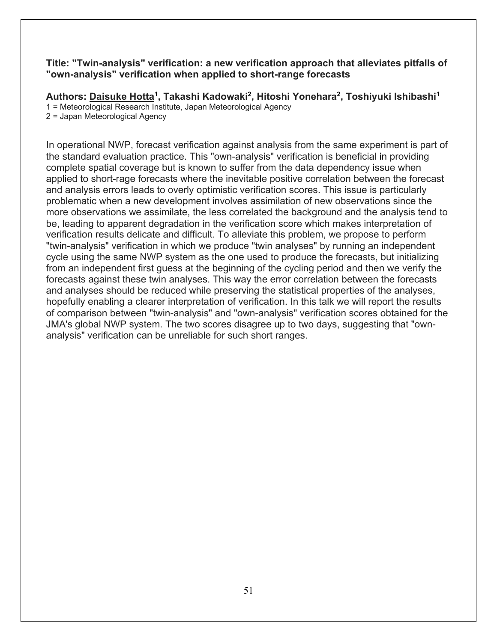#### **Title: "Twin-analysis" verification: a new verification approach that alleviates pitfalls of "own-analysis" verification when applied to short-range forecasts**

**Authors: Daisuke Hotta1, Takashi Kadowaki2, Hitoshi Yonehara2, Toshiyuki Ishibashi1** 1 = Meteorological Research Institute, Japan Meteorological Agency 2 = Japan Meteorological Agency

In operational NWP, forecast verification against analysis from the same experiment is part of the standard evaluation practice. This "own-analysis" verification is beneficial in providing complete spatial coverage but is known to suffer from the data dependency issue when applied to short-rage forecasts where the inevitable positive correlation between the forecast and analysis errors leads to overly optimistic verification scores. This issue is particularly problematic when a new development involves assimilation of new observations since the more observations we assimilate, the less correlated the background and the analysis tend to be, leading to apparent degradation in the verification score which makes interpretation of verification results delicate and difficult. To alleviate this problem, we propose to perform "twin-analysis" verification in which we produce "twin analyses" by running an independent cycle using the same NWP system as the one used to produce the forecasts, but initializing from an independent first guess at the beginning of the cycling period and then we verify the forecasts against these twin analyses. This way the error correlation between the forecasts and analyses should be reduced while preserving the statistical properties of the analyses, hopefully enabling a clearer interpretation of verification. In this talk we will report the results of comparison between "twin-analysis" and "own-analysis" verification scores obtained for the JMA's global NWP system. The two scores disagree up to two days, suggesting that "ownanalysis" verification can be unreliable for such short ranges.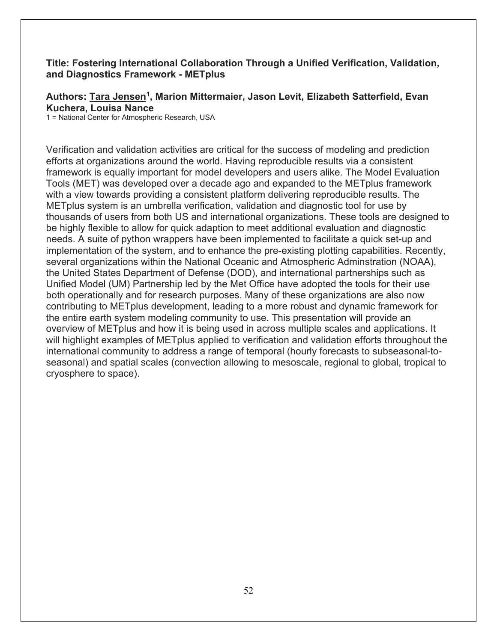### **Title: Fostering International Collaboration Through a Unified Verification, Validation, and Diagnostics Framework - METplus**

**Authors: Tara Jensen1, Marion Mittermaier, Jason Levit, Elizabeth Satterfield, Evan Kuchera, Louisa Nance**

1 = National Center for Atmospheric Research, USA

Verification and validation activities are critical for the success of modeling and prediction efforts at organizations around the world. Having reproducible results via a consistent framework is equally important for model developers and users alike. The Model Evaluation Tools (MET) was developed over a decade ago and expanded to the METplus framework with a view towards providing a consistent platform delivering reproducible results. The METplus system is an umbrella verification, validation and diagnostic tool for use by thousands of users from both US and international organizations. These tools are designed to be highly flexible to allow for quick adaption to meet additional evaluation and diagnostic needs. A suite of python wrappers have been implemented to facilitate a quick set-up and implementation of the system, and to enhance the pre-existing plotting capabilities. Recently, several organizations within the National Oceanic and Atmospheric Adminstration (NOAA), the United States Department of Defense (DOD), and international partnerships such as Unified Model (UM) Partnership led by the Met Office have adopted the tools for their use both operationally and for research purposes. Many of these organizations are also now contributing to METplus development, leading to a more robust and dynamic framework for the entire earth system modeling community to use. This presentation will provide an overview of METplus and how it is being used in across multiple scales and applications. It will highlight examples of METplus applied to verification and validation efforts throughout the international community to address a range of temporal (hourly forecasts to subseasonal-toseasonal) and spatial scales (convection allowing to mesoscale, regional to global, tropical to cryosphere to space).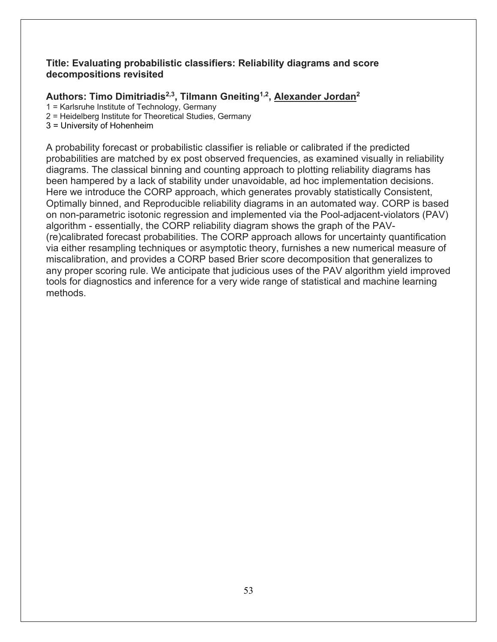### **Title: Evaluating probabilistic classifiers: Reliability diagrams and score decompositions revisited**

# **Authors: Timo Dimitriadis2,3, Tilmann Gneiting1,2, Alexander Jordan2**

1 = Karlsruhe Institute of Technology, Germany

2 = Heidelberg Institute for Theoretical Studies, Germany

3 = University of Hohenheim

A probability forecast or probabilistic classifier is reliable or calibrated if the predicted probabilities are matched by ex post observed frequencies, as examined visually in reliability diagrams. The classical binning and counting approach to plotting reliability diagrams has been hampered by a lack of stability under unavoidable, ad hoc implementation decisions. Here we introduce the CORP approach, which generates provably statistically Consistent, Optimally binned, and Reproducible reliability diagrams in an automated way. CORP is based on non-parametric isotonic regression and implemented via the Pool-adjacent-violators (PAV) algorithm - essentially, the CORP reliability diagram shows the graph of the PAV- (re)calibrated forecast probabilities. The CORP approach allows for uncertainty quantification via either resampling techniques or asymptotic theory, furnishes a new numerical measure of miscalibration, and provides a CORP based Brier score decomposition that generalizes to any proper scoring rule. We anticipate that judicious uses of the PAV algorithm yield improved tools for diagnostics and inference for a very wide range of statistical and machine learning methods.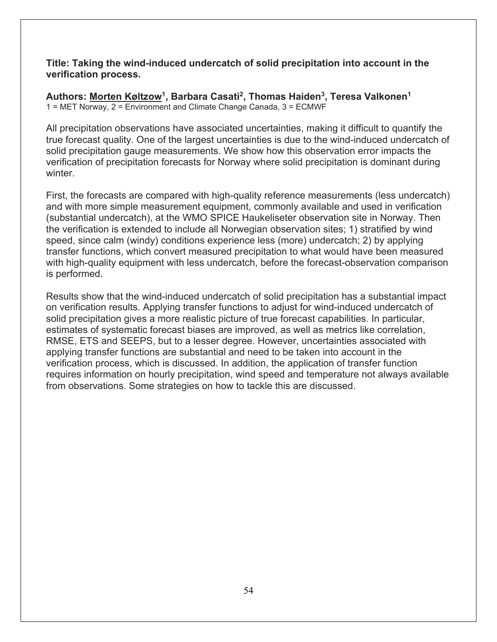**Title: Taking the wind-induced undercatch of solid precipitation into account in the verification process.**

Authors: Morten Køltzow<sup>1</sup>, Barbara Casati<sup>2</sup>, Thomas Haiden<sup>3</sup>, Teresa Valkonen<sup>1</sup> 1 = MET Norway, 2 = Environment and Climate Change Canada, 3 = ECMWF

All precipitation observations have associated uncertainties, making it difficult to quantify the true forecast quality. One of the largest uncertainties is due to the wind-induced undercatch of solid precipitation gauge measurements. We show how this observation error impacts the verification of precipitation forecasts for Norway where solid precipitation is dominant during winter.

First, the forecasts are compared with high-quality reference measurements (less undercatch) and with more simple measurement equipment, commonly available and used in verification (substantial undercatch), at the WMO SPICE Haukeliseter observation site in Norway. Then the verification is extended to include all Norwegian observation sites; 1) stratified by wind speed, since calm (windy) conditions experience less (more) undercatch; 2) by applying transfer functions, which convert measured precipitation to what would have been measured with high-quality equipment with less undercatch, before the forecast-observation comparison is performed.

Results show that the wind-induced undercatch of solid precipitation has a substantial impact on verification results. Applying transfer functions to adjust for wind-induced undercatch of solid precipitation gives a more realistic picture of true forecast capabilities. In particular, estimates of systematic forecast biases are improved, as well as metrics like correlation, RMSE, ETS and SEEPS, but to a lesser degree. However, uncertainties associated with applying transfer functions are substantial and need to be taken into account in the verification process, which is discussed. In addition, the application of transfer function requires information on hourly precipitation, wind speed and temperature not always available from observations. Some strategies on how to tackle this are discussed.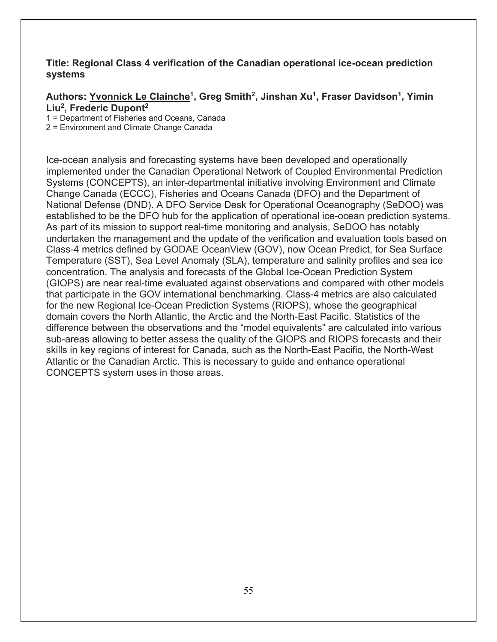### **Title: Regional Class 4 verification of the Canadian operational ice-ocean prediction systems**

# Authors: Yvonnick Le Clainche<sup>1</sup>, Greg Smith<sup>2</sup>, Jinshan Xu<sup>1</sup>, Fraser Davidson<sup>1</sup>, Yimin **Liu2, Frederic Dupont2**

1 = Department of Fisheries and Oceans, Canada

2 = Environment and Climate Change Canada

Ice-ocean analysis and forecasting systems have been developed and operationally implemented under the Canadian Operational Network of Coupled Environmental Prediction Systems (CONCEPTS), an inter-departmental initiative involving Environment and Climate Change Canada (ECCC), Fisheries and Oceans Canada (DFO) and the Department of National Defense (DND). A DFO Service Desk for Operational Oceanography (SeDOO) was established to be the DFO hub for the application of operational ice-ocean prediction systems. As part of its mission to support real-time monitoring and analysis, SeDOO has notably undertaken the management and the update of the verification and evaluation tools based on Class-4 metrics defined by GODAE OceanView (GOV), now Ocean Predict, for Sea Surface Temperature (SST), Sea Level Anomaly (SLA), temperature and salinity profiles and sea ice concentration. The analysis and forecasts of the Global Ice-Ocean Prediction System (GIOPS) are near real-time evaluated against observations and compared with other models that participate in the GOV international benchmarking. Class-4 metrics are also calculated for the new Regional Ice-Ocean Prediction Systems (RIOPS), whose the geographical domain covers the North Atlantic, the Arctic and the North-East Pacific. Statistics of the difference between the observations and the "model equivalents" are calculated into various sub-areas allowing to better assess the quality of the GIOPS and RIOPS forecasts and their skills in key regions of interest for Canada, such as the North-East Pacific, the North-West Atlantic or the Canadian Arctic. This is necessary to guide and enhance operational CONCEPTS system uses in those areas.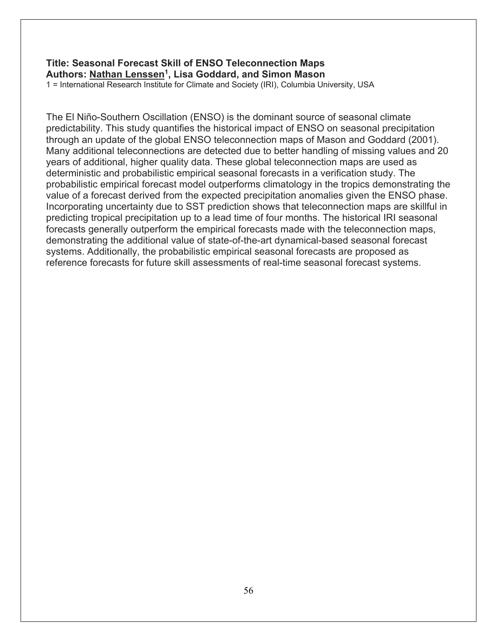# **Title: Seasonal Forecast Skill of ENSO Teleconnection Maps Authors: Nathan Lenssen1, Lisa Goddard, and Simon Mason**

1 = International Research Institute for Climate and Society (IRI), Columbia University, USA

The El Niño-Southern Oscillation (ENSO) is the dominant source of seasonal climate predictability. This study quantifies the historical impact of ENSO on seasonal precipitation through an update of the global ENSO teleconnection maps of Mason and Goddard (2001). Many additional teleconnections are detected due to better handling of missing values and 20 years of additional, higher quality data. These global teleconnection maps are used as deterministic and probabilistic empirical seasonal forecasts in a verification study. The probabilistic empirical forecast model outperforms climatology in the tropics demonstrating the value of a forecast derived from the expected precipitation anomalies given the ENSO phase. Incorporating uncertainty due to SST prediction shows that teleconnection maps are skillful in predicting tropical precipitation up to a lead time of four months. The historical IRI seasonal forecasts generally outperform the empirical forecasts made with the teleconnection maps, demonstrating the additional value of state-of-the-art dynamical-based seasonal forecast systems. Additionally, the probabilistic empirical seasonal forecasts are proposed as reference forecasts for future skill assessments of real-time seasonal forecast systems.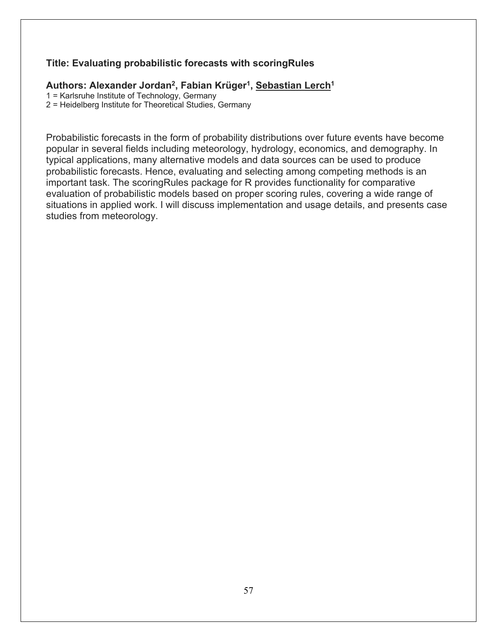# **Title: Evaluating probabilistic forecasts with scoringRules**

### Authors: Alexander Jordan<sup>2</sup>, Fabian Krüger<sup>1</sup>, Sebastian Lerch<sup>1</sup>

1 = Karlsruhe Institute of Technology, Germany

2 = Heidelberg Institute for Theoretical Studies, Germany

Probabilistic forecasts in the form of probability distributions over future events have become popular in several fields including meteorology, hydrology, economics, and demography. In typical applications, many alternative models and data sources can be used to produce probabilistic forecasts. Hence, evaluating and selecting among competing methods is an important task. The scoringRules package for R provides functionality for comparative evaluation of probabilistic models based on proper scoring rules, covering a wide range of situations in applied work. I will discuss implementation and usage details, and presents case studies from meteorology.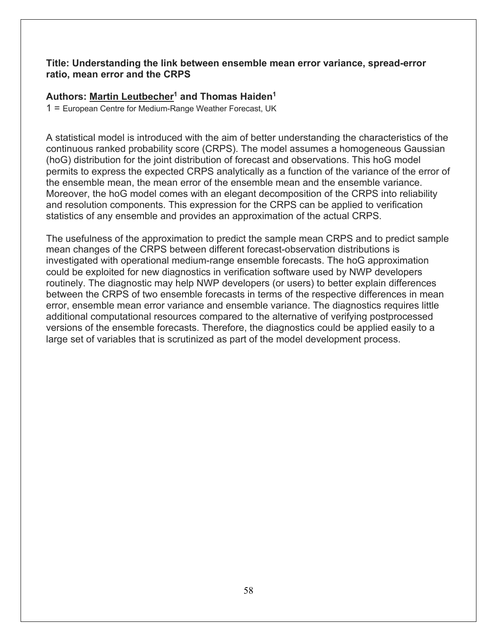#### **Title: Understanding the link between ensemble mean error variance, spread-error ratio, mean error and the CRPS**

# Authors: Martin Leutbecher<sup>1</sup> and Thomas Haiden<sup>1</sup>

1 = European Centre for Medium-Range Weather Forecast, UK

A statistical model is introduced with the aim of better understanding the characteristics of the continuous ranked probability score (CRPS). The model assumes a homogeneous Gaussian (hoG) distribution for the joint distribution of forecast and observations. This hoG model permits to express the expected CRPS analytically as a function of the variance of the error of the ensemble mean, the mean error of the ensemble mean and the ensemble variance. Moreover, the hoG model comes with an elegant decomposition of the CRPS into reliability and resolution components. This expression for the CRPS can be applied to verification statistics of any ensemble and provides an approximation of the actual CRPS.

The usefulness of the approximation to predict the sample mean CRPS and to predict sample mean changes of the CRPS between different forecast-observation distributions is investigated with operational medium-range ensemble forecasts. The hoG approximation could be exploited for new diagnostics in verification software used by NWP developers routinely. The diagnostic may help NWP developers (or users) to better explain differences between the CRPS of two ensemble forecasts in terms of the respective differences in mean error, ensemble mean error variance and ensemble variance. The diagnostics requires little additional computational resources compared to the alternative of verifying postprocessed versions of the ensemble forecasts. Therefore, the diagnostics could be applied easily to a large set of variables that is scrutinized as part of the model development process.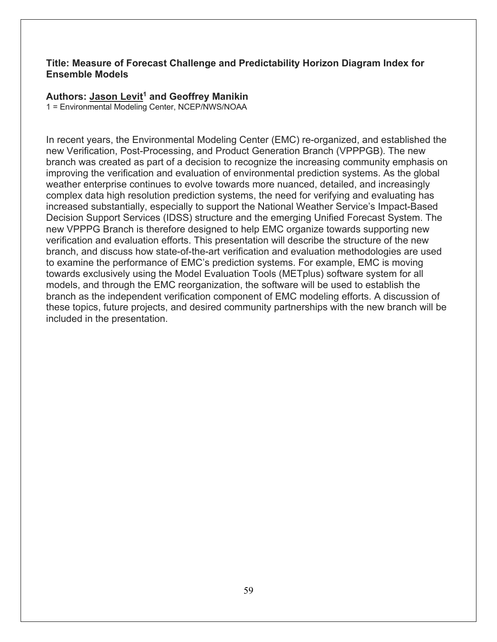### **Title: Measure of Forecast Challenge and Predictability Horizon Diagram Index for Ensemble Models**

### **Authors: Jason Levit1 and Geoffrey Manikin**

1 = Environmental Modeling Center, NCEP/NWS/NOAA

In recent years, the Environmental Modeling Center (EMC) re-organized, and established the new Verification, Post-Processing, and Product Generation Branch (VPPPGB). The new branch was created as part of a decision to recognize the increasing community emphasis on improving the verification and evaluation of environmental prediction systems. As the global weather enterprise continues to evolve towards more nuanced, detailed, and increasingly complex data high resolution prediction systems, the need for verifying and evaluating has increased substantially, especially to support the National Weather Service's Impact-Based Decision Support Services (IDSS) structure and the emerging Unified Forecast System. The new VPPPG Branch is therefore designed to help EMC organize towards supporting new verification and evaluation efforts. This presentation will describe the structure of the new branch, and discuss how state-of-the-art verification and evaluation methodologies are used to examine the performance of EMC's prediction systems. For example, EMC is moving towards exclusively using the Model Evaluation Tools (METplus) software system for all models, and through the EMC reorganization, the software will be used to establish the branch as the independent verification component of EMC modeling efforts. A discussion of these topics, future projects, and desired community partnerships with the new branch will be included in the presentation.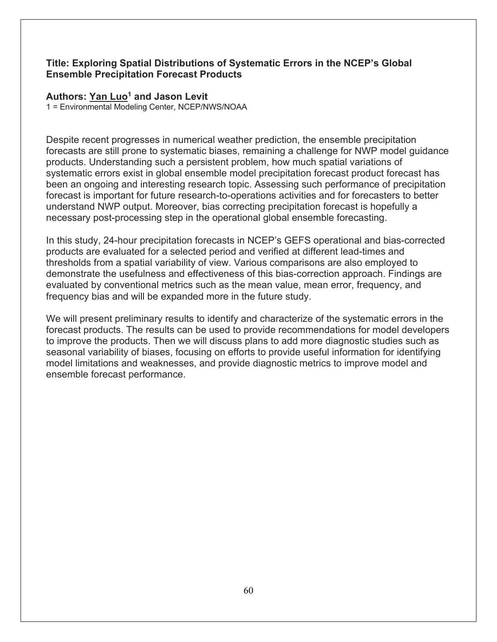# **Title: Exploring Spatial Distributions of Systematic Errors in the NCEP's Global Ensemble Precipitation Forecast Products**

#### **Authors: Yan Luo1 and Jason Levit**

1 = Environmental Modeling Center, NCEP/NWS/NOAA

Despite recent progresses in numerical weather prediction, the ensemble precipitation forecasts are still prone to systematic biases, remaining a challenge for NWP model guidance products. Understanding such a persistent problem, how much spatial variations of systematic errors exist in global ensemble model precipitation forecast product forecast has been an ongoing and interesting research topic. Assessing such performance of precipitation forecast is important for future research-to-operations activities and for forecasters to better understand NWP output. Moreover, bias correcting precipitation forecast is hopefully a necessary post-processing step in the operational global ensemble forecasting.

In this study, 24-hour precipitation forecasts in NCEP's GEFS operational and bias-corrected products are evaluated for a selected period and verified at different lead-times and thresholds from a spatial variability of view. Various comparisons are also employed to demonstrate the usefulness and effectiveness of this bias-correction approach. Findings are evaluated by conventional metrics such as the mean value, mean error, frequency, and frequency bias and will be expanded more in the future study.

We will present preliminary results to identify and characterize of the systematic errors in the forecast products. The results can be used to provide recommendations for model developers to improve the products. Then we will discuss plans to add more diagnostic studies such as seasonal variability of biases, focusing on efforts to provide useful information for identifying model limitations and weaknesses, and provide diagnostic metrics to improve model and ensemble forecast performance.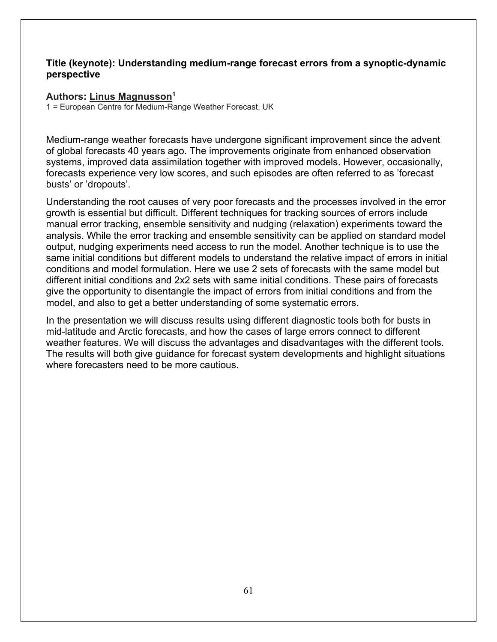### **Title (keynote): Understanding medium-range forecast errors from a synoptic-dynamic perspective**

#### **Authors: Linus Magnusson1**

1 = European Centre for Medium-Range Weather Forecast, UK

Medium-range weather forecasts have undergone significant improvement since the advent of global forecasts 40 years ago. The improvements originate from enhanced observation systems, improved data assimilation together with improved models. However, occasionally, forecasts experience very low scores, and such episodes are often referred to as 'forecast busts' or 'dropouts'.

Understanding the root causes of very poor forecasts and the processes involved in the error growth is essential but difficult. Different techniques for tracking sources of errors include manual error tracking, ensemble sensitivity and nudging (relaxation) experiments toward the analysis. While the error tracking and ensemble sensitivity can be applied on standard model output, nudging experiments need access to run the model. Another technique is to use the same initial conditions but different models to understand the relative impact of errors in initial conditions and model formulation. Here we use 2 sets of forecasts with the same model but different initial conditions and 2x2 sets with same initial conditions. These pairs of forecasts give the opportunity to disentangle the impact of errors from initial conditions and from the model, and also to get a better understanding of some systematic errors.

In the presentation we will discuss results using different diagnostic tools both for busts in mid-latitude and Arctic forecasts, and how the cases of large errors connect to different weather features. We will discuss the advantages and disadvantages with the different tools. The results will both give guidance for forecast system developments and highlight situations where forecasters need to be more cautious.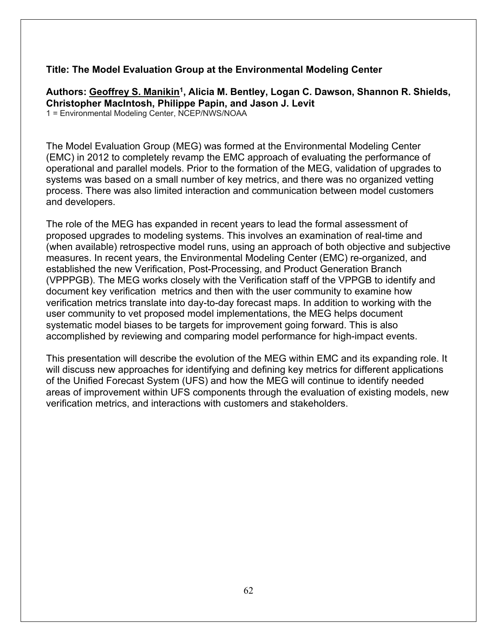# **Title: The Model Evaluation Group at the Environmental Modeling Center**

Authors: Geoffrey S. Manikin<sup>1</sup>, Alicia M. Bentley, Logan C. Dawson, Shannon R. Shields, **Christopher MacIntosh, Philippe Papin, and Jason J. Levit** 1 = Environmental Modeling Center, NCEP/NWS/NOAA

The Model Evaluation Group (MEG) was formed at the Environmental Modeling Center (EMC) in 2012 to completely revamp the EMC approach of evaluating the performance of operational and parallel models. Prior to the formation of the MEG, validation of upgrades to systems was based on a small number of key metrics, and there was no organized vetting process. There was also limited interaction and communication between model customers and developers.

The role of the MEG has expanded in recent years to lead the formal assessment of proposed upgrades to modeling systems. This involves an examination of real-time and (when available) retrospective model runs, using an approach of both objective and subjective measures. In recent years, the Environmental Modeling Center (EMC) re-organized, and established the new Verification, Post-Processing, and Product Generation Branch (VPPPGB). The MEG works closely with the Verification staff of the VPPGB to identify and document key verification metrics and then with the user community to examine how verification metrics translate into day-to-day forecast maps. In addition to working with the user community to vet proposed model implementations, the MEG helps document systematic model biases to be targets for improvement going forward. This is also accomplished by reviewing and comparing model performance for high-impact events.

This presentation will describe the evolution of the MEG within EMC and its expanding role. It will discuss new approaches for identifying and defining key metrics for different applications of the Unified Forecast System (UFS) and how the MEG will continue to identify needed areas of improvement within UFS components through the evaluation of existing models, new verification metrics, and interactions with customers and stakeholders.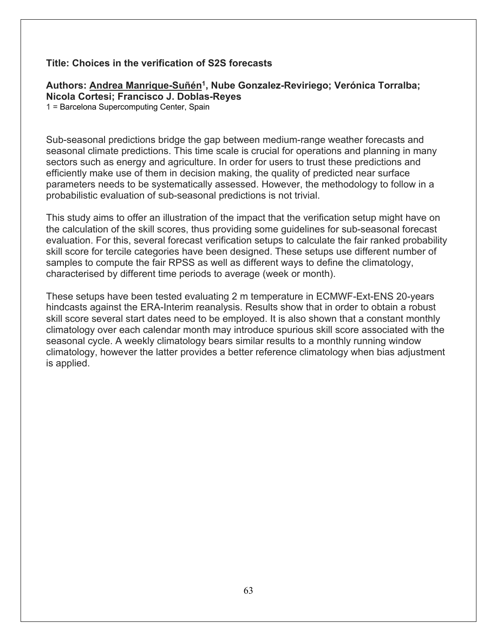#### **Title: Choices in the verification of S2S forecasts**

# Authors: Andrea Manrique-Suñén<sup>1</sup>, Nube Gonzalez-Reviriego; Verónica Torralba; **Nicola Cortesi; Francisco J. Doblas-Reyes**

1 = Barcelona Supercomputing Center, Spain

Sub-seasonal predictions bridge the gap between medium-range weather forecasts and seasonal climate predictions. This time scale is crucial for operations and planning in many sectors such as energy and agriculture. In order for users to trust these predictions and efficiently make use of them in decision making, the quality of predicted near surface parameters needs to be systematically assessed. However, the methodology to follow in a probabilistic evaluation of sub-seasonal predictions is not trivial.

This study aims to offer an illustration of the impact that the verification setup might have on the calculation of the skill scores, thus providing some guidelines for sub-seasonal forecast evaluation. For this, several forecast verification setups to calculate the fair ranked probability skill score for tercile categories have been designed. These setups use different number of samples to compute the fair RPSS as well as different ways to define the climatology, characterised by different time periods to average (week or month).

These setups have been tested evaluating 2 m temperature in ECMWF-Ext-ENS 20-years hindcasts against the ERA-Interim reanalysis. Results show that in order to obtain a robust skill score several start dates need to be employed. It is also shown that a constant monthly climatology over each calendar month may introduce spurious skill score associated with the seasonal cycle. A weekly climatology bears similar results to a monthly running window climatology, however the latter provides a better reference climatology when bias adjustment is applied.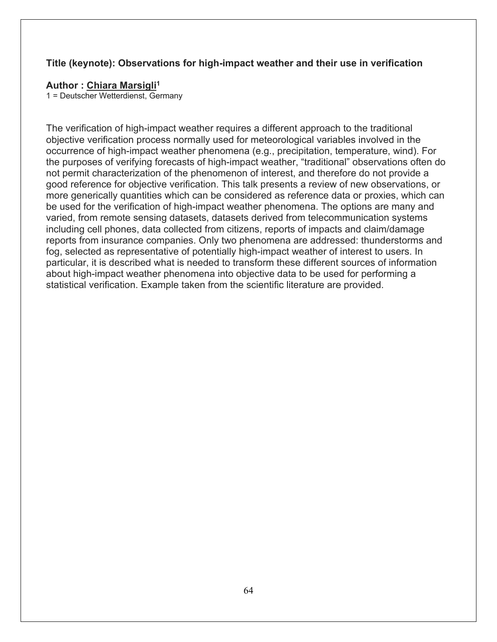### **Title (keynote): Observations for high-impact weather and their use in verification**

#### **Author : Chiara Marsigli1**

1 = Deutscher Wetterdienst, Germany

The verification of high-impact weather requires a different approach to the traditional objective verification process normally used for meteorological variables involved in the occurrence of high-impact weather phenomena (e.g., precipitation, temperature, wind). For the purposes of verifying forecasts of high-impact weather, "traditional" observations often do not permit characterization of the phenomenon of interest, and therefore do not provide a good reference for objective verification. This talk presents a review of new observations, or more generically quantities which can be considered as reference data or proxies, which can be used for the verification of high-impact weather phenomena. The options are many and varied, from remote sensing datasets, datasets derived from telecommunication systems including cell phones, data collected from citizens, reports of impacts and claim/damage reports from insurance companies. Only two phenomena are addressed: thunderstorms and fog, selected as representative of potentially high-impact weather of interest to users. In particular, it is described what is needed to transform these different sources of information about high-impact weather phenomena into objective data to be used for performing a statistical verification. Example taken from the scientific literature are provided.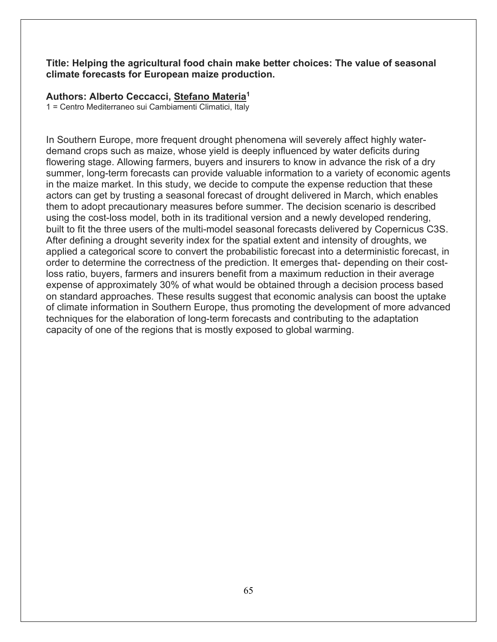#### **Title: Helping the agricultural food chain make better choices: The value of seasonal climate forecasts for European maize production.**

#### **Authors: Alberto Ceccacci, Stefano Materia1**

1 = Centro Mediterraneo sui Cambiamenti Climatici, Italy

In Southern Europe, more frequent drought phenomena will severely affect highly waterdemand crops such as maize, whose yield is deeply influenced by water deficits during flowering stage. Allowing farmers, buyers and insurers to know in advance the risk of a dry summer, long-term forecasts can provide valuable information to a variety of economic agents in the maize market. In this study, we decide to compute the expense reduction that these actors can get by trusting a seasonal forecast of drought delivered in March, which enables them to adopt precautionary measures before summer. The decision scenario is described using the cost-loss model, both in its traditional version and a newly developed rendering, built to fit the three users of the multi-model seasonal forecasts delivered by Copernicus C3S. After defining a drought severity index for the spatial extent and intensity of droughts, we applied a categorical score to convert the probabilistic forecast into a deterministic forecast, in order to determine the correctness of the prediction. It emerges that- depending on their costloss ratio, buyers, farmers and insurers benefit from a maximum reduction in their average expense of approximately 30% of what would be obtained through a decision process based on standard approaches. These results suggest that economic analysis can boost the uptake of climate information in Southern Europe, thus promoting the development of more advanced techniques for the elaboration of long-term forecasts and contributing to the adaptation capacity of one of the regions that is mostly exposed to global warming.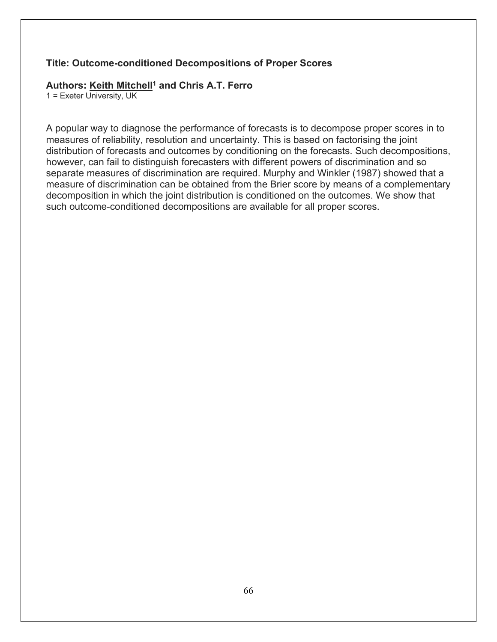#### **Title: Outcome-conditioned Decompositions of Proper Scores**

#### **Authors: Keith Mitchell1 and Chris A.T. Ferro**

1 = Exeter University, UK

A popular way to diagnose the performance of forecasts is to decompose proper scores in to measures of reliability, resolution and uncertainty. This is based on factorising the joint distribution of forecasts and outcomes by conditioning on the forecasts. Such decompositions, however, can fail to distinguish forecasters with different powers of discrimination and so separate measures of discrimination are required. Murphy and Winkler (1987) showed that a measure of discrimination can be obtained from the Brier score by means of a complementary decomposition in which the joint distribution is conditioned on the outcomes. We show that such outcome-conditioned decompositions are available for all proper scores.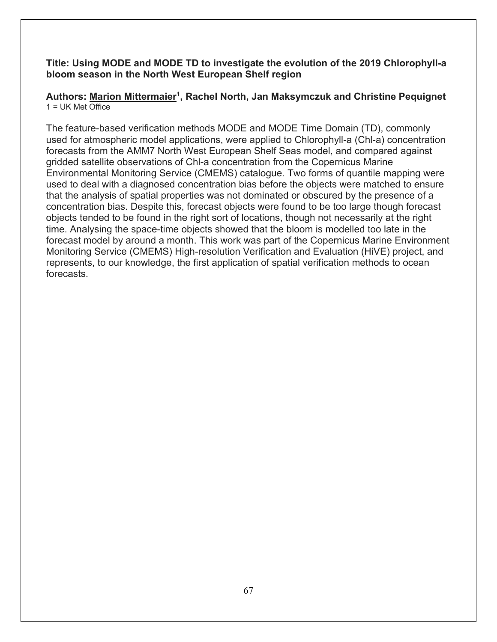# **Title: Using MODE and MODE TD to investigate the evolution of the 2019 Chlorophyll-a bloom season in the North West European Shelf region**

# **Authors: Marion Mittermaier1, Rachel North, Jan Maksymczuk and Christine Pequignet**  $1 = UK$  Met Office

The feature-based verification methods MODE and MODE Time Domain (TD), commonly used for atmospheric model applications, were applied to Chlorophyll-a (Chl-a) concentration forecasts from the AMM7 North West European Shelf Seas model, and compared against gridded satellite observations of Chl-a concentration from the Copernicus Marine Environmental Monitoring Service (CMEMS) catalogue. Two forms of quantile mapping were used to deal with a diagnosed concentration bias before the objects were matched to ensure that the analysis of spatial properties was not dominated or obscured by the presence of a concentration bias. Despite this, forecast objects were found to be too large though forecast objects tended to be found in the right sort of locations, though not necessarily at the right time. Analysing the space-time objects showed that the bloom is modelled too late in the forecast model by around a month. This work was part of the Copernicus Marine Environment Monitoring Service (CMEMS) High-resolution Verification and Evaluation (HiVE) project, and represents, to our knowledge, the first application of spatial verification methods to ocean forecasts.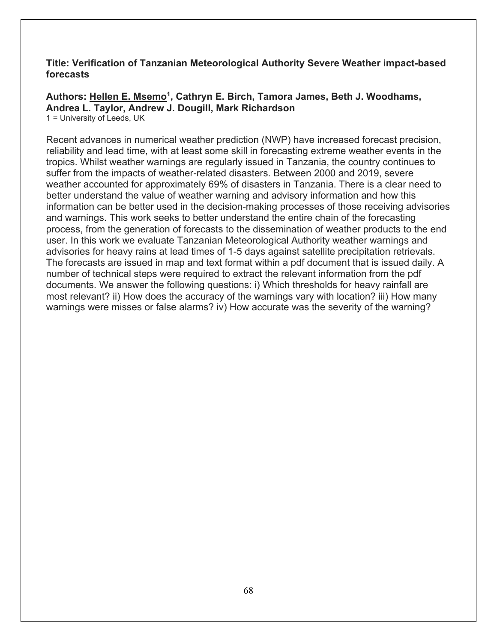### **Title: Verification of Tanzanian Meteorological Authority Severe Weather impact-based forecasts**

Authors: Hellen E. Msemo<sup>1</sup>, Cathryn E. Birch, Tamora James, Beth J. Woodhams, **Andrea L. Taylor, Andrew J. Dougill, Mark Richardson**

1 = University of Leeds, UK

Recent advances in numerical weather prediction (NWP) have increased forecast precision, reliability and lead time, with at least some skill in forecasting extreme weather events in the tropics. Whilst weather warnings are regularly issued in Tanzania, the country continues to suffer from the impacts of weather-related disasters. Between 2000 and 2019, severe weather accounted for approximately 69% of disasters in Tanzania. There is a clear need to better understand the value of weather warning and advisory information and how this information can be better used in the decision-making processes of those receiving advisories and warnings. This work seeks to better understand the entire chain of the forecasting process, from the generation of forecasts to the dissemination of weather products to the end user. In this work we evaluate Tanzanian Meteorological Authority weather warnings and advisories for heavy rains at lead times of 1-5 days against satellite precipitation retrievals. The forecasts are issued in map and text format within a pdf document that is issued daily. A number of technical steps were required to extract the relevant information from the pdf documents. We answer the following questions: i) Which thresholds for heavy rainfall are most relevant? ii) How does the accuracy of the warnings vary with location? iii) How many warnings were misses or false alarms? iv) How accurate was the severity of the warning?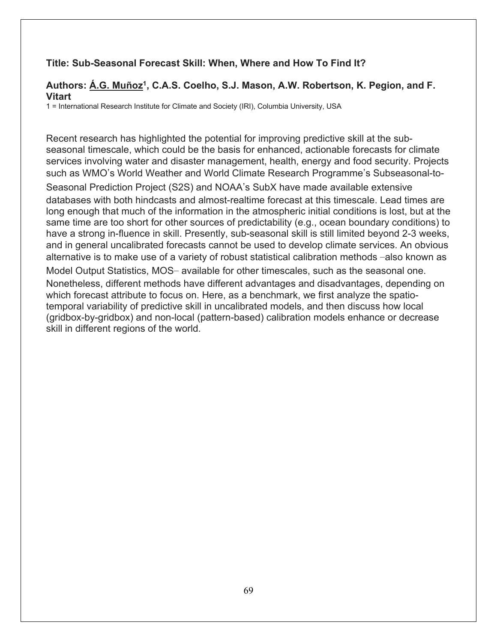# **Title: Sub-Seasonal Forecast Skill: When, Where and How To Find It?**

# **Authors: Á.G. Muñoz1, C.A.S. Coelho, S.J. Mason, A.W. Robertson, K. Pegion, and F. Vitart**

1 = International Research Institute for Climate and Society (IRI), Columbia University, USA

Recent research has highlighted the potential for improving predictive skill at the subseasonal timescale, which could be the basis for enhanced, actionable forecasts for climate services involving water and disaster management, health, energy and food security. Projects such as WMO's World Weather and World Climate Research Programme's Subseasonal-to-Seasonal Prediction Project (S2S) and NOAA's SubX have made available extensive databases with both hindcasts and almost-realtime forecast at this timescale. Lead times are long enough that much of the information in the atmospheric initial conditions is lost, but at the same time are too short for other sources of predictability (e.g., ocean boundary conditions) to have a strong in-fluence in skill. Presently, sub-seasonal skill is still limited beyond 2-3 weeks, and in general uncalibrated forecasts cannot be used to develop climate services. An obvious alternative is to make use of a variety of robust statistical calibration methods -also known as Model Output Statistics, MOS- available for other timescales, such as the seasonal one. Nonetheless, different methods have different advantages and disadvantages, depending on which forecast attribute to focus on. Here, as a benchmark, we first analyze the spatiotemporal variability of predictive skill in uncalibrated models, and then discuss how local (gridbox-by-gridbox) and non-local (pattern-based) calibration models enhance or decrease skill in different regions of the world.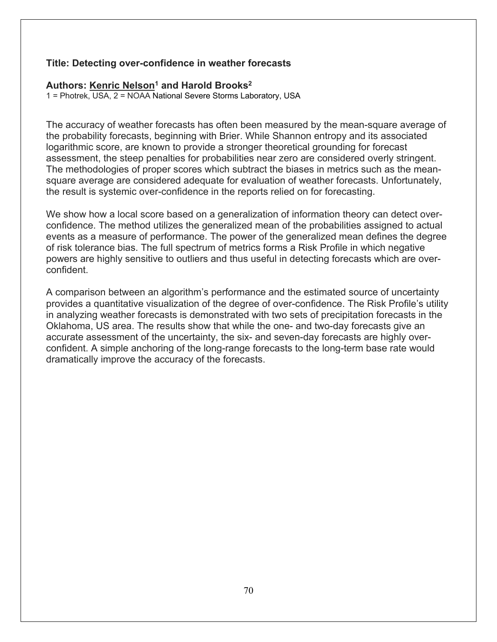#### **Title: Detecting over-confidence in weather forecasts**

#### **Authors: Kenric Nelson1 and Harold Brooks2**

1 = Photrek, USA, 2 = NOAA National Severe Storms Laboratory, USA

The accuracy of weather forecasts has often been measured by the mean-square average of the probability forecasts, beginning with Brier. While Shannon entropy and its associated logarithmic score, are known to provide a stronger theoretical grounding for forecast assessment, the steep penalties for probabilities near zero are considered overly stringent. The methodologies of proper scores which subtract the biases in metrics such as the meansquare average are considered adequate for evaluation of weather forecasts. Unfortunately, the result is systemic over-confidence in the reports relied on for forecasting.

We show how a local score based on a generalization of information theory can detect overconfidence. The method utilizes the generalized mean of the probabilities assigned to actual events as a measure of performance. The power of the generalized mean defines the degree of risk tolerance bias. The full spectrum of metrics forms a Risk Profile in which negative powers are highly sensitive to outliers and thus useful in detecting forecasts which are overconfident.

A comparison between an algorithm's performance and the estimated source of uncertainty provides a quantitative visualization of the degree of over-confidence. The Risk Profile's utility in analyzing weather forecasts is demonstrated with two sets of precipitation forecasts in the Oklahoma, US area. The results show that while the one- and two-day forecasts give an accurate assessment of the uncertainty, the six- and seven-day forecasts are highly overconfident. A simple anchoring of the long-range forecasts to the long-term base rate would dramatically improve the accuracy of the forecasts.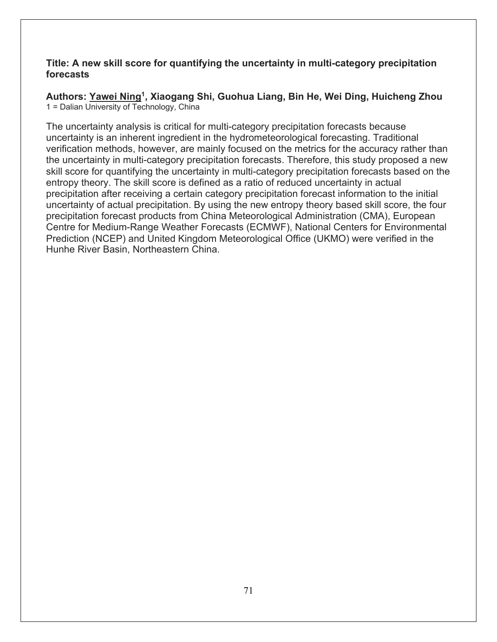# **Title: A new skill score for quantifying the uncertainty in multi-category precipitation forecasts**

**Authors: Yawei Ning1, Xiaogang Shi, Guohua Liang, Bin He, Wei Ding, Huicheng Zhou** 1 = Dalian University of Technology, China

The uncertainty analysis is critical for multi-category precipitation forecasts because uncertainty is an inherent ingredient in the hydrometeorological forecasting. Traditional verification methods, however, are mainly focused on the metrics for the accuracy rather than the uncertainty in multi-category precipitation forecasts. Therefore, this study proposed a new skill score for quantifying the uncertainty in multi-category precipitation forecasts based on the entropy theory. The skill score is defined as a ratio of reduced uncertainty in actual precipitation after receiving a certain category precipitation forecast information to the initial uncertainty of actual precipitation. By using the new entropy theory based skill score, the four precipitation forecast products from China Meteorological Administration (CMA), European Centre for Medium-Range Weather Forecasts (ECMWF), National Centers for Environmental Prediction (NCEP) and United Kingdom Meteorological Office (UKMO) were verified in the Hunhe River Basin, Northeastern China.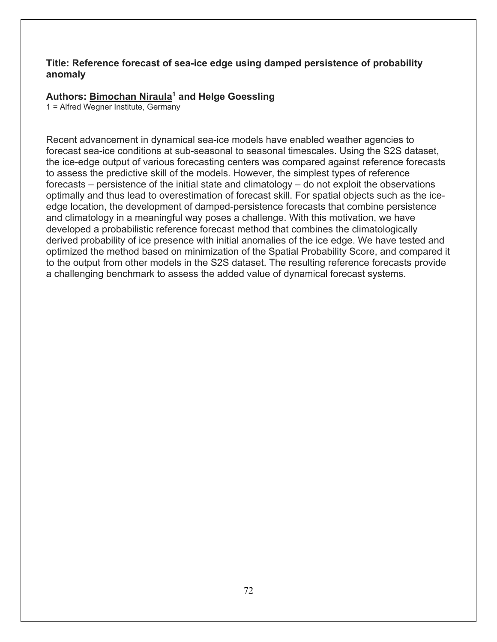# **Title: Reference forecast of sea-ice edge using damped persistence of probability anomaly**

# **Authors: Bimochan Niraula1 and Helge Goessling**

1 = Alfred Wegner Institute, Germany

Recent advancement in dynamical sea-ice models have enabled weather agencies to forecast sea-ice conditions at sub-seasonal to seasonal timescales. Using the S2S dataset, the ice-edge output of various forecasting centers was compared against reference forecasts to assess the predictive skill of the models. However, the simplest types of reference forecasts – persistence of the initial state and climatology – do not exploit the observations optimally and thus lead to overestimation of forecast skill. For spatial objects such as the iceedge location, the development of damped-persistence forecasts that combine persistence and climatology in a meaningful way poses a challenge. With this motivation, we have developed a probabilistic reference forecast method that combines the climatologically derived probability of ice presence with initial anomalies of the ice edge. We have tested and optimized the method based on minimization of the Spatial Probability Score, and compared it to the output from other models in the S2S dataset. The resulting reference forecasts provide a challenging benchmark to assess the added value of dynamical forecast systems.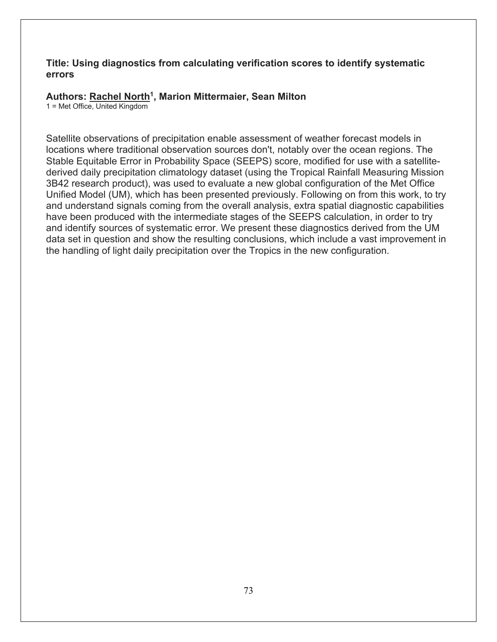#### **Title: Using diagnostics from calculating verification scores to identify systematic errors**

#### **Authors: Rachel North1, Marion Mittermaier, Sean Milton**

1 = Met Office, United Kingdom

Satellite observations of precipitation enable assessment of weather forecast models in locations where traditional observation sources don't, notably over the ocean regions. The Stable Equitable Error in Probability Space (SEEPS) score, modified for use with a satellitederived daily precipitation climatology dataset (using the Tropical Rainfall Measuring Mission 3B42 research product), was used to evaluate a new global configuration of the Met Office Unified Model (UM), which has been presented previously. Following on from this work, to try and understand signals coming from the overall analysis, extra spatial diagnostic capabilities have been produced with the intermediate stages of the SEEPS calculation, in order to try and identify sources of systematic error. We present these diagnostics derived from the UM data set in question and show the resulting conclusions, which include a vast improvement in the handling of light daily precipitation over the Tropics in the new configuration.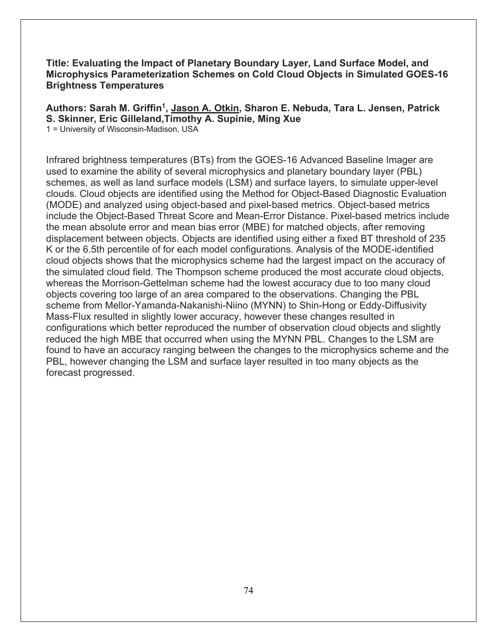#### **Title: Evaluating the Impact of Planetary Boundary Layer, Land Surface Model, and Microphysics Parameterization Schemes on Cold Cloud Objects in Simulated GOES-16 Brightness Temperatures**

**Authors: Sarah M. Griffin1, Jason A. Otkin, Sharon E. Nebuda, Tara L. Jensen, Patrick S. Skinner, Eric Gilleland,Timothy A. Supinie, Ming Xue** 1 = University of Wisconsin-Madison, USA

Infrared brightness temperatures (BTs) from the GOES-16 Advanced Baseline Imager are used to examine the ability of several microphysics and planetary boundary layer (PBL) schemes, as well as land surface models (LSM) and surface layers, to simulate upper-level clouds. Cloud objects are identified using the Method for Object-Based Diagnostic Evaluation (MODE) and analyzed using object-based and pixel-based metrics. Object-based metrics include the Object-Based Threat Score and Mean-Error Distance. Pixel-based metrics include the mean absolute error and mean bias error (MBE) for matched objects, after removing displacement between objects. Objects are identified using either a fixed BT threshold of 235 K or the 6.5th percentile of for each model configurations. Analysis of the MODE-identified cloud objects shows that the microphysics scheme had the largest impact on the accuracy of the simulated cloud field. The Thompson scheme produced the most accurate cloud objects, whereas the Morrison-Gettelman scheme had the lowest accuracy due to too many cloud objects covering too large of an area compared to the observations. Changing the PBL scheme from Mellor-Yamanda-Nakanishi-Niino (MYNN) to Shin-Hong or Eddy-Diffusivity Mass-Flux resulted in slightly lower accuracy, however these changes resulted in configurations which better reproduced the number of observation cloud objects and slightly reduced the high MBE that occurred when using the MYNN PBL. Changes to the LSM are found to have an accuracy ranging between the changes to the microphysics scheme and the PBL, however changing the LSM and surface layer resulted in too many objects as the forecast progressed.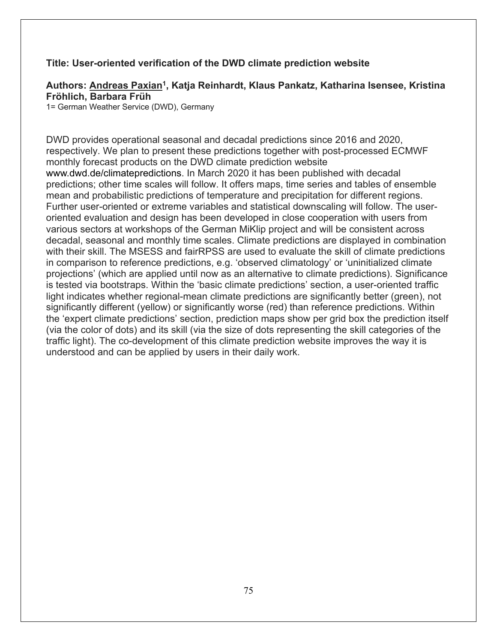### **Title: User-oriented verification of the DWD climate prediction website**

#### **Authors: Andreas Paxian1, Katja Reinhardt, Klaus Pankatz, Katharina Isensee, Kristina Fröhlich, Barbara Früh**

1= German Weather Service (DWD), Germany

DWD provides operational seasonal and decadal predictions since 2016 and 2020, respectively. We plan to present these predictions together with post-processed ECMWF monthly forecast products on the DWD climate prediction website www.dwd.de/climatepredictions. In March 2020 it has been published with decadal predictions; other time scales will follow. It offers maps, time series and tables of ensemble mean and probabilistic predictions of temperature and precipitation for different regions. Further user-oriented or extreme variables and statistical downscaling will follow. The useroriented evaluation and design has been developed in close cooperation with users from various sectors at workshops of the German MiKlip project and will be consistent across decadal, seasonal and monthly time scales. Climate predictions are displayed in combination with their skill. The MSESS and fairRPSS are used to evaluate the skill of climate predictions in comparison to reference predictions, e.g. 'observed climatology' or 'uninitialized climate projections' (which are applied until now as an alternative to climate predictions). Significance is tested via bootstraps. Within the 'basic climate predictions' section, a user-oriented traffic light indicates whether regional-mean climate predictions are significantly better (green), not significantly different (yellow) or significantly worse (red) than reference predictions. Within the 'expert climate predictions' section, prediction maps show per grid box the prediction itself (via the color of dots) and its skill (via the size of dots representing the skill categories of the traffic light). The co-development of this climate prediction website improves the way it is understood and can be applied by users in their daily work.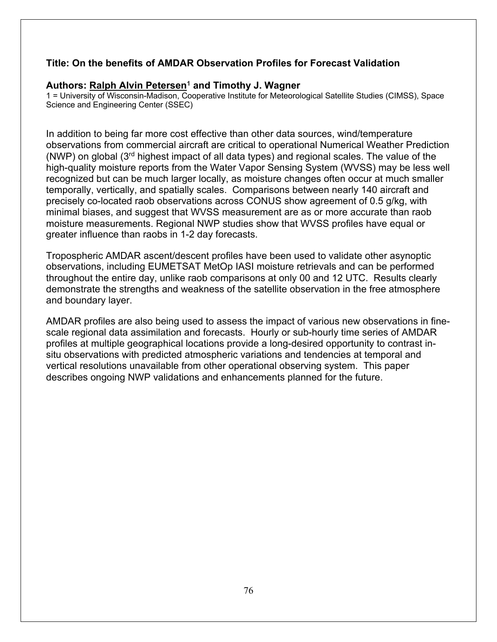### **Title: On the benefits of AMDAR Observation Profiles for Forecast Validation**

#### **Authors: Ralph Alvin Petersen1 and Timothy J. Wagner**

1 = University of Wisconsin-Madison, Cooperative Institute for Meteorological Satellite Studies (CIMSS), Space Science and Engineering Center (SSEC)

In addition to being far more cost effective than other data sources, wind/temperature observations from commercial aircraft are critical to operational Numerical Weather Prediction (NWP) on global (3rd highest impact of all data types) and regional scales. The value of the high-quality moisture reports from the Water Vapor Sensing System (WVSS) may be less well recognized but can be much larger locally, as moisture changes often occur at much smaller temporally, vertically, and spatially scales. Comparisons between nearly 140 aircraft and precisely co-located raob observations across CONUS show agreement of 0.5 g/kg, with minimal biases, and suggest that WVSS measurement are as or more accurate than raob moisture measurements. Regional NWP studies show that WVSS profiles have equal or greater influence than raobs in 1-2 day forecasts.

Tropospheric AMDAR ascent/descent profiles have been used to validate other asynoptic observations, including EUMETSAT MetOp IASI moisture retrievals and can be performed throughout the entire day, unlike raob comparisons at only 00 and 12 UTC. Results clearly demonstrate the strengths and weakness of the satellite observation in the free atmosphere and boundary layer.

AMDAR profiles are also being used to assess the impact of various new observations in finescale regional data assimilation and forecasts. Hourly or sub-hourly time series of AMDAR profiles at multiple geographical locations provide a long-desired opportunity to contrast insitu observations with predicted atmospheric variations and tendencies at temporal and vertical resolutions unavailable from other operational observing system. This paper describes ongoing NWP validations and enhancements planned for the future.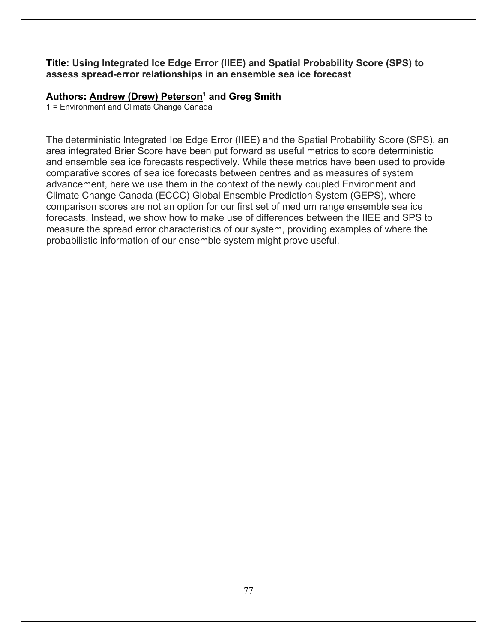#### **Title: Using Integrated Ice Edge Error (IIEE) and Spatial Probability Score (SPS) to assess spread-error relationships in an ensemble sea ice forecast**

#### Authors: Andrew (Drew) Peterson<sup>1</sup> and Greg Smith

1 = Environment and Climate Change Canada

The deterministic Integrated Ice Edge Error (IIEE) and the Spatial Probability Score (SPS), an area integrated Brier Score have been put forward as useful metrics to score deterministic and ensemble sea ice forecasts respectively. While these metrics have been used to provide comparative scores of sea ice forecasts between centres and as measures of system advancement, here we use them in the context of the newly coupled Environment and Climate Change Canada (ECCC) Global Ensemble Prediction System (GEPS), where comparison scores are not an option for our first set of medium range ensemble sea ice forecasts. Instead, we show how to make use of differences between the IIEE and SPS to measure the spread error characteristics of our system, providing examples of where the probabilistic information of our ensemble system might prove useful.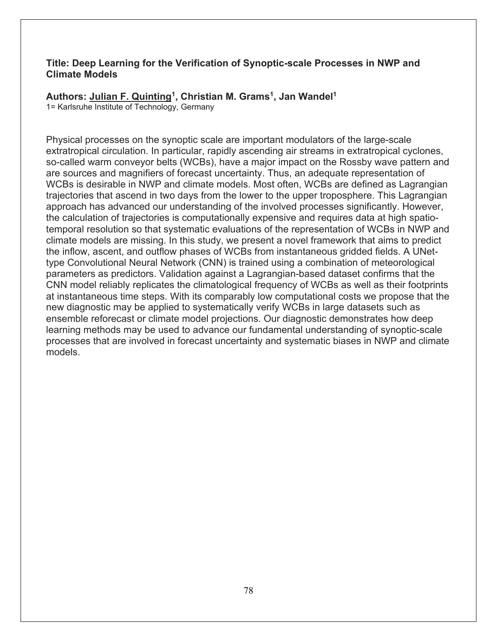#### **Title: Deep Learning for the Verification of Synoptic-scale Processes in NWP and Climate Models**

# Authors: Julian F. Quinting<sup>1</sup>, Christian M. Grams<sup>1</sup>, Jan Wandel<sup>1</sup>

1= Karlsruhe Institute of Technology, Germany

Physical processes on the synoptic scale are important modulators of the large-scale extratropical circulation. In particular, rapidly ascending air streams in extratropical cyclones, so-called warm conveyor belts (WCBs), have a major impact on the Rossby wave pattern and are sources and magnifiers of forecast uncertainty. Thus, an adequate representation of WCBs is desirable in NWP and climate models. Most often, WCBs are defined as Lagrangian trajectories that ascend in two days from the lower to the upper troposphere. This Lagrangian approach has advanced our understanding of the involved processes significantly. However, the calculation of trajectories is computationally expensive and requires data at high spatiotemporal resolution so that systematic evaluations of the representation of WCBs in NWP and climate models are missing. In this study, we present a novel framework that aims to predict the inflow, ascent, and outflow phases of WCBs from instantaneous gridded fields. A UNettype Convolutional Neural Network (CNN) is trained using a combination of meteorological parameters as predictors. Validation against a Lagrangian-based dataset confirms that the CNN model reliably replicates the climatological frequency of WCBs as well as their footprints at instantaneous time steps. With its comparably low computational costs we propose that the new diagnostic may be applied to systematically verify WCBs in large datasets such as ensemble reforecast or climate model projections. Our diagnostic demonstrates how deep learning methods may be used to advance our fundamental understanding of synoptic-scale processes that are involved in forecast uncertainty and systematic biases in NWP and climate models.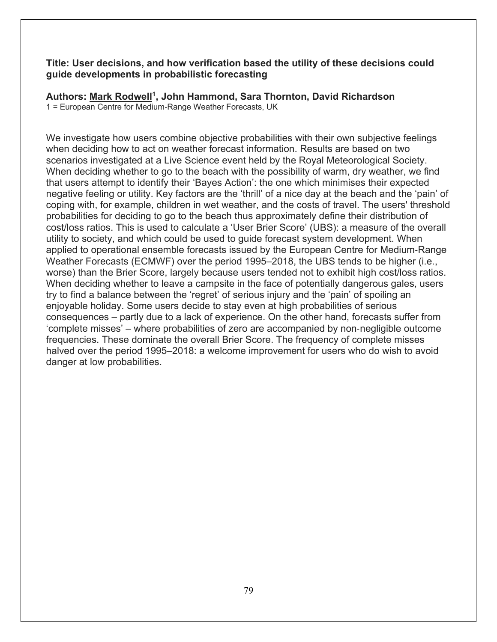#### **Title: User decisions, and how verification based the utility of these decisions could guide developments in probabilistic forecasting**

## **Authors: Mark Rodwell1, John Hammond, Sara Thornton, David Richardson**

1 = European Centre for Medium-Range Weather Forecasts, UK

We investigate how users combine objective probabilities with their own subjective feelings when deciding how to act on weather forecast information. Results are based on two scenarios investigated at a Live Science event held by the Royal Meteorological Society. When deciding whether to go to the beach with the possibility of warm, dry weather, we find that users attempt to identify their 'Bayes Action': the one which minimises their expected negative feeling or utility. Key factors are the 'thrill' of a nice day at the beach and the 'pain' of coping with, for example, children in wet weather, and the costs of travel. The users' threshold probabilities for deciding to go to the beach thus approximately define their distribution of cost/loss ratios. This is used to calculate a 'User Brier Score' (UBS): a measure of the overall utility to society, and which could be used to guide forecast system development. When applied to operational ensemble forecasts issued by the European Centre for Medium-Range Weather Forecasts (ECMWF) over the period 1995–2018, the UBS tends to be higher (i.e., worse) than the Brier Score, largely because users tended not to exhibit high cost/loss ratios. When deciding whether to leave a campsite in the face of potentially dangerous gales, users try to find a balance between the 'regret' of serious injury and the 'pain' of spoiling an enjoyable holiday. Some users decide to stay even at high probabilities of serious consequences – partly due to a lack of experience. On the other hand, forecasts suffer from 'complete misses' – where probabilities of zero are accompanied by non-negligible outcome frequencies. These dominate the overall Brier Score. The frequency of complete misses halved over the period 1995–2018: a welcome improvement for users who do wish to avoid danger at low probabilities.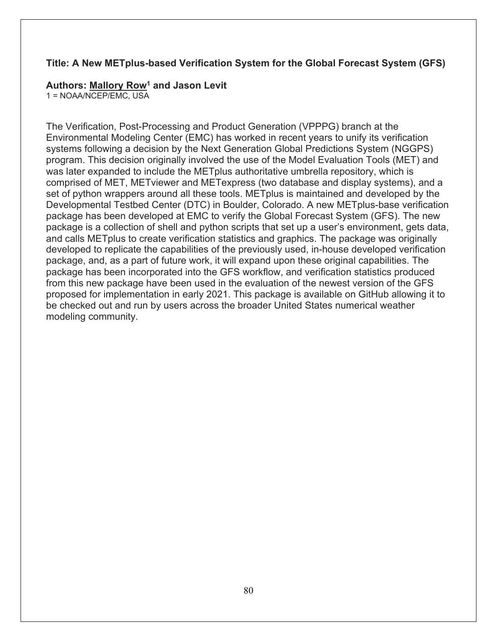#### **Title: A New METplus-based Verification System for the Global Forecast System (GFS)**

#### **Authors: Mallory Row1 and Jason Levit**

1 = NOAA/NCEP/EMC, USA

The Verification, Post-Processing and Product Generation (VPPPG) branch at the Environmental Modeling Center (EMC) has worked in recent years to unify its verification systems following a decision by the Next Generation Global Predictions System (NGGPS) program. This decision originally involved the use of the Model Evaluation Tools (MET) and was later expanded to include the METplus authoritative umbrella repository, which is comprised of MET, METviewer and METexpress (two database and display systems), and a set of python wrappers around all these tools. METplus is maintained and developed by the Developmental Testbed Center (DTC) in Boulder, Colorado. A new METplus-base verification package has been developed at EMC to verify the Global Forecast System (GFS). The new package is a collection of shell and python scripts that set up a user's environment, gets data, and calls METplus to create verification statistics and graphics. The package was originally developed to replicate the capabilities of the previously used, in-house developed verification package, and, as a part of future work, it will expand upon these original capabilities. The package has been incorporated into the GFS workflow, and verification statistics produced from this new package have been used in the evaluation of the newest version of the GFS proposed for implementation in early 2021. This package is available on GitHub allowing it to be checked out and run by users across the broader United States numerical weather modeling community.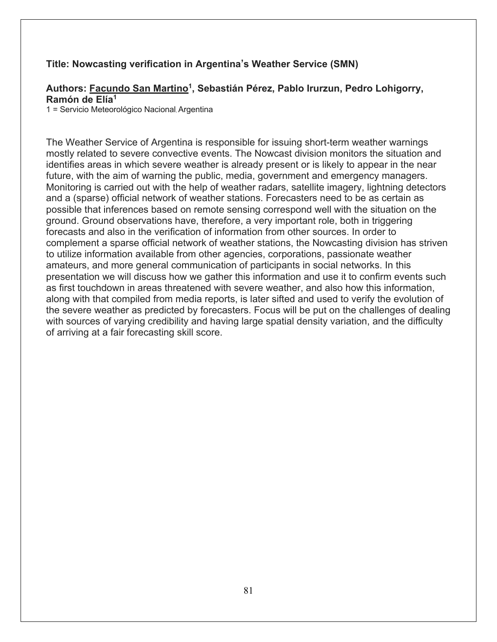#### **Title: Nowcasting verification in Argentina's Weather Service (SMN)**

### Authors: Facundo San Martino<sup>1</sup>, Sebastián Pérez, Pablo Irurzun, Pedro Lohigorry, **Ramón de Elía1**

1 = Servicio Meteorológico Nacional, Argentina

The Weather Service of Argentina is responsible for issuing short-term weather warnings mostly related to severe convective events. The Nowcast division monitors the situation and identifies areas in which severe weather is already present or is likely to appear in the near future, with the aim of warning the public, media, government and emergency managers. Monitoring is carried out with the help of weather radars, satellite imagery, lightning detectors and a (sparse) official network of weather stations. Forecasters need to be as certain as possible that inferences based on remote sensing correspond well with the situation on the ground. Ground observations have, therefore, a very important role, both in triggering forecasts and also in the verification of information from other sources. In order to complement a sparse official network of weather stations, the Nowcasting division has striven to utilize information available from other agencies, corporations, passionate weather amateurs, and more general communication of participants in social networks. In this presentation we will discuss how we gather this information and use it to confirm events such as first touchdown in areas threatened with severe weather, and also how this information, along with that compiled from media reports, is later sifted and used to verify the evolution of the severe weather as predicted by forecasters. Focus will be put on the challenges of dealing with sources of varying credibility and having large spatial density variation, and the difficulty of arriving at a fair forecasting skill score.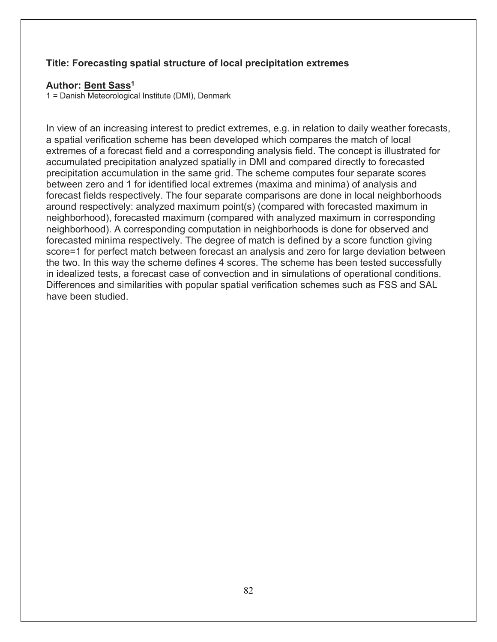### **Title: Forecasting spatial structure of local precipitation extremes**

#### **Author: Bent Sass1**

1 = Danish Meteorological Institute (DMI), Denmark

In view of an increasing interest to predict extremes, e.g. in relation to daily weather forecasts, a spatial verification scheme has been developed which compares the match of local extremes of a forecast field and a corresponding analysis field. The concept is illustrated for accumulated precipitation analyzed spatially in DMI and compared directly to forecasted precipitation accumulation in the same grid. The scheme computes four separate scores between zero and 1 for identified local extremes (maxima and minima) of analysis and forecast fields respectively. The four separate comparisons are done in local neighborhoods around respectively: analyzed maximum point(s) (compared with forecasted maximum in neighborhood), forecasted maximum (compared with analyzed maximum in corresponding neighborhood). A corresponding computation in neighborhoods is done for observed and forecasted minima respectively. The degree of match is defined by a score function giving score=1 for perfect match between forecast an analysis and zero for large deviation between the two. In this way the scheme defines 4 scores. The scheme has been tested successfully in idealized tests, a forecast case of convection and in simulations of operational conditions. Differences and similarities with popular spatial verification schemes such as FSS and SAL have been studied.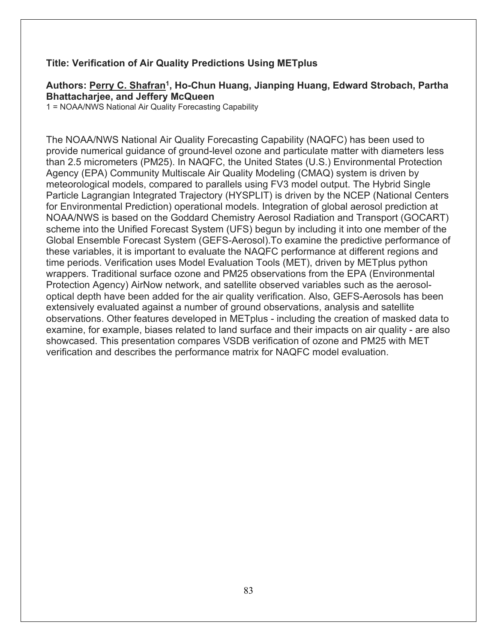#### **Title: Verification of Air Quality Predictions Using METplus**

#### Authors: Perry C. Shafran<sup>1</sup>, Ho-Chun Huang, Jianping Huang, Edward Strobach, Partha **Bhattacharjee, and Jeffery McQueen**

1 = NOAA/NWS National Air Quality Forecasting Capability

The NOAA/NWS National Air Quality Forecasting Capability (NAQFC) has been used to provide numerical guidance of ground-level ozone and particulate matter with diameters less than 2.5 micrometers (PM25). In NAQFC, the United States (U.S.) Environmental Protection Agency (EPA) Community Multiscale Air Quality Modeling (CMAQ) system is driven by meteorological models, compared to parallels using FV3 model output. The Hybrid Single Particle Lagrangian Integrated Trajectory (HYSPLIT) is driven by the NCEP (National Centers for Environmental Prediction) operational models. Integration of global aerosol prediction at NOAA/NWS is based on the Goddard Chemistry Aerosol Radiation and Transport (GOCART) scheme into the Unified Forecast System (UFS) begun by including it into one member of the Global Ensemble Forecast System (GEFS-Aerosol).To examine the predictive performance of these variables, it is important to evaluate the NAQFC performance at different regions and time periods. Verification uses Model Evaluation Tools (MET), driven by METplus python wrappers. Traditional surface ozone and PM25 observations from the EPA (Environmental Protection Agency) AirNow network, and satellite observed variables such as the aerosoloptical depth have been added for the air quality verification. Also, GEFS-Aerosols has been extensively evaluated against a number of ground observations, analysis and satellite observations. Other features developed in METplus - including the creation of masked data to examine, for example, biases related to land surface and their impacts on air quality - are also showcased. This presentation compares VSDB verification of ozone and PM25 with MET verification and describes the performance matrix for NAQFC model evaluation.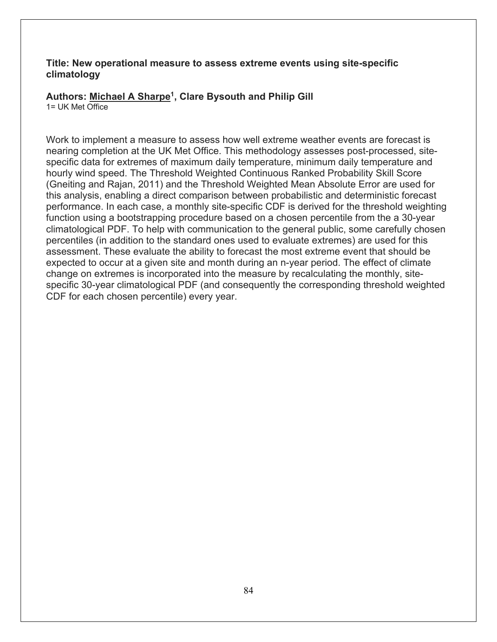#### **Title: New operational measure to assess extreme events using site-specific climatology**

# **Authors: Michael A Sharpe1, Clare Bysouth and Philip Gill**

 $1 = \text{IJK Met } \overline{\text{Office}}$ 

Work to implement a measure to assess how well extreme weather events are forecast is nearing completion at the UK Met Office. This methodology assesses post-processed, sitespecific data for extremes of maximum daily temperature, minimum daily temperature and hourly wind speed. The Threshold Weighted Continuous Ranked Probability Skill Score (Gneiting and Rajan, 2011) and the Threshold Weighted Mean Absolute Error are used for this analysis, enabling a direct comparison between probabilistic and deterministic forecast performance. In each case, a monthly site-specific CDF is derived for the threshold weighting function using a bootstrapping procedure based on a chosen percentile from the a 30-year climatological PDF. To help with communication to the general public, some carefully chosen percentiles (in addition to the standard ones used to evaluate extremes) are used for this assessment. These evaluate the ability to forecast the most extreme event that should be expected to occur at a given site and month during an n-year period. The effect of climate change on extremes is incorporated into the measure by recalculating the monthly, sitespecific 30-year climatological PDF (and consequently the corresponding threshold weighted CDF for each chosen percentile) every year.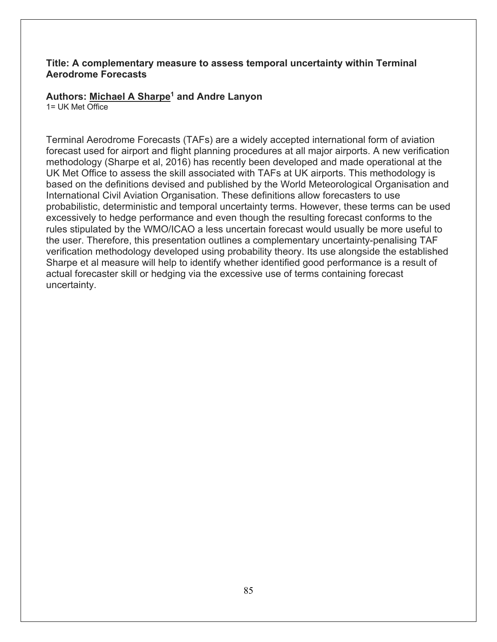#### **Title: A complementary measure to assess temporal uncertainty within Terminal Aerodrome Forecasts**

## **Authors: Michael A Sharpe1 and Andre Lanyon**

1= UK Met Office

Terminal Aerodrome Forecasts (TAFs) are a widely accepted international form of aviation forecast used for airport and flight planning procedures at all major airports. A new verification methodology (Sharpe et al, 2016) has recently been developed and made operational at the UK Met Office to assess the skill associated with TAFs at UK airports. This methodology is based on the definitions devised and published by the World Meteorological Organisation and International Civil Aviation Organisation. These definitions allow forecasters to use probabilistic, deterministic and temporal uncertainty terms. However, these terms can be used excessively to hedge performance and even though the resulting forecast conforms to the rules stipulated by the WMO/ICAO a less uncertain forecast would usually be more useful to the user. Therefore, this presentation outlines a complementary uncertainty-penalising TAF verification methodology developed using probability theory. Its use alongside the established Sharpe et al measure will help to identify whether identified good performance is a result of actual forecaster skill or hedging via the excessive use of terms containing forecast uncertainty.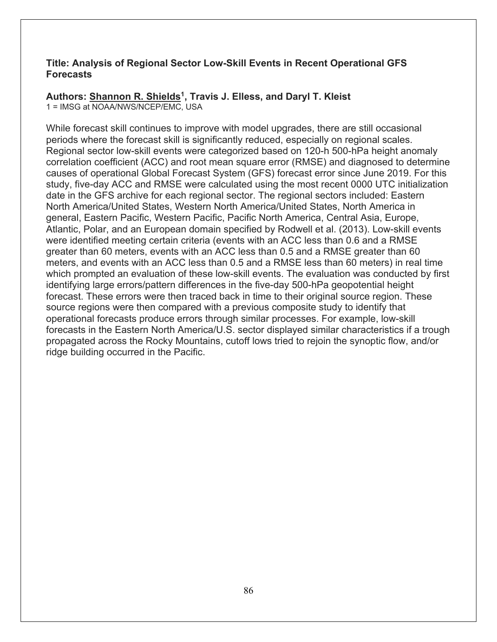#### **Title: Analysis of Regional Sector Low-Skill Events in Recent Operational GFS Forecasts**

#### **Authors: Shannon R. Shields1, Travis J. Elless, and Daryl T. Kleist** 1 = IMSG at NOAA/NWS/NCEP/EMC, USA

While forecast skill continues to improve with model upgrades, there are still occasional periods where the forecast skill is significantly reduced, especially on regional scales. Regional sector low-skill events were categorized based on 120-h 500-hPa height anomaly correlation coefficient (ACC) and root mean square error (RMSE) and diagnosed to determine causes of operational Global Forecast System (GFS) forecast error since June 2019. For this study, five-day ACC and RMSE were calculated using the most recent 0000 UTC initialization date in the GFS archive for each regional sector. The regional sectors included: Eastern North America/United States, Western North America/United States, North America in general, Eastern Pacific, Western Pacific, Pacific North America, Central Asia, Europe, Atlantic, Polar, and an European domain specified by Rodwell et al. (2013). Low-skill events were identified meeting certain criteria (events with an ACC less than 0.6 and a RMSE greater than 60 meters, events with an ACC less than 0.5 and a RMSE greater than 60 meters, and events with an ACC less than 0.5 and a RMSE less than 60 meters) in real time which prompted an evaluation of these low-skill events. The evaluation was conducted by first identifying large errors/pattern differences in the five-day 500-hPa geopotential height forecast. These errors were then traced back in time to their original source region. These source regions were then compared with a previous composite study to identify that operational forecasts produce errors through similar processes. For example, low-skill forecasts in the Eastern North America/U.S. sector displayed similar characteristics if a trough propagated across the Rocky Mountains, cutoff lows tried to rejoin the synoptic flow, and/or ridge building occurred in the Pacific.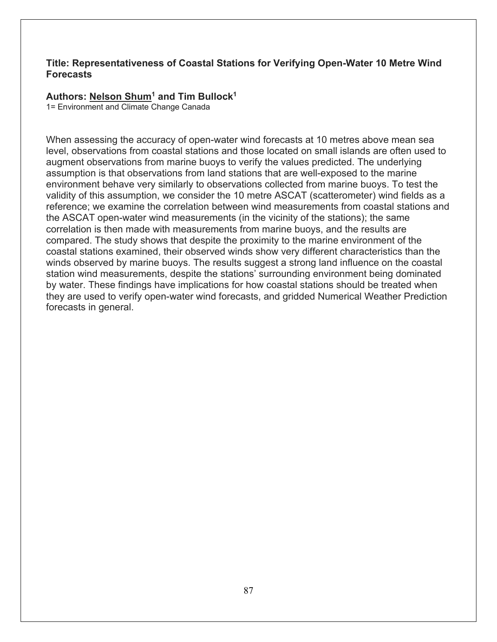#### **Title: Representativeness of Coastal Stations for Verifying Open-Water 10 Metre Wind Forecasts**

#### **Authors: Nelson Shum1 and Tim Bullock1**

1= Environment and Climate Change Canada

When assessing the accuracy of open-water wind forecasts at 10 metres above mean sea level, observations from coastal stations and those located on small islands are often used to augment observations from marine buoys to verify the values predicted. The underlying assumption is that observations from land stations that are well-exposed to the marine environment behave very similarly to observations collected from marine buoys. To test the validity of this assumption, we consider the 10 metre ASCAT (scatterometer) wind fields as a reference; we examine the correlation between wind measurements from coastal stations and the ASCAT open-water wind measurements (in the vicinity of the stations); the same correlation is then made with measurements from marine buoys, and the results are compared. The study shows that despite the proximity to the marine environment of the coastal stations examined, their observed winds show very different characteristics than the winds observed by marine buoys. The results suggest a strong land influence on the coastal station wind measurements, despite the stations' surrounding environment being dominated by water. These findings have implications for how coastal stations should be treated when they are used to verify open-water wind forecasts, and gridded Numerical Weather Prediction forecasts in general.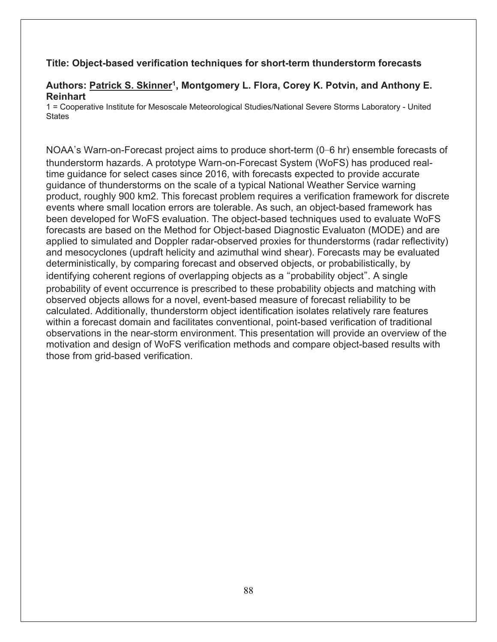#### **Title: Object-based verification techniques for short-term thunderstorm forecasts**

#### Authors: Patrick S. Skinner<sup>1</sup>, Montgomery L. Flora, Corey K. Potvin, and Anthony E. **Reinhart**

1 = Cooperative Institute for Mesoscale Meteorological Studies/National Severe Storms Laboratory - United **States** 

NOAA's Warn-on-Forecast project aims to produce short-term (0–6 hr) ensemble forecasts of thunderstorm hazards. A prototype Warn-on-Forecast System (WoFS) has produced realtime guidance for select cases since 2016, with forecasts expected to provide accurate guidance of thunderstorms on the scale of a typical National Weather Service warning product, roughly 900 km2. This forecast problem requires a verification framework for discrete events where small location errors are tolerable. As such, an object-based framework has been developed for WoFS evaluation. The object-based techniques used to evaluate WoFS forecasts are based on the Method for Object-based Diagnostic Evaluaton (MODE) and are applied to simulated and Doppler radar-observed proxies for thunderstorms (radar reflectivity) and mesocyclones (updraft helicity and azimuthal wind shear). Forecasts may be evaluated deterministically, by comparing forecast and observed objects, or probabilistically, by identifying coherent regions of overlapping objects as a "probability object". A single probability of event occurrence is prescribed to these probability objects and matching with observed objects allows for a novel, event-based measure of forecast reliability to be calculated. Additionally, thunderstorm object identification isolates relatively rare features within a forecast domain and facilitates conventional, point-based verification of traditional observations in the near-storm environment. This presentation will provide an overview of the motivation and design of WoFS verification methods and compare object-based results with those from grid-based verification.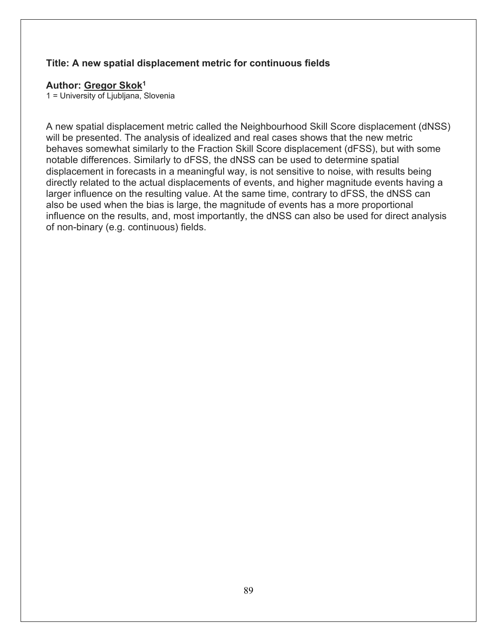#### **Title: A new spatial displacement metric for continuous fields**

#### **Author: Gregor Skok1**

1 = University of Ljubljana, Slovenia

A new spatial displacement metric called the Neighbourhood Skill Score displacement (dNSS) will be presented. The analysis of idealized and real cases shows that the new metric behaves somewhat similarly to the Fraction Skill Score displacement (dFSS), but with some notable differences. Similarly to dFSS, the dNSS can be used to determine spatial displacement in forecasts in a meaningful way, is not sensitive to noise, with results being directly related to the actual displacements of events, and higher magnitude events having a larger influence on the resulting value. At the same time, contrary to dFSS, the dNSS can also be used when the bias is large, the magnitude of events has a more proportional influence on the results, and, most importantly, the dNSS can also be used for direct analysis of non-binary (e.g. continuous) fields.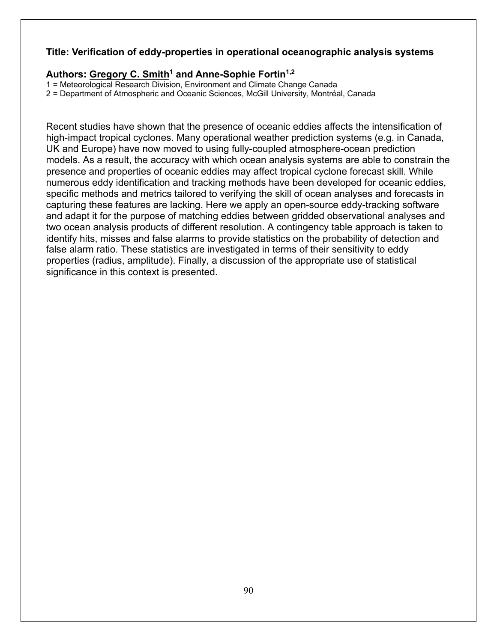### **Title: Verification of eddy-properties in operational oceanographic analysis systems**

#### Authors: Gregory C. Smith<sup>1</sup> and Anne-Sophie Fortin<sup>1,2</sup>

1 = Meteorological Research Division, Environment and Climate Change Canada

2 = Department of Atmospheric and Oceanic Sciences, McGill University, Montréal, Canada

Recent studies have shown that the presence of oceanic eddies affects the intensification of high-impact tropical cyclones. Many operational weather prediction systems (e.g. in Canada, UK and Europe) have now moved to using fully-coupled atmosphere-ocean prediction models. As a result, the accuracy with which ocean analysis systems are able to constrain the presence and properties of oceanic eddies may affect tropical cyclone forecast skill. While numerous eddy identification and tracking methods have been developed for oceanic eddies, specific methods and metrics tailored to verifying the skill of ocean analyses and forecasts in capturing these features are lacking. Here we apply an open-source eddy-tracking software and adapt it for the purpose of matching eddies between gridded observational analyses and two ocean analysis products of different resolution. A contingency table approach is taken to identify hits, misses and false alarms to provide statistics on the probability of detection and false alarm ratio. These statistics are investigated in terms of their sensitivity to eddy properties (radius, amplitude). Finally, a discussion of the appropriate use of statistical significance in this context is presented.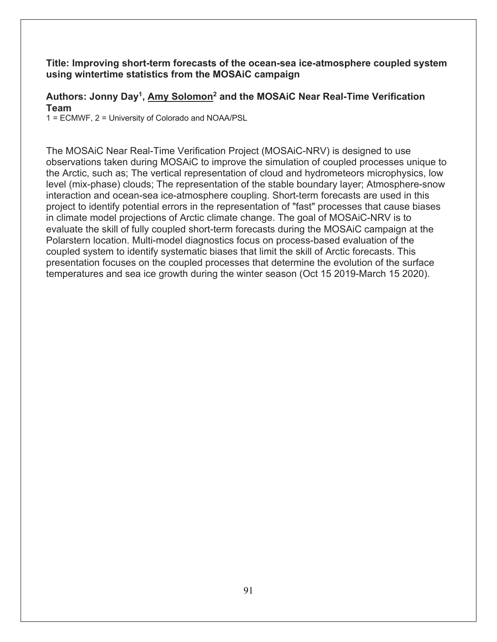#### **Title: Improving short-term forecasts of the ocean-sea ice-atmosphere coupled system using wintertime statistics from the MOSAiC campaign**

## **Authors: Jonny Day1, Amy Solomon2 and the MOSAiC Near Real-Time Verification Team**

1 = ECMWF, 2 = University of Colorado and NOAA/PSL

The MOSAiC Near Real-Time Verification Project (MOSAiC-NRV) is designed to use observations taken during MOSAiC to improve the simulation of coupled processes unique to the Arctic, such as; The vertical representation of cloud and hydrometeors microphysics, low level (mix-phase) clouds; The representation of the stable boundary layer; Atmosphere-snow interaction and ocean-sea ice-atmosphere coupling. Short-term forecasts are used in this project to identify potential errors in the representation of "fast" processes that cause biases in climate model projections of Arctic climate change. The goal of MOSAiC-NRV is to evaluate the skill of fully coupled short-term forecasts during the MOSAiC campaign at the Polarstern location. Multi-model diagnostics focus on process-based evaluation of the coupled system to identify systematic biases that limit the skill of Arctic forecasts. This presentation focuses on the coupled processes that determine the evolution of the surface temperatures and sea ice growth during the winter season (Oct 15 2019-March 15 2020).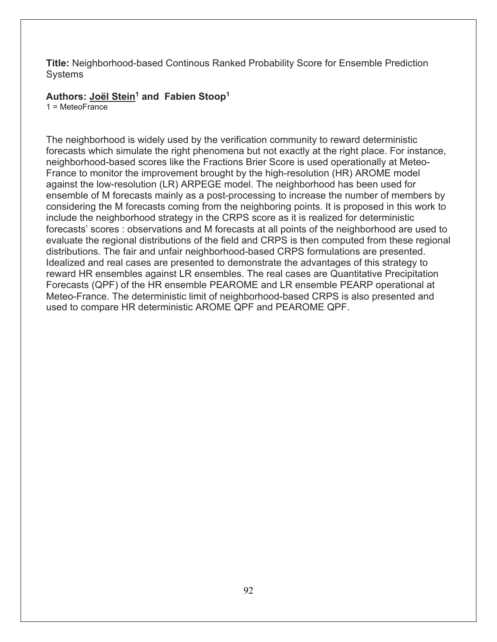**Title:** Neighborhood-based Continous Ranked Probability Score for Ensemble Prediction Systems

**Authors: Joël Stein1 and Fabien Stoop1**

 $1 =$ MeteoFrance

The neighborhood is widely used by the verification community to reward deterministic forecasts which simulate the right phenomena but not exactly at the right place. For instance, neighborhood-based scores like the Fractions Brier Score is used operationally at Meteo-France to monitor the improvement brought by the high-resolution (HR) AROME model against the low-resolution (LR) ARPEGE model. The neighborhood has been used for ensemble of M forecasts mainly as a post-processing to increase the number of members by considering the M forecasts coming from the neighboring points. It is proposed in this work to include the neighborhood strategy in the CRPS score as it is realized for deterministic forecasts' scores : observations and M forecasts at all points of the neighborhood are used to evaluate the regional distributions of the field and CRPS is then computed from these regional distributions. The fair and unfair neighborhood-based CRPS formulations are presented. Idealized and real cases are presented to demonstrate the advantages of this strategy to reward HR ensembles against LR ensembles. The real cases are Quantitative Precipitation Forecasts (QPF) of the HR ensemble PEAROME and LR ensemble PEARP operational at Meteo-France. The deterministic limit of neighborhood-based CRPS is also presented and used to compare HR deterministic AROME QPF and PEAROME QPF.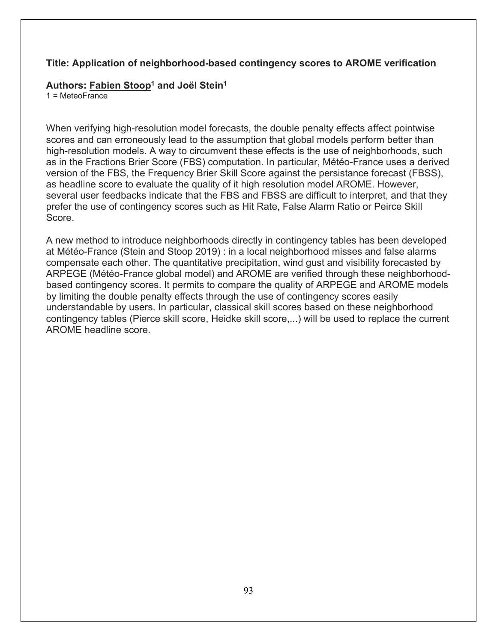#### **Title: Application of neighborhood-based contingency scores to AROME verification**

#### **Authors: Fabien Stoop1 and Joël Stein1**

 $1 =$ MeteoFrance

When verifying high-resolution model forecasts, the double penalty effects affect pointwise scores and can erroneously lead to the assumption that global models perform better than high-resolution models. A way to circumvent these effects is the use of neighborhoods, such as in the Fractions Brier Score (FBS) computation. In particular, Météo-France uses a derived version of the FBS, the Frequency Brier Skill Score against the persistance forecast (FBSS), as headline score to evaluate the quality of it high resolution model AROME. However, several user feedbacks indicate that the FBS and FBSS are difficult to interpret, and that they prefer the use of contingency scores such as Hit Rate, False Alarm Ratio or Peirce Skill Score.

A new method to introduce neighborhoods directly in contingency tables has been developed at Météo-France (Stein and Stoop 2019) : in a local neighborhood misses and false alarms compensate each other. The quantitative precipitation, wind gust and visibility forecasted by ARPEGE (Météo-France global model) and AROME are verified through these neighborhoodbased contingency scores. It permits to compare the quality of ARPEGE and AROME models by limiting the double penalty effects through the use of contingency scores easily understandable by users. In particular, classical skill scores based on these neighborhood contingency tables (Pierce skill score, Heidke skill score,...) will be used to replace the current AROME headline score.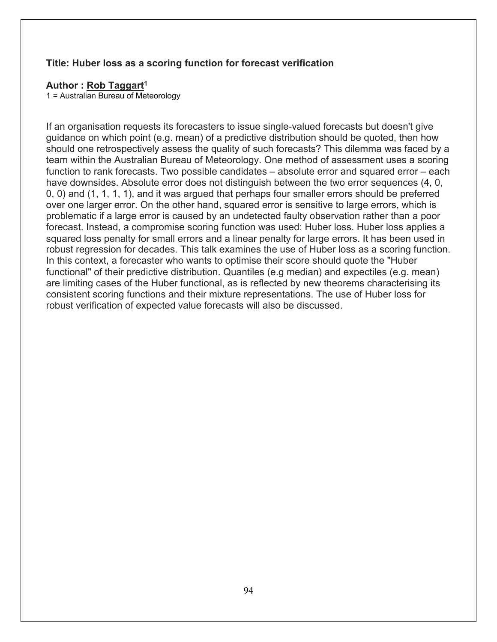#### **Title: Huber loss as a scoring function for forecast verification**

#### **Author : Rob Taggart1**

1 = Australian Bureau of Meteorology

If an organisation requests its forecasters to issue single-valued forecasts but doesn't give guidance on which point (e.g. mean) of a predictive distribution should be quoted, then how should one retrospectively assess the quality of such forecasts? This dilemma was faced by a team within the Australian Bureau of Meteorology. One method of assessment uses a scoring function to rank forecasts. Two possible candidates – absolute error and squared error – each have downsides. Absolute error does not distinguish between the two error sequences (4, 0, 0, 0) and (1, 1, 1, 1), and it was argued that perhaps four smaller errors should be preferred over one larger error. On the other hand, squared error is sensitive to large errors, which is problematic if a large error is caused by an undetected faulty observation rather than a poor forecast. Instead, a compromise scoring function was used: Huber loss. Huber loss applies a squared loss penalty for small errors and a linear penalty for large errors. It has been used in robust regression for decades. This talk examines the use of Huber loss as a scoring function. In this context, a forecaster who wants to optimise their score should quote the "Huber functional" of their predictive distribution. Quantiles (e.g median) and expectiles (e.g. mean) are limiting cases of the Huber functional, as is reflected by new theorems characterising its consistent scoring functions and their mixture representations. The use of Huber loss for robust verification of expected value forecasts will also be discussed.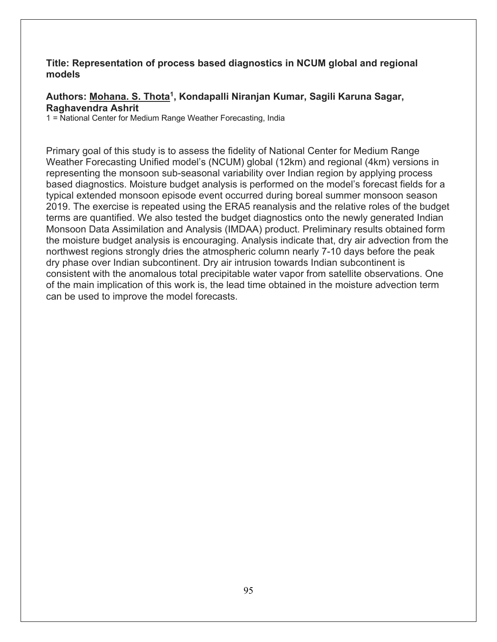#### **Title: Representation of process based diagnostics in NCUM global and regional models**

#### **Authors: Mohana. S. Thota1, Kondapalli Niranjan Kumar, Sagili Karuna Sagar, Raghavendra Ashrit**

1 = National Center for Medium Range Weather Forecasting, India

Primary goal of this study is to assess the fidelity of National Center for Medium Range Weather Forecasting Unified model's (NCUM) global (12km) and regional (4km) versions in representing the monsoon sub-seasonal variability over Indian region by applying process based diagnostics. Moisture budget analysis is performed on the model's forecast fields for a typical extended monsoon episode event occurred during boreal summer monsoon season 2019. The exercise is repeated using the ERA5 reanalysis and the relative roles of the budget terms are quantified. We also tested the budget diagnostics onto the newly generated Indian Monsoon Data Assimilation and Analysis (IMDAA) product. Preliminary results obtained form the moisture budget analysis is encouraging. Analysis indicate that, dry air advection from the northwest regions strongly dries the atmospheric column nearly 7-10 days before the peak dry phase over Indian subcontinent. Dry air intrusion towards Indian subcontinent is consistent with the anomalous total precipitable water vapor from satellite observations. One of the main implication of this work is, the lead time obtained in the moisture advection term can be used to improve the model forecasts.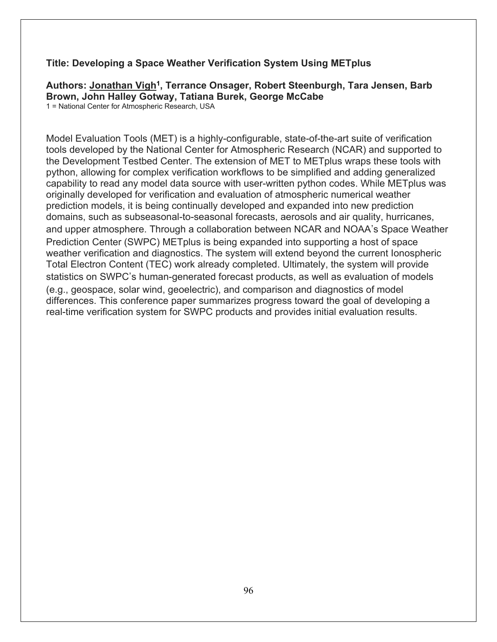#### **Title: Developing a Space Weather Verification System Using METplus**

# Authors: Jonathan Vigh<sup>1</sup>, Terrance Onsager, Robert Steenburgh, Tara Jensen, Barb **Brown, John Halley Gotway, Tatiana Burek, George McCabe**

1 = National Center for Atmospheric Research, USA

Model Evaluation Tools (MET) is a highly-configurable, state-of-the-art suite of verification tools developed by the National Center for Atmospheric Research (NCAR) and supported to the Development Testbed Center. The extension of MET to METplus wraps these tools with python, allowing for complex verification workflows to be simplified and adding generalized capability to read any model data source with user-written python codes. While METplus was originally developed for verification and evaluation of atmospheric numerical weather prediction models, it is being continually developed and expanded into new prediction domains, such as subseasonal-to-seasonal forecasts, aerosols and air quality, hurricanes, and upper atmosphere. Through a collaboration between NCAR and NOAA's Space Weather Prediction Center (SWPC) METplus is being expanded into supporting a host of space weather verification and diagnostics. The system will extend beyond the current Ionospheric Total Electron Content (TEC) work already completed. Ultimately, the system will provide statistics on SWPC's human-generated forecast products, as well as evaluation of models (e.g., geospace, solar wind, geoelectric), and comparison and diagnostics of model differences. This conference paper summarizes progress toward the goal of developing a real-time verification system for SWPC products and provides initial evaluation results.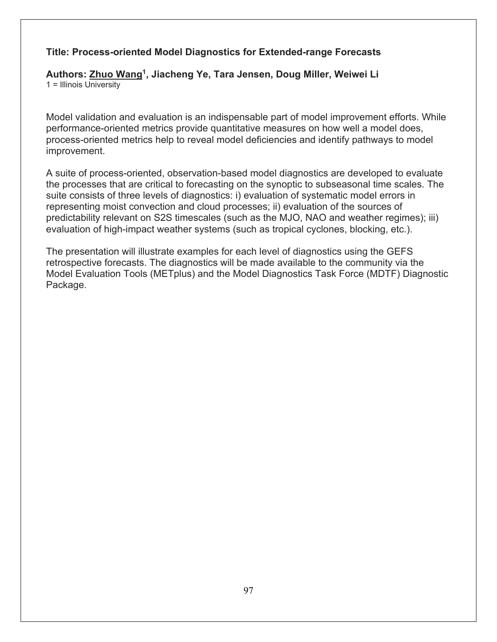## **Title: Process-oriented Model Diagnostics for Extended-range Forecasts**

**Authors: Zhuo Wang1, Jiacheng Ye, Tara Jensen, Doug Miller, Weiwei Li** 1 = Illinois University

Model validation and evaluation is an indispensable part of model improvement efforts. While performance-oriented metrics provide quantitative measures on how well a model does, process-oriented metrics help to reveal model deficiencies and identify pathways to model improvement.

A suite of process-oriented, observation-based model diagnostics are developed to evaluate the processes that are critical to forecasting on the synoptic to subseasonal time scales. The suite consists of three levels of diagnostics: i) evaluation of systematic model errors in representing moist convection and cloud processes; ii) evaluation of the sources of predictability relevant on S2S timescales (such as the MJO, NAO and weather regimes); iii) evaluation of high-impact weather systems (such as tropical cyclones, blocking, etc.).

The presentation will illustrate examples for each level of diagnostics using the GEFS retrospective forecasts. The diagnostics will be made available to the community via the Model Evaluation Tools (METplus) and the Model Diagnostics Task Force (MDTF) Diagnostic Package.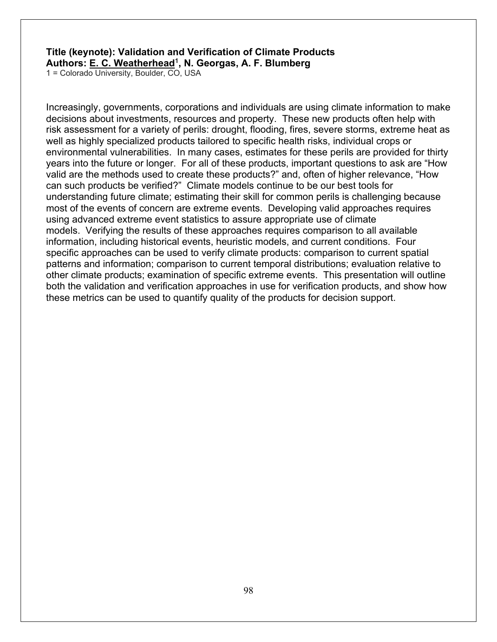#### **Title (keynote): Validation and Verification of Climate Products Authors: E. C. Weatherhead1, N. Georgas, A. F. Blumberg**

1 = Colorado University, Boulder, CO, USA

Increasingly, governments, corporations and individuals are using climate information to make decisions about investments, resources and property. These new products often help with risk assessment for a variety of perils: drought, flooding, fires, severe storms, extreme heat as well as highly specialized products tailored to specific health risks, individual crops or environmental vulnerabilities. In many cases, estimates for these perils are provided for thirty years into the future or longer. For all of these products, important questions to ask are "How valid are the methods used to create these products?" and, often of higher relevance, "How can such products be verified?" Climate models continue to be our best tools for understanding future climate; estimating their skill for common perils is challenging because most of the events of concern are extreme events. Developing valid approaches requires using advanced extreme event statistics to assure appropriate use of climate models. Verifying the results of these approaches requires comparison to all available information, including historical events, heuristic models, and current conditions. Four specific approaches can be used to verify climate products: comparison to current spatial patterns and information; comparison to current temporal distributions; evaluation relative to other climate products; examination of specific extreme events. This presentation will outline both the validation and verification approaches in use for verification products, and show how these metrics can be used to quantify quality of the products for decision support.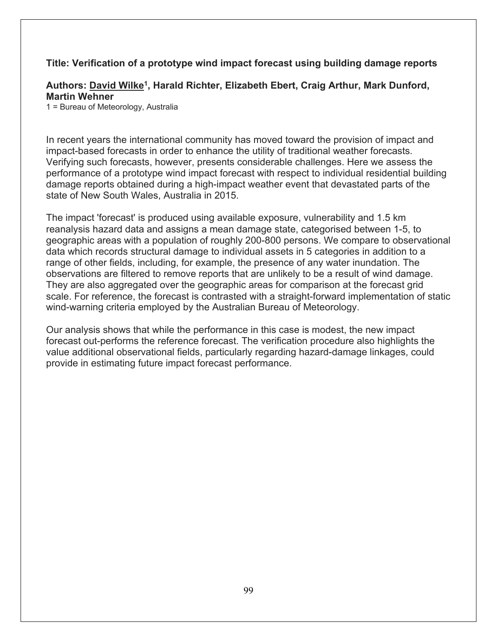#### **Title: Verification of a prototype wind impact forecast using building damage reports**

#### **Authors: David Wilke1, Harald Richter, Elizabeth Ebert, Craig Arthur, Mark Dunford, Martin Wehner**

1 = Bureau of Meteorology, Australia

In recent years the international community has moved toward the provision of impact and impact-based forecasts in order to enhance the utility of traditional weather forecasts. Verifying such forecasts, however, presents considerable challenges. Here we assess the performance of a prototype wind impact forecast with respect to individual residential building damage reports obtained during a high-impact weather event that devastated parts of the state of New South Wales, Australia in 2015.

The impact 'forecast' is produced using available exposure, vulnerability and 1.5 km reanalysis hazard data and assigns a mean damage state, categorised between 1-5, to geographic areas with a population of roughly 200-800 persons. We compare to observational data which records structural damage to individual assets in 5 categories in addition to a range of other fields, including, for example, the presence of any water inundation. The observations are filtered to remove reports that are unlikely to be a result of wind damage. They are also aggregated over the geographic areas for comparison at the forecast grid scale. For reference, the forecast is contrasted with a straight-forward implementation of static wind-warning criteria employed by the Australian Bureau of Meteorology.

Our analysis shows that while the performance in this case is modest, the new impact forecast out-performs the reference forecast. The verification procedure also highlights the value additional observational fields, particularly regarding hazard-damage linkages, could provide in estimating future impact forecast performance.